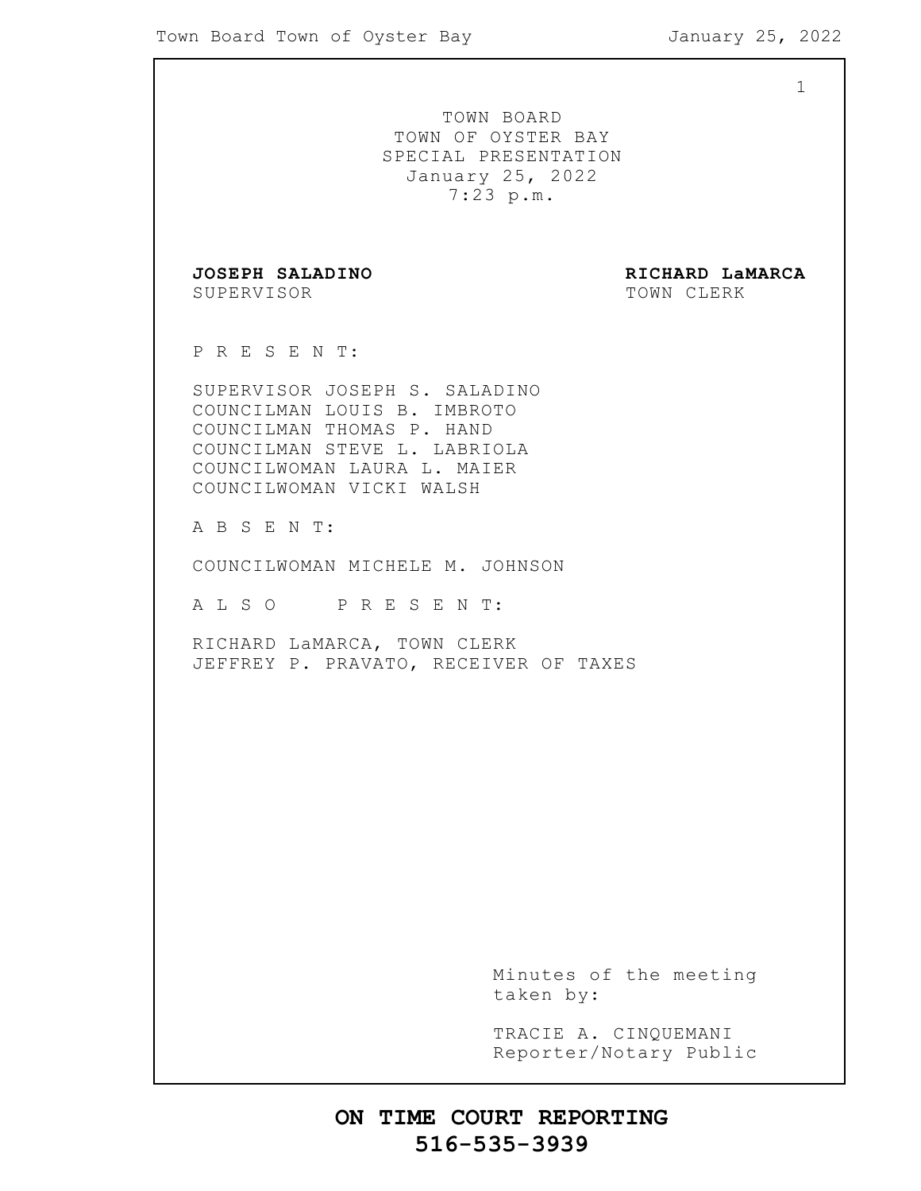1 TOWN BOARD TOWN OF OYSTER BAY SPECIAL PRESENTATION January 25, 2022 7:23 p.m. **JOSEPH SALADINO RICHARD LaMARCA** SUPERVISOR TOWN CLERK P R E S E N T: SUPERVISOR JOSEPH S. SALADINO COUNCILMAN LOUIS B. IMBROTO COUNCILMAN THOMAS P. HAND COUNCILMAN STEVE L. LABRIOLA COUNCILWOMAN LAURA L. MAIER COUNCILWOMAN VICKI WALSH A B S E N T: COUNCILWOMAN MICHELE M. JOHNSON A L S O P R E S E N T: RICHARD LaMARCA, TOWN CLERK JEFFREY P. PRAVATO, RECEIVER OF TAXES Minutes of the meeting taken by: TRACIE A. CINQUEMANI Reporter/Notary Public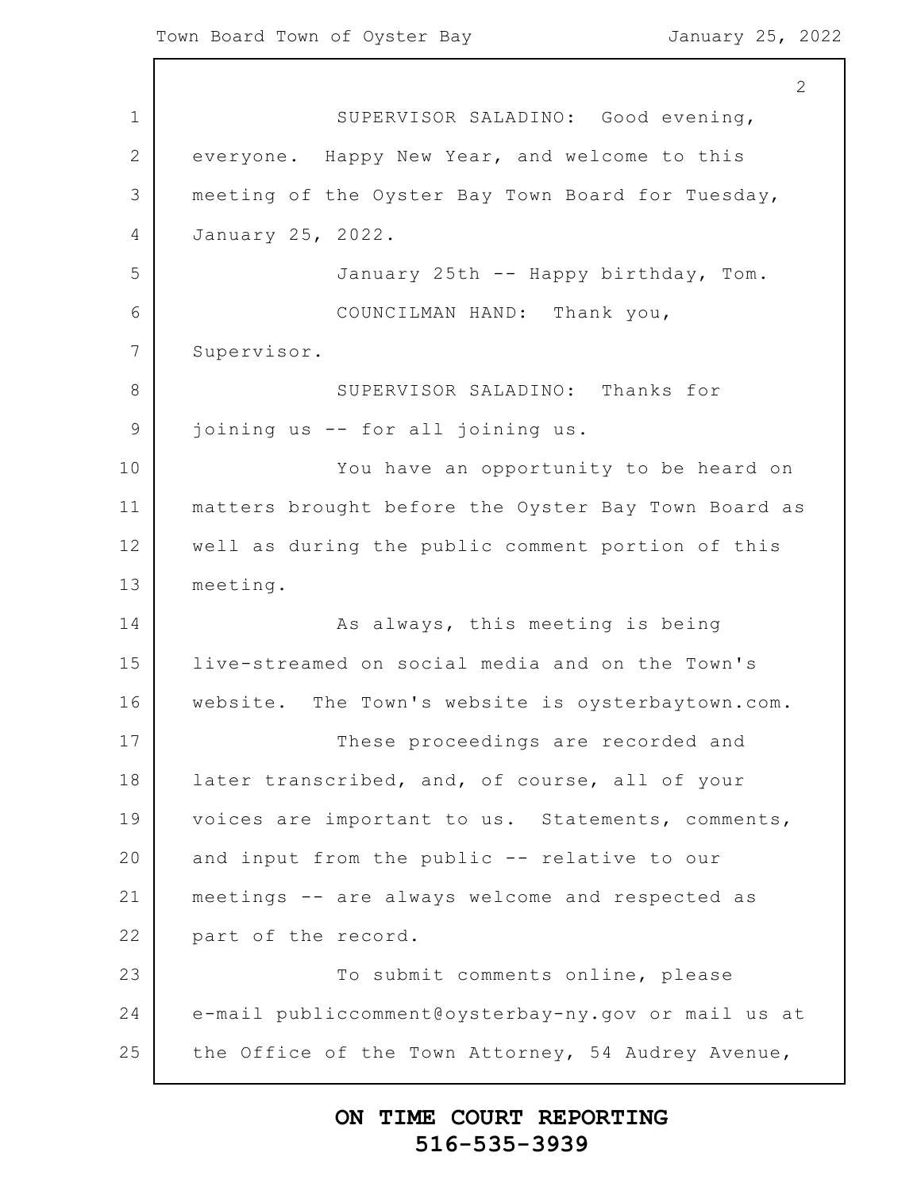1 2 3 4 5 6 7 8 9 10 11 12 13 14 15 16 17 18 19 20 21 22 23 24 25 2 SUPERVISOR SALADINO: Good evening, everyone. Happy New Year, and welcome to this meeting of the Oyster Bay Town Board for Tuesday, January 25, 2022. January 25th -- Happy birthday, Tom. COUNCILMAN HAND: Thank you, Supervisor. SUPERVISOR SALADINO: Thanks for joining us -- for all joining us. You have an opportunity to be heard on matters brought before the Oyster Bay Town Board as well as during the public comment portion of this meeting. As always, this meeting is being live-streamed on social media and on the Town's website. The Town's website is oysterbaytown.com. These proceedings are recorded and later transcribed, and, of course, all of your voices are important to us. Statements, comments, and input from the public -- relative to our meetings -- are always welcome and respected as part of the record. To submit comments online, please e-mail publiccomment@oysterbay-ny.gov or mail us at the Office of the Town Attorney, 54 Audrey Avenue,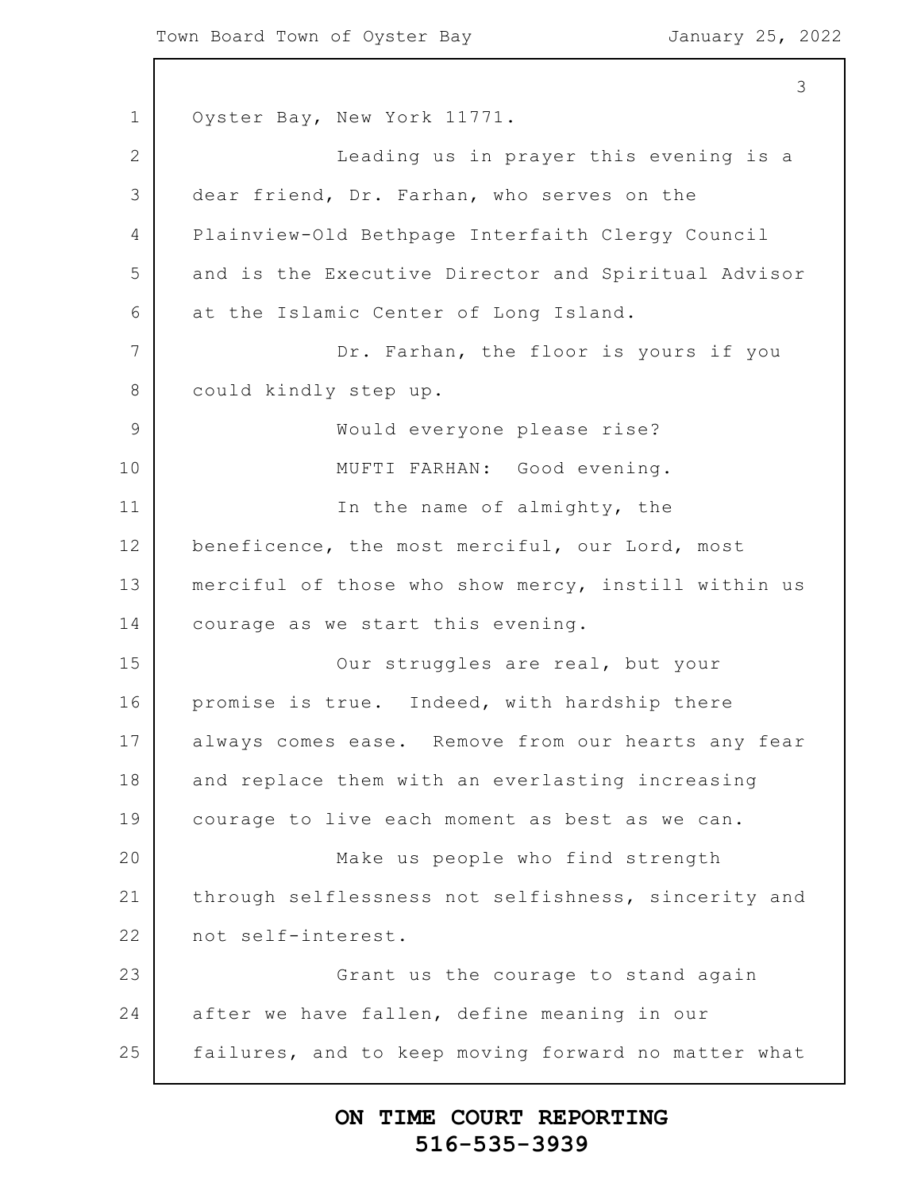1 2 3 4 5 6 7 8 9 10 11 12 13 14 15 16 17 18 19 20 21 22 23 24 25 3 Oyster Bay, New York 11771. Leading us in prayer this evening is a dear friend, Dr. Farhan, who serves on the Plainview-Old Bethpage Interfaith Clergy Council and is the Executive Director and Spiritual Advisor at the Islamic Center of Long Island. Dr. Farhan, the floor is yours if you could kindly step up. Would everyone please rise? MUFTI FARHAN: Good evening. In the name of almighty, the beneficence, the most merciful, our Lord, most merciful of those who show mercy, instill within us courage as we start this evening. Our struggles are real, but your promise is true. Indeed, with hardship there always comes ease. Remove from our hearts any fear and replace them with an everlasting increasing courage to live each moment as best as we can. Make us people who find strength through selflessness not selfishness, sincerity and not self-interest. Grant us the courage to stand again after we have fallen, define meaning in our failures, and to keep moving forward no matter what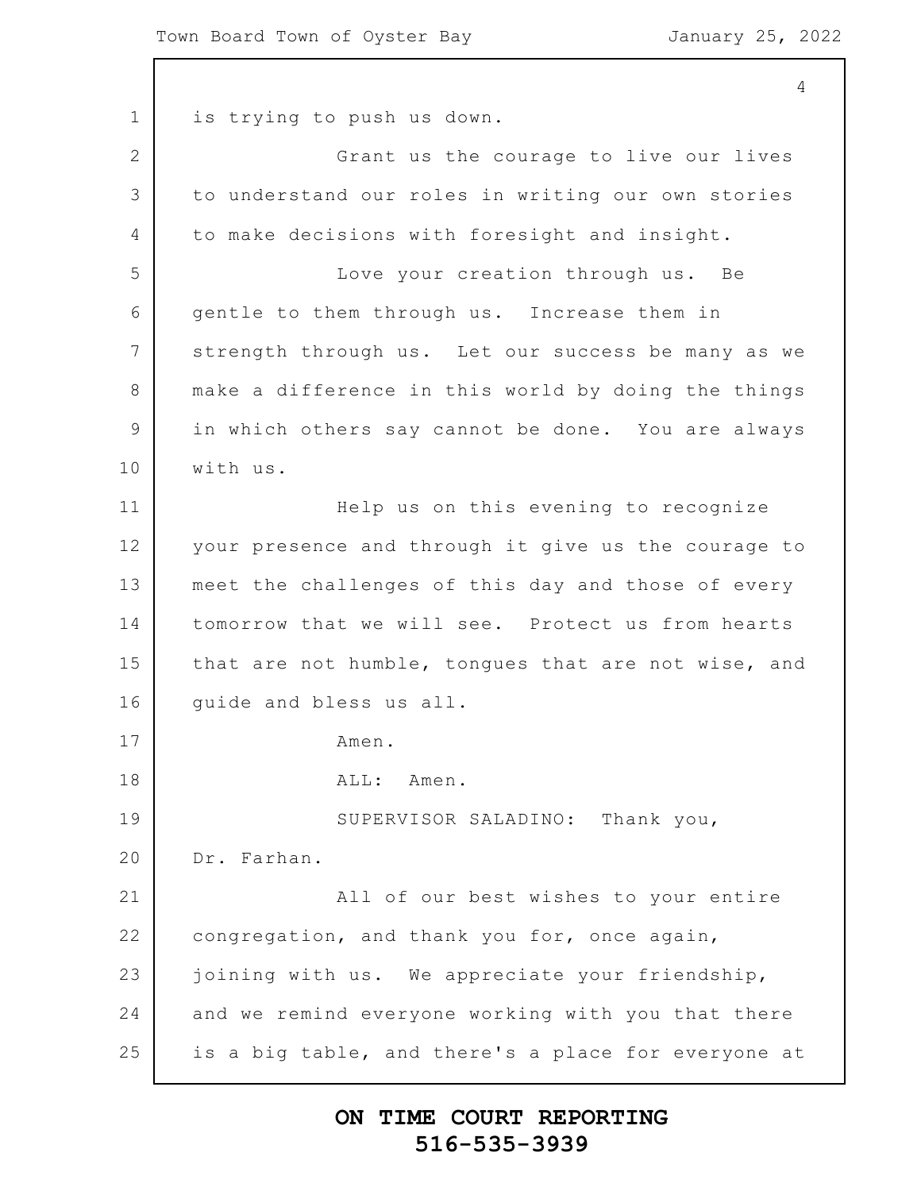1 2 3 4 5 6 7 8 9 10 11 12 13 14 15 16 17 18 19 20 21 22 23 24 25 4 is trying to push us down. Grant us the courage to live our lives to understand our roles in writing our own stories to make decisions with foresight and insight. Love your creation through us. Be gentle to them through us. Increase them in strength through us. Let our success be many as we make a difference in this world by doing the things in which others say cannot be done. You are always with us. Help us on this evening to recognize your presence and through it give us the courage to meet the challenges of this day and those of every tomorrow that we will see. Protect us from hearts that are not humble, tongues that are not wise, and guide and bless us all. Amen. ALL: Amen. SUPERVISOR SALADINO: Thank you, Dr. Farhan. All of our best wishes to your entire congregation, and thank you for, once again, joining with us. We appreciate your friendship, and we remind everyone working with you that there is a big table, and there's a place for everyone at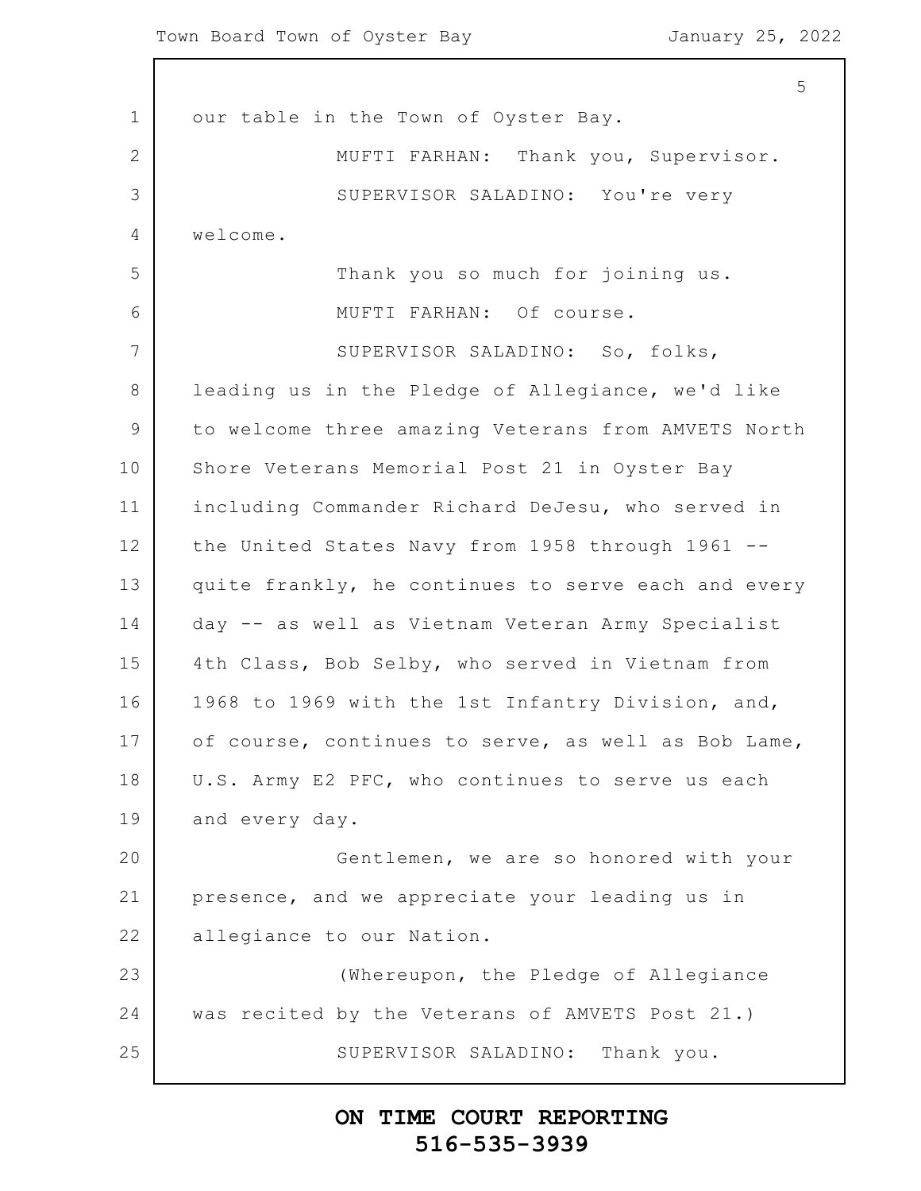1 2 3 4 5 6 7 8 9 10 11 12 13 14 15 16 17 18 19 20 21 22 23 24 25 5 our table in the Town of Oyster Bay. MUFTI FARHAN: Thank you, Supervisor. SUPERVISOR SALADINO: You're very welcome. Thank you so much for joining us. MUFTI FARHAN: Of course. SUPERVISOR SALADINO: So, folks, leading us in the Pledge of Allegiance, we'd like to welcome three amazing Veterans from AMVETS North Shore Veterans Memorial Post 21 in Oyster Bay including Commander Richard DeJesu, who served in the United States Navy from 1958 through 1961 - quite frankly, he continues to serve each and every day -- as well as Vietnam Veteran Army Specialist 4th Class, Bob Selby, who served in Vietnam from 1968 to 1969 with the 1st Infantry Division, and, of course, continues to serve, as well as Bob Lame, U.S. Army E2 PFC, who continues to serve us each and every day. Gentlemen, we are so honored with your presence, and we appreciate your leading us in allegiance to our Nation. (Whereupon, the Pledge of Allegiance was recited by the Veterans of AMVETS Post 21.) SUPERVISOR SALADINO: Thank you.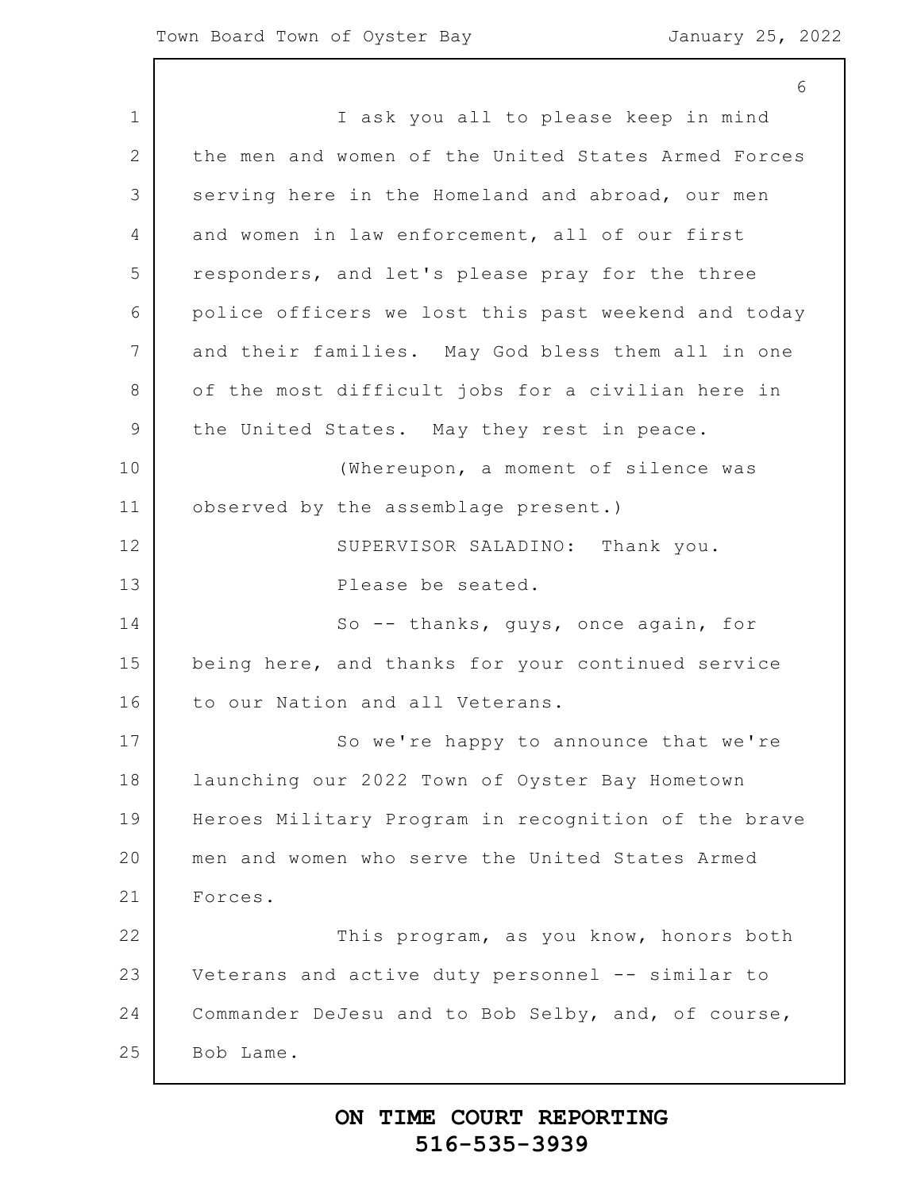1 2 3 4 5 6 7 8 9 10 11 12 13 14 15 16 17 18 19 20 21 22 23 24 25 6 I ask you all to please keep in mind the men and women of the United States Armed Forces serving here in the Homeland and abroad, our men and women in law enforcement, all of our first responders, and let's please pray for the three police officers we lost this past weekend and today and their families. May God bless them all in one of the most difficult jobs for a civilian here in the United States. May they rest in peace. (Whereupon, a moment of silence was observed by the assemblage present.) SUPERVISOR SALADINO: Thank you. Please be seated. So -- thanks, guys, once again, for being here, and thanks for your continued service to our Nation and all Veterans. So we're happy to announce that we're launching our 2022 Town of Oyster Bay Hometown Heroes Military Program in recognition of the brave men and women who serve the United States Armed Forces. This program, as you know, honors both Veterans and active duty personnel -- similar to Commander DeJesu and to Bob Selby, and, of course, Bob Lame.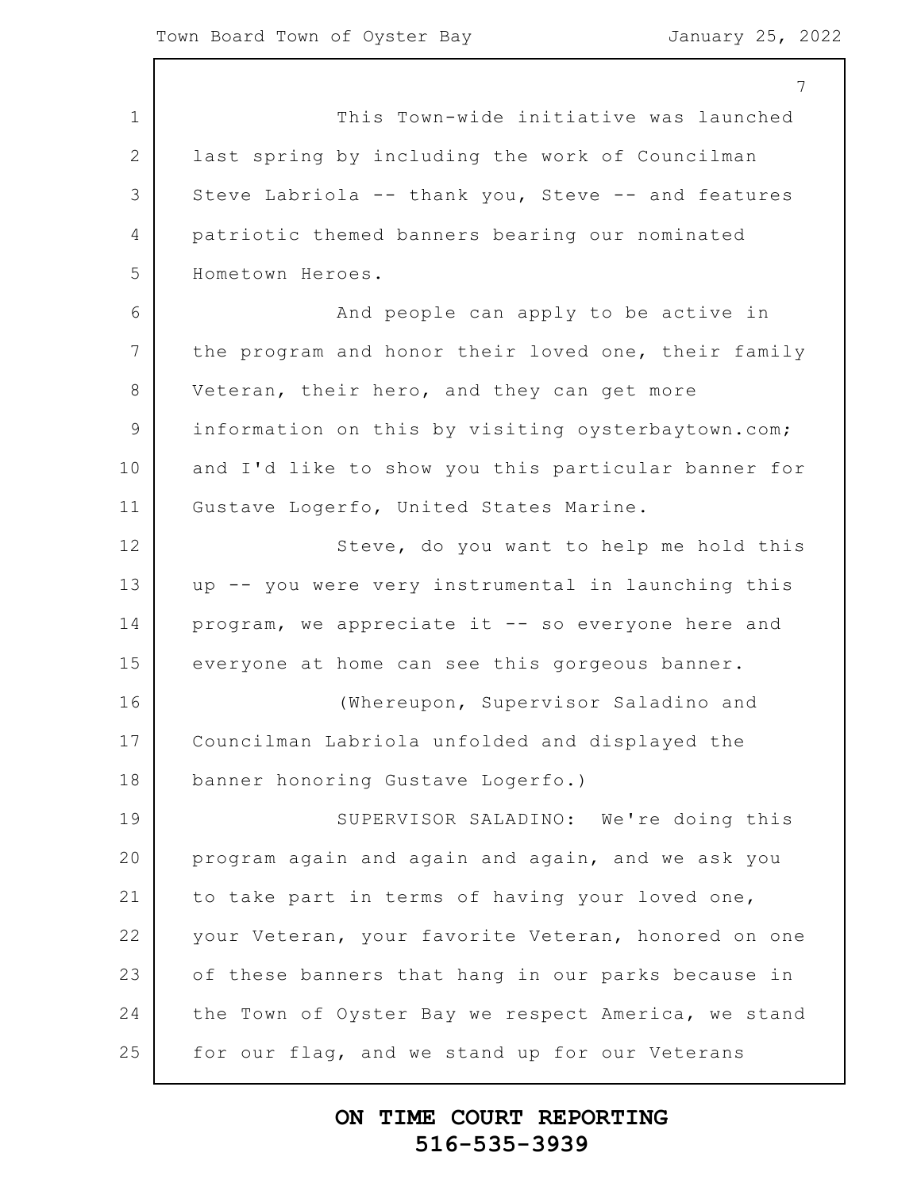|                 | 7                                                   |
|-----------------|-----------------------------------------------------|
| $\mathbf 1$     | This Town-wide initiative was launched              |
| 2               | last spring by including the work of Councilman     |
| 3               | Steve Labriola -- thank you, Steve -- and features  |
| 4               | patriotic themed banners bearing our nominated      |
| 5               | Hometown Heroes.                                    |
| 6               | And people can apply to be active in                |
| $7\phantom{.0}$ | the program and honor their loved one, their family |
| 8               | Veteran, their hero, and they can get more          |
| $\mathcal{G}$   | information on this by visiting oysterbaytown.com;  |
| 10              | and I'd like to show you this particular banner for |
| 11              | Gustave Logerfo, United States Marine.              |
| 12              | Steve, do you want to help me hold this             |
| 13              | up -- you were very instrumental in launching this  |
| 14              | program, we appreciate it -- so everyone here and   |
| 15              | everyone at home can see this gorgeous banner.      |
| 16              | (Whereupon, Supervisor Saladino and                 |
| 17              | Councilman Labriola unfolded and displayed the      |
| 18              | banner honoring Gustave Logerfo.)                   |
| 19              | SUPERVISOR SALADINO: We're doing this               |
| 20              | program again and again and again, and we ask you   |
| 21              | to take part in terms of having your loved one,     |
| 22              | your Veteran, your favorite Veteran, honored on one |
| 23              | of these banners that hang in our parks because in  |
| 24              | the Town of Oyster Bay we respect America, we stand |
| 25              | for our flag, and we stand up for our Veterans      |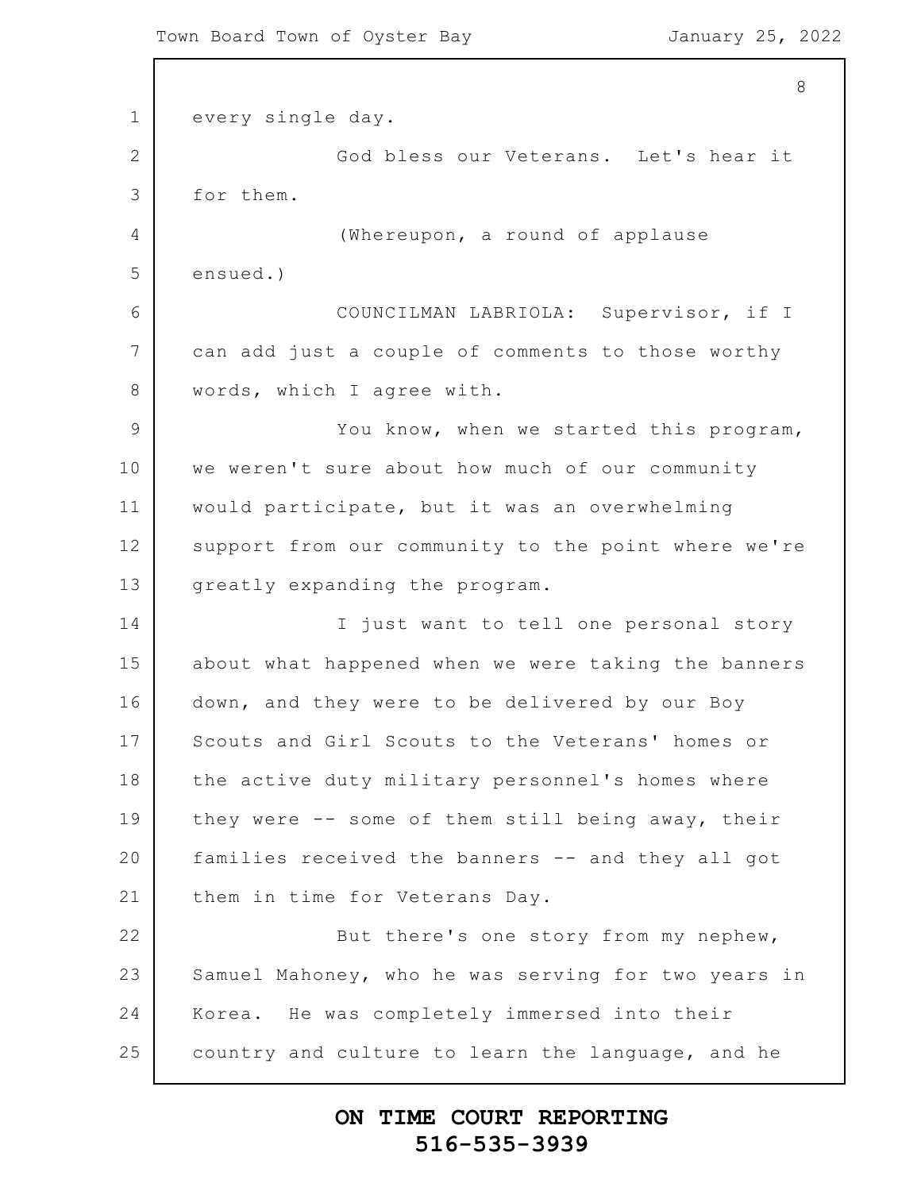```
1
2
3
4
5
6
7
8
9
10
11
12
13
14
15
16
17
18
19
20
21
22
23
24
25
                                                          8
      every single day.
                  God bless our Veterans. Let's hear it
      for them.
                   (Whereupon, a round of applause
      ensued.)
                  COUNCILMAN LABRIOLA: Supervisor, if I
      can add just a couple of comments to those worthy
      words, which I agree with.
                  You know, when we started this program,
      we weren't sure about how much of our community
      would participate, but it was an overwhelming
      support from our community to the point where we're
      greatly expanding the program.
                  I just want to tell one personal story
      about what happened when we were taking the banners
      down, and they were to be delivered by our Boy
      Scouts and Girl Scouts to the Veterans' homes or
      the active duty military personnel's homes where
      they were -- some of them still being away, their
      families received the banners -- and they all got
      them in time for Veterans Day.
                  But there's one story from my nephew,
      Samuel Mahoney, who he was serving for two years in
      Korea. He was completely immersed into their
      country and culture to learn the language, and he
```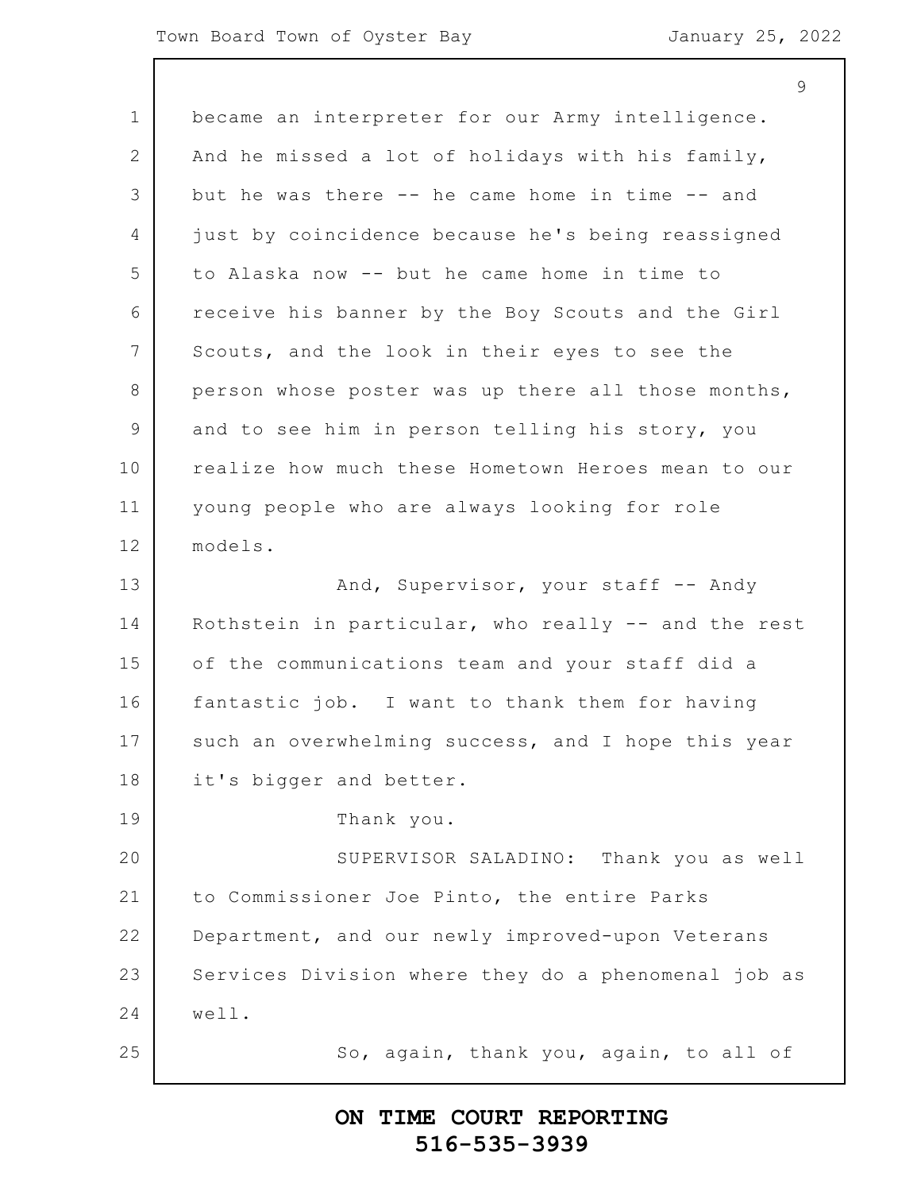#### Town Board Town of Oyster Bay Town January 25, 2022

1 2 3 4 5 6 7 8 9 10 11 12 13 14 15 16 17 18 19 20 21 22 23 24 25 9 became an interpreter for our Army intelligence. And he missed a lot of holidays with his family, but he was there -- he came home in time -- and just by coincidence because he's being reassigned to Alaska now -- but he came home in time to receive his banner by the Boy Scouts and the Girl Scouts, and the look in their eyes to see the person whose poster was up there all those months, and to see him in person telling his story, you realize how much these Hometown Heroes mean to our young people who are always looking for role models. And, Supervisor, your staff -- Andy Rothstein in particular, who really -- and the rest of the communications team and your staff did a fantastic job. I want to thank them for having such an overwhelming success, and I hope this year it's bigger and better. Thank you. SUPERVISOR SALADINO: Thank you as well to Commissioner Joe Pinto, the entire Parks Department, and our newly improved-upon Veterans Services Division where they do a phenomenal job as well. So, again, thank you, again, to all of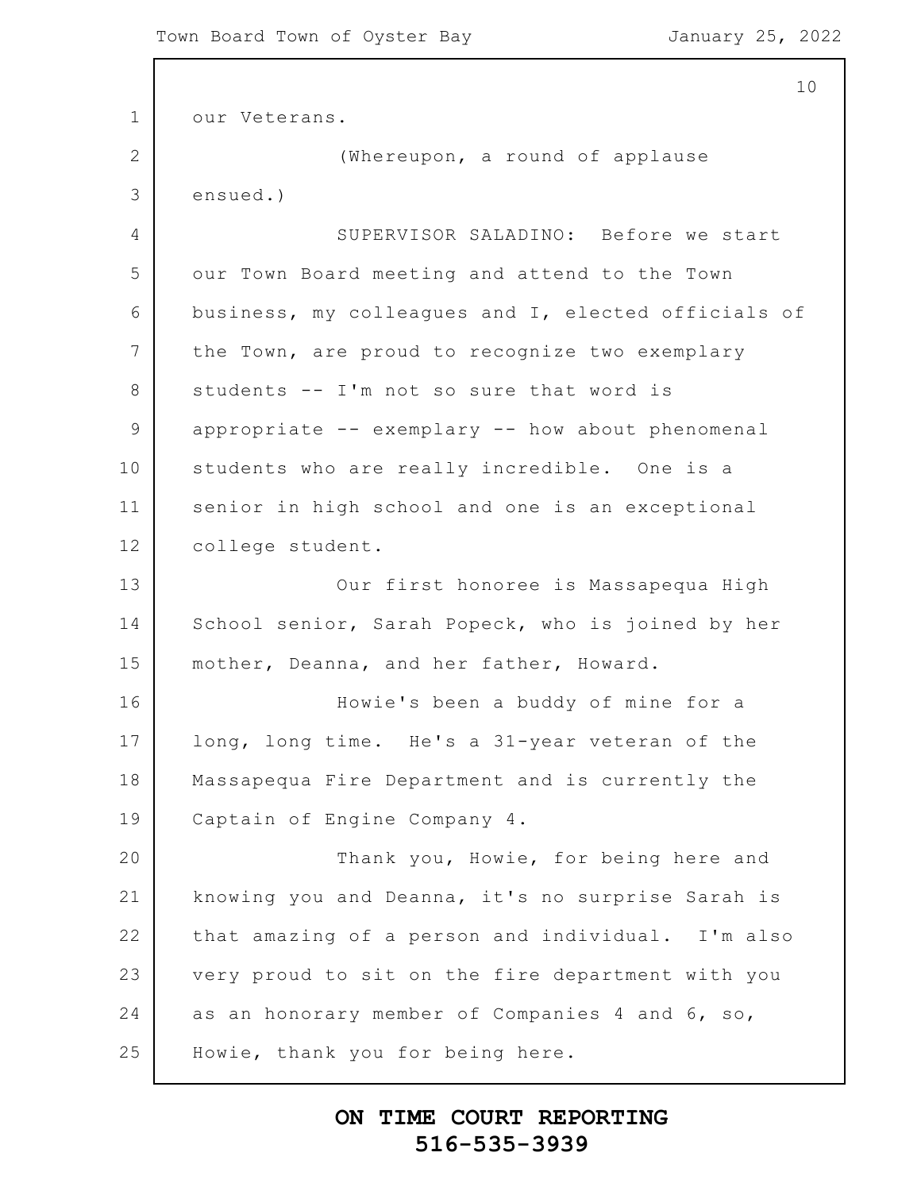```
1
2
3
4
5
6
7
8
9
10
11
12
13
14
15
16
17
18
19
20
21
22
23
24
25
                                                          10
      our Veterans.
                   (Whereupon, a round of applause
      ensued.)
                  SUPERVISOR SALADINO: Before we start
      our Town Board meeting and attend to the Town
      business, my colleagues and I, elected officials of
      the Town, are proud to recognize two exemplary
      students -- I'm not so sure that word is
      appropriate -- exemplary -- how about phenomenal
      students who are really incredible. One is a
      senior in high school and one is an exceptional
      college student.
                  Our first honoree is Massapequa High
      School senior, Sarah Popeck, who is joined by her
      mother, Deanna, and her father, Howard.
                  Howie's been a buddy of mine for a
      long, long time. He's a 31-year veteran of the
      Massapequa Fire Department and is currently the
      Captain of Engine Company 4.
                  Thank you, Howie, for being here and
      knowing you and Deanna, it's no surprise Sarah is
      that amazing of a person and individual. I'm also
      very proud to sit on the fire department with you
      as an honorary member of Companies 4 and 6, so,
      Howie, thank you for being here.
```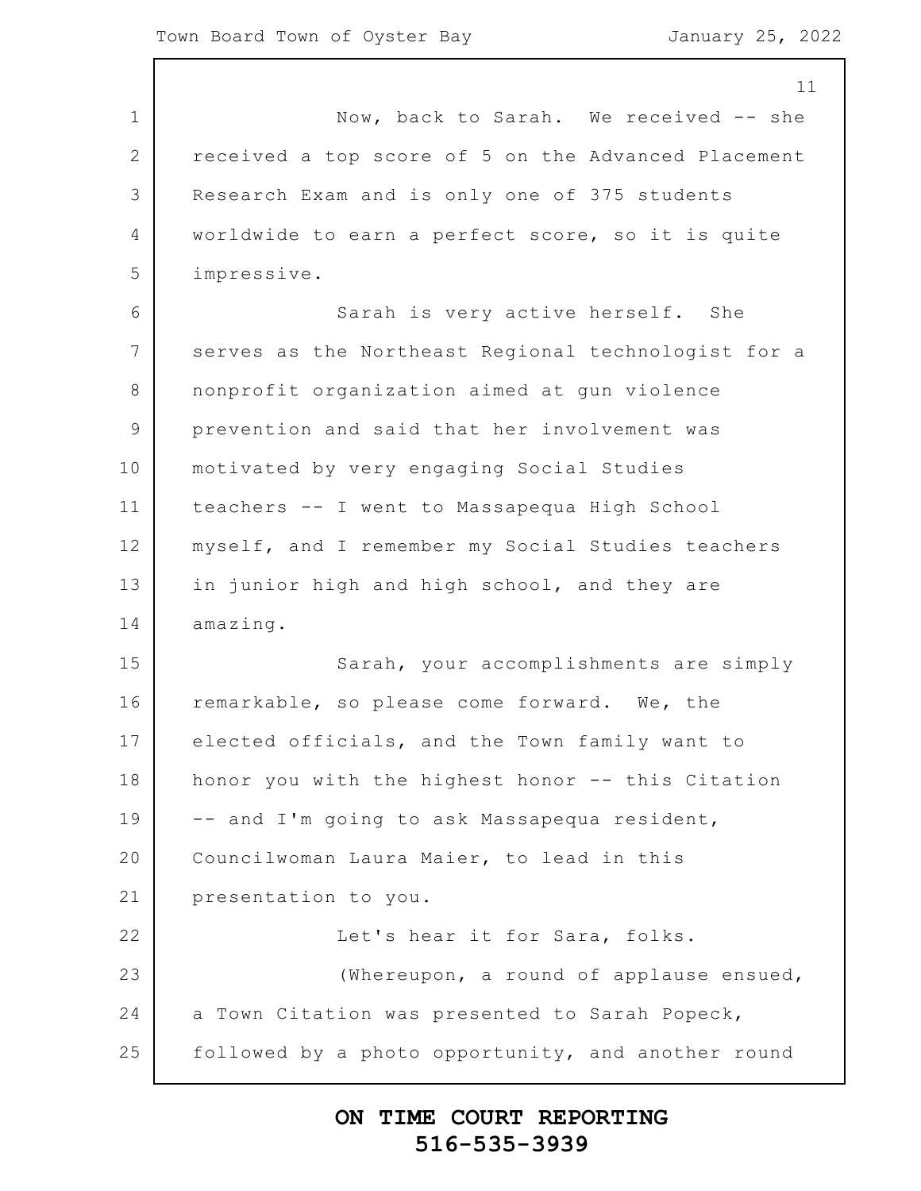1 2 3 4 5 6 7 8 9 10 11 12 13 14 15 16 17 18 19 20 21 22 23 24 25 11 Now, back to Sarah. We received -- she received a top score of 5 on the Advanced Placement Research Exam and is only one of 375 students worldwide to earn a perfect score, so it is quite impressive. Sarah is very active herself. She serves as the Northeast Regional technologist for a nonprofit organization aimed at gun violence prevention and said that her involvement was motivated by very engaging Social Studies teachers -- I went to Massapequa High School myself, and I remember my Social Studies teachers in junior high and high school, and they are amazing. Sarah, your accomplishments are simply remarkable, so please come forward. We, the elected officials, and the Town family want to honor you with the highest honor -- this Citation -- and I'm going to ask Massapequa resident, Councilwoman Laura Maier, to lead in this presentation to you. Let's hear it for Sara, folks. (Whereupon, a round of applause ensued, a Town Citation was presented to Sarah Popeck, followed by a photo opportunity, and another round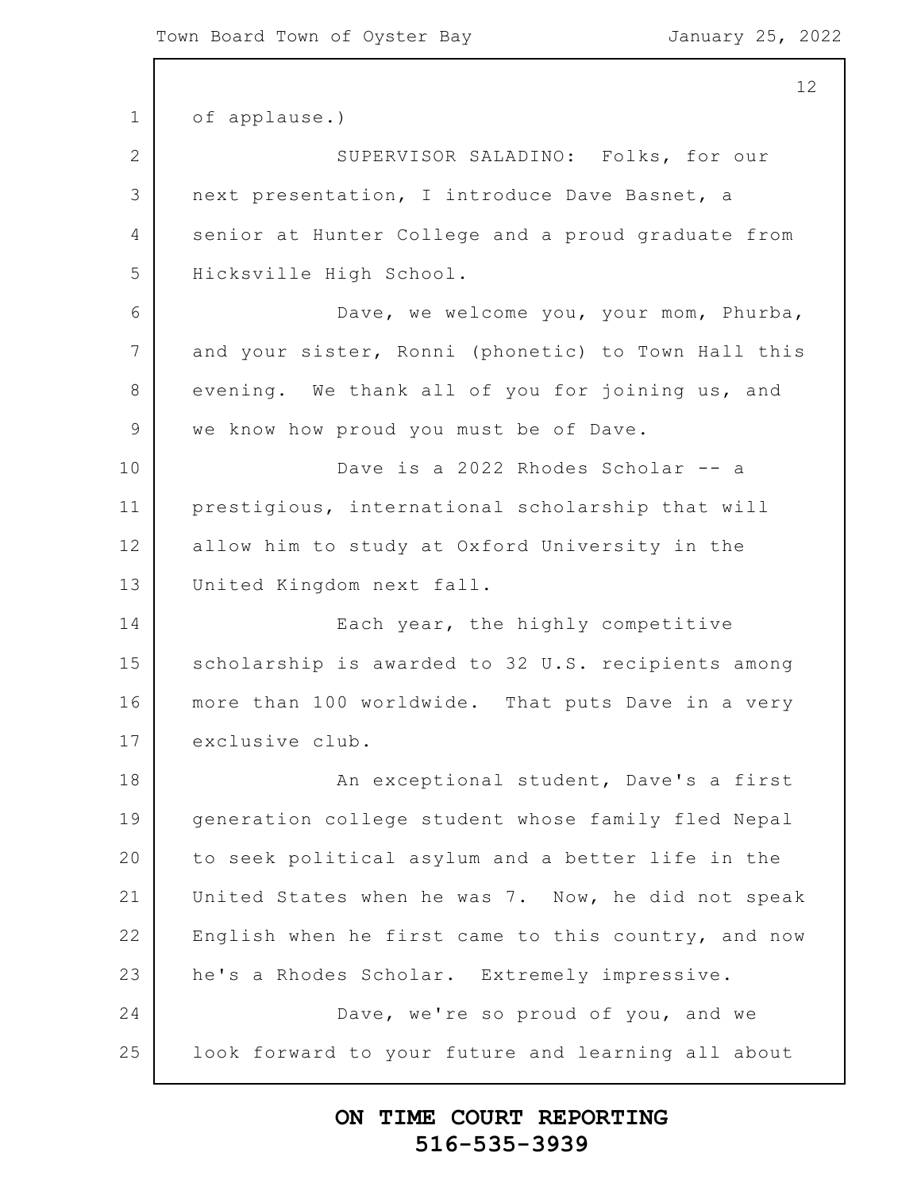1 2 3 4 5 6 7 8 9 10 11 12 13 14 15 16 17 18 19 20 21 22 23 24 25 of applause.) SUPERVISOR SALADINO: Folks, for our next presentation, I introduce Dave Basnet, a senior at Hunter College and a proud graduate from Hicksville High School. Dave, we welcome you, your mom, Phurba, and your sister, Ronni (phonetic) to Town Hall this evening. We thank all of you for joining us, and we know how proud you must be of Dave. Dave is a 2022 Rhodes Scholar -- a prestigious, international scholarship that will allow him to study at Oxford University in the United Kingdom next fall. Each year, the highly competitive scholarship is awarded to 32 U.S. recipients among more than 100 worldwide. That puts Dave in a very exclusive club. An exceptional student, Dave's a first generation college student whose family fled Nepal to seek political asylum and a better life in the United States when he was 7. Now, he did not speak English when he first came to this country, and now he's a Rhodes Scholar. Extremely impressive. Dave, we're so proud of you, and we look forward to your future and learning all about

### **ON TIME COURT REPORTING 516-535-3939**

12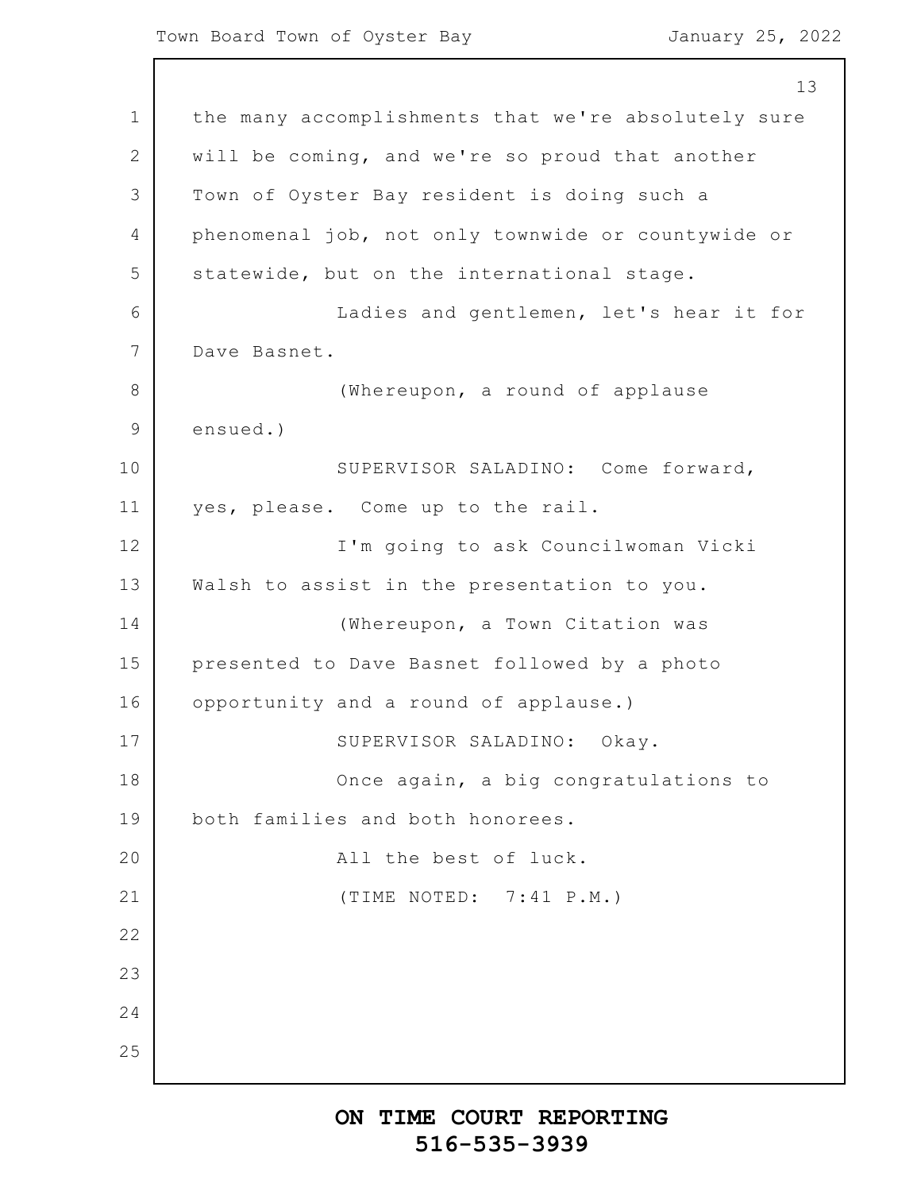1 2 3 4 5 6 7 8 9 10 11 12 13 14 15 16 17 18 19 20 21 22 23 24 25 13 the many accomplishments that we're absolutely sure will be coming, and we're so proud that another Town of Oyster Bay resident is doing such a phenomenal job, not only townwide or countywide or statewide, but on the international stage. Ladies and gentlemen, let's hear it for Dave Basnet. (Whereupon, a round of applause ensued.) SUPERVISOR SALADINO: Come forward, yes, please. Come up to the rail. I'm going to ask Councilwoman Vicki Walsh to assist in the presentation to you. (Whereupon, a Town Citation was presented to Dave Basnet followed by a photo opportunity and a round of applause.) SUPERVISOR SALADINO: Okay. Once again, a big congratulations to both families and both honorees. All the best of luck. (TIME NOTED: 7:41 P.M.)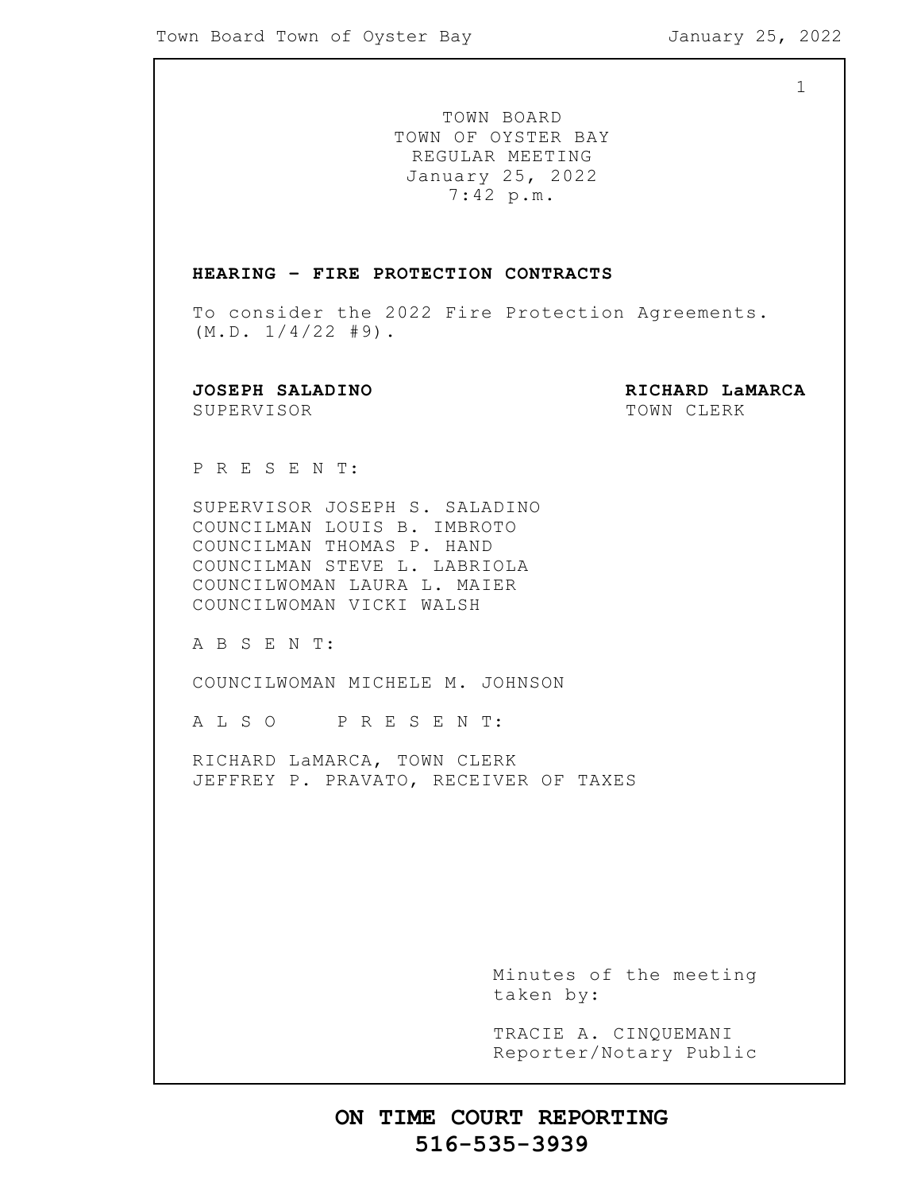1

TOWN BOARD TOWN OF OYSTER BAY REGULAR MEETING January 25, 2022 7:42 p.m.

#### **HEARING – FIRE PROTECTION CONTRACTS**

To consider the 2022 Fire Protection Agreements.  $(M.D. 1/4/22 #9).$ 

SUPERVISOR TOWN CLERK

**JOSEPH SALADINO RICHARD LaMARCA**

P R E S E N T:

SUPERVISOR JOSEPH S. SALADINO COUNCILMAN LOUIS B. IMBROTO COUNCILMAN THOMAS P. HAND COUNCILMAN STEVE L. LABRIOLA COUNCILWOMAN LAURA L. MAIER COUNCILWOMAN VICKI WALSH

A B S E N T:

COUNCILWOMAN MICHELE M. JOHNSON

A L S O P R E S E N T:

RICHARD LaMARCA, TOWN CLERK JEFFREY P. PRAVATO, RECEIVER OF TAXES

> Minutes of the meeting taken by:

> TRACIE A. CINQUEMANI Reporter/Notary Public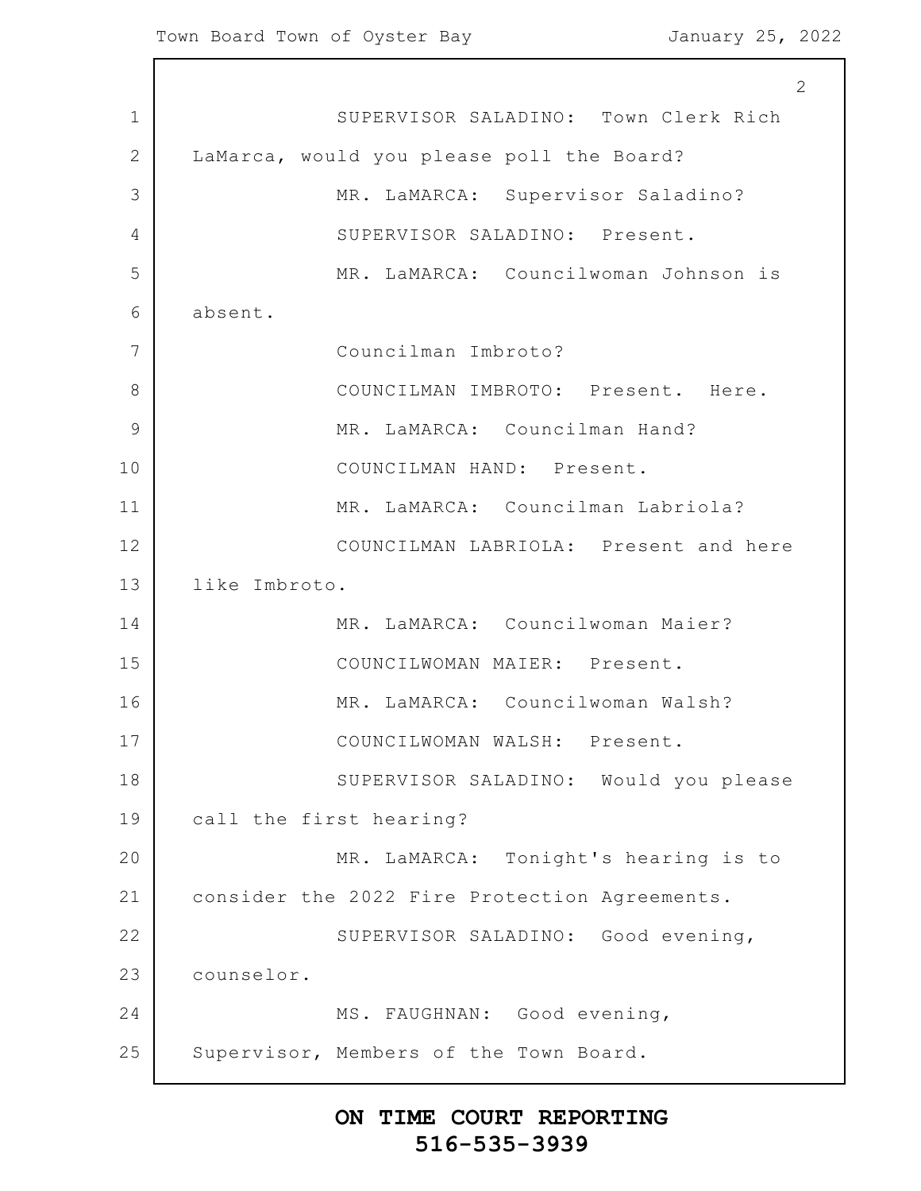1 2 3 4 5 6 7 8 9 10 11 12 13 14 15 16 17 18 19 20 21 22 23 24 25 2 SUPERVISOR SALADINO: Town Clerk Rich LaMarca, would you please poll the Board? MR. LaMARCA: Supervisor Saladino? SUPERVISOR SALADINO: Present. MR. LaMARCA: Councilwoman Johnson is absent. Councilman Imbroto? COUNCILMAN IMBROTO: Present. Here. MR. LaMARCA: Councilman Hand? COUNCILMAN HAND: Present. MR. LaMARCA: Councilman Labriola? COUNCILMAN LABRIOLA: Present and here like Imbroto. MR. LaMARCA: Councilwoman Maier? COUNCILWOMAN MAIER: Present. MR. LaMARCA: Councilwoman Walsh? COUNCILWOMAN WALSH: Present. SUPERVISOR SALADINO: Would you please call the first hearing? MR. LaMARCA: Tonight's hearing is to consider the 2022 Fire Protection Agreements. SUPERVISOR SALADINO: Good evening, counselor. MS. FAUGHNAN: Good evening, Supervisor, Members of the Town Board.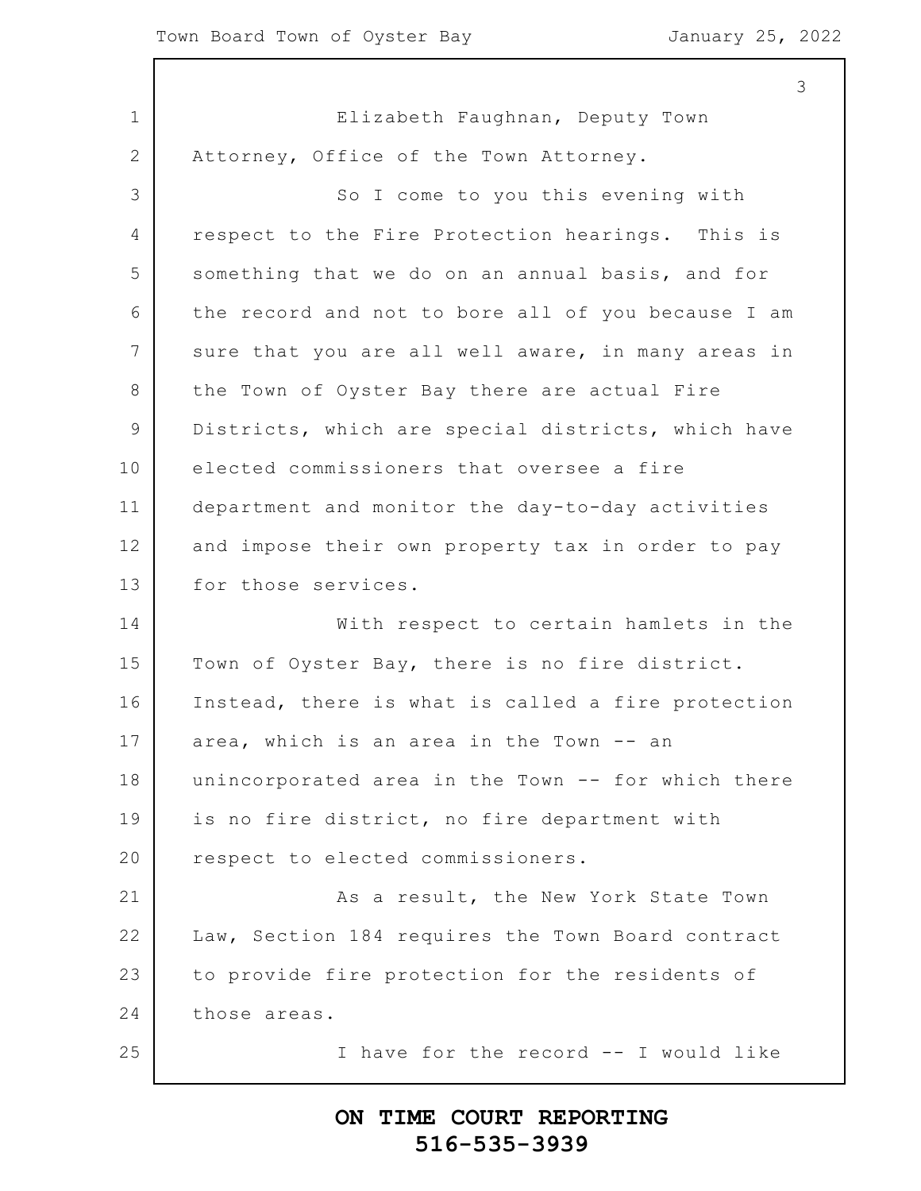1 2 3 4 5 6 7 8 9 10 11 12 13 14 15 16 17 18 19 20 21 22 23 24 25 3 Elizabeth Faughnan, Deputy Town Attorney, Office of the Town Attorney. So I come to you this evening with respect to the Fire Protection hearings. This is something that we do on an annual basis, and for the record and not to bore all of you because I am sure that you are all well aware, in many areas in the Town of Oyster Bay there are actual Fire Districts, which are special districts, which have elected commissioners that oversee a fire department and monitor the day-to-day activities and impose their own property tax in order to pay for those services. With respect to certain hamlets in the Town of Oyster Bay, there is no fire district. Instead, there is what is called a fire protection area, which is an area in the Town -- an unincorporated area in the Town -- for which there is no fire district, no fire department with respect to elected commissioners. As a result, the New York State Town Law, Section 184 requires the Town Board contract to provide fire protection for the residents of those areas. I have for the record -- I would like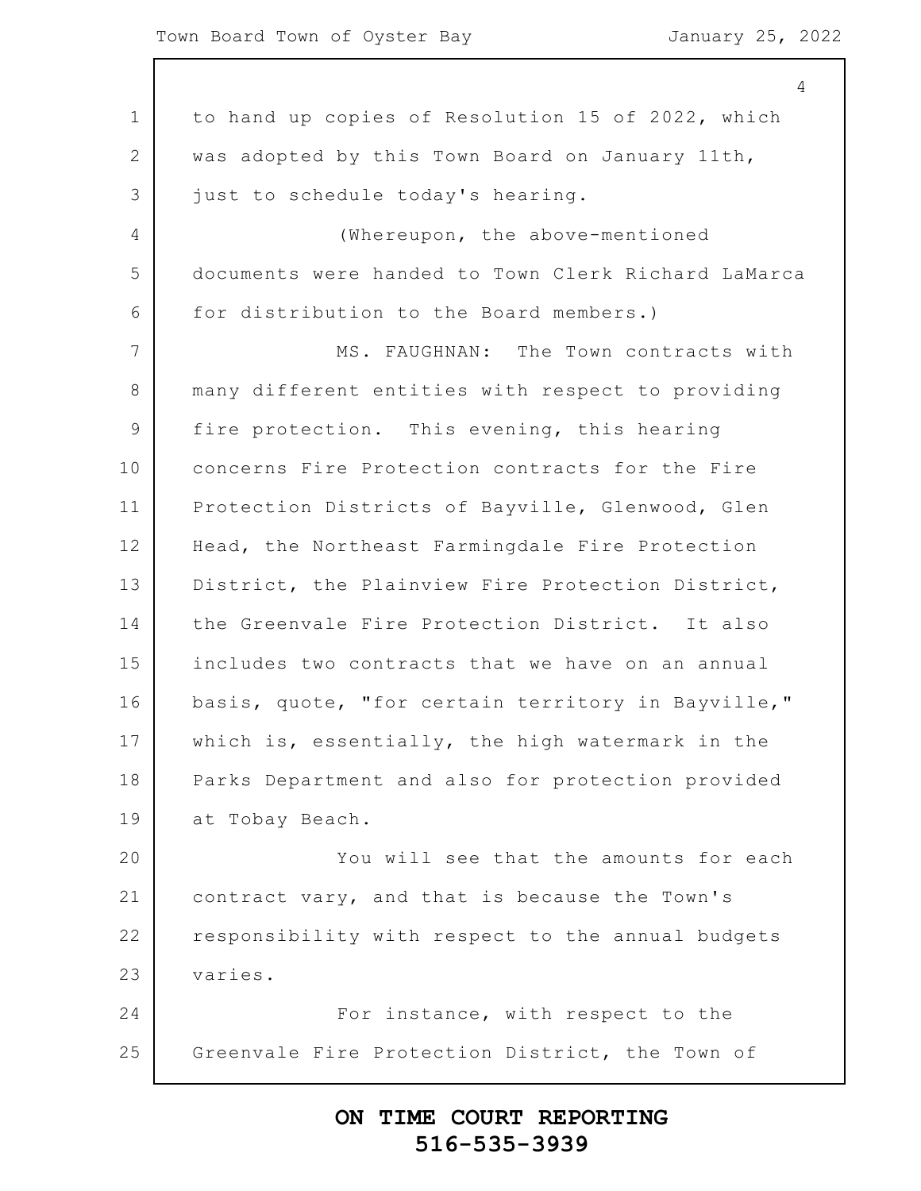1 2 3 4 5 6 7 8 9 10 11 12 13 14 15 16 17 18 19 20 21 22 23 24 25 4 to hand up copies of Resolution 15 of 2022, which was adopted by this Town Board on January 11th, just to schedule today's hearing. (Whereupon, the above-mentioned documents were handed to Town Clerk Richard LaMarca for distribution to the Board members.) MS. FAUGHNAN: The Town contracts with many different entities with respect to providing fire protection. This evening, this hearing concerns Fire Protection contracts for the Fire Protection Districts of Bayville, Glenwood, Glen Head, the Northeast Farmingdale Fire Protection District, the Plainview Fire Protection District, the Greenvale Fire Protection District. It also includes two contracts that we have on an annual basis, quote, "for certain territory in Bayville," which is, essentially, the high watermark in the Parks Department and also for protection provided at Tobay Beach. You will see that the amounts for each contract vary, and that is because the Town's responsibility with respect to the annual budgets varies. For instance, with respect to the Greenvale Fire Protection District, the Town of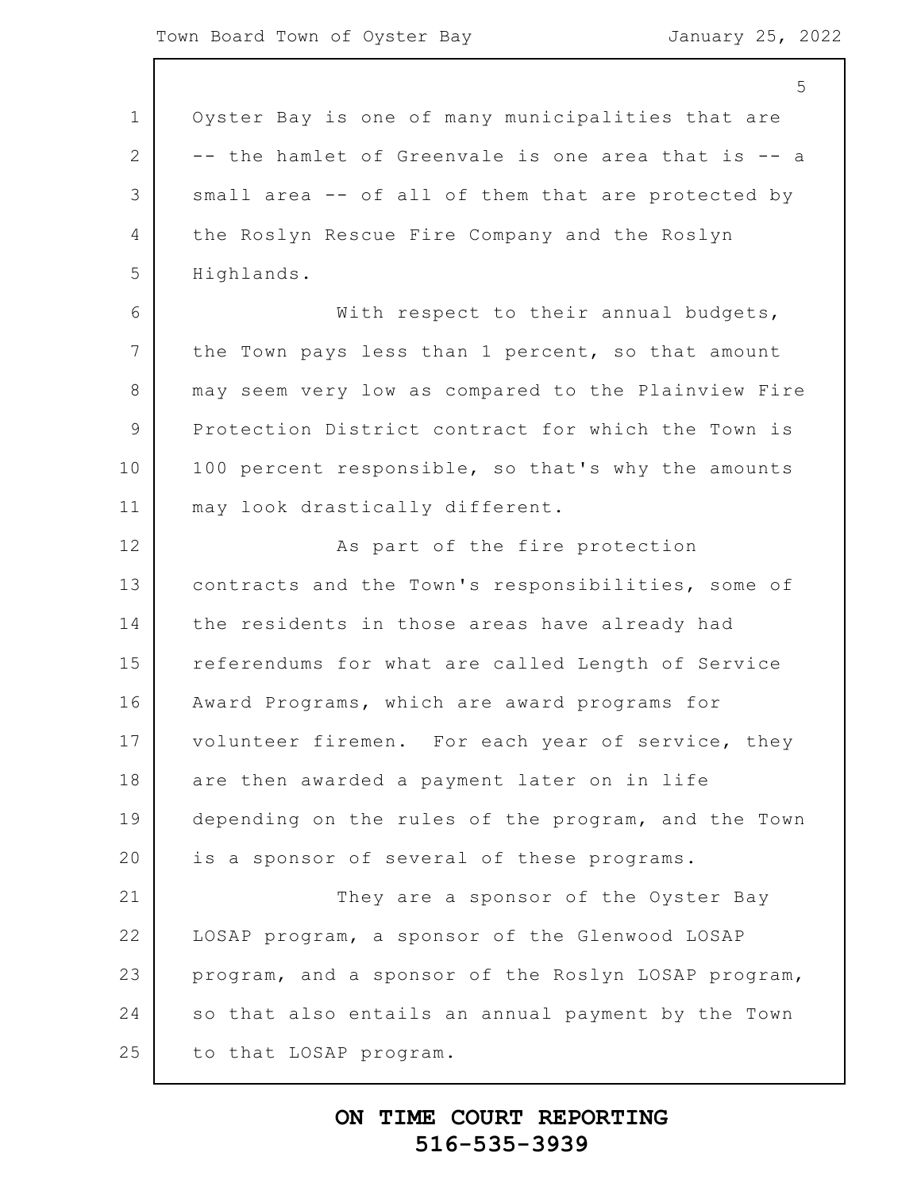1 2 3 4 5 6 7 8 9 10 11 12 13 14 15 16 17 18 19 20 21 22 23 24 25 5 Oyster Bay is one of many municipalities that are -- the hamlet of Greenvale is one area that is -- a small area -- of all of them that are protected by the Roslyn Rescue Fire Company and the Roslyn Highlands. With respect to their annual budgets, the Town pays less than 1 percent, so that amount may seem very low as compared to the Plainview Fire Protection District contract for which the Town is 100 percent responsible, so that's why the amounts may look drastically different. As part of the fire protection contracts and the Town's responsibilities, some of the residents in those areas have already had referendums for what are called Length of Service Award Programs, which are award programs for volunteer firemen. For each year of service, they are then awarded a payment later on in life depending on the rules of the program, and the Town is a sponsor of several of these programs. They are a sponsor of the Oyster Bay LOSAP program, a sponsor of the Glenwood LOSAP program, and a sponsor of the Roslyn LOSAP program, so that also entails an annual payment by the Town to that LOSAP program.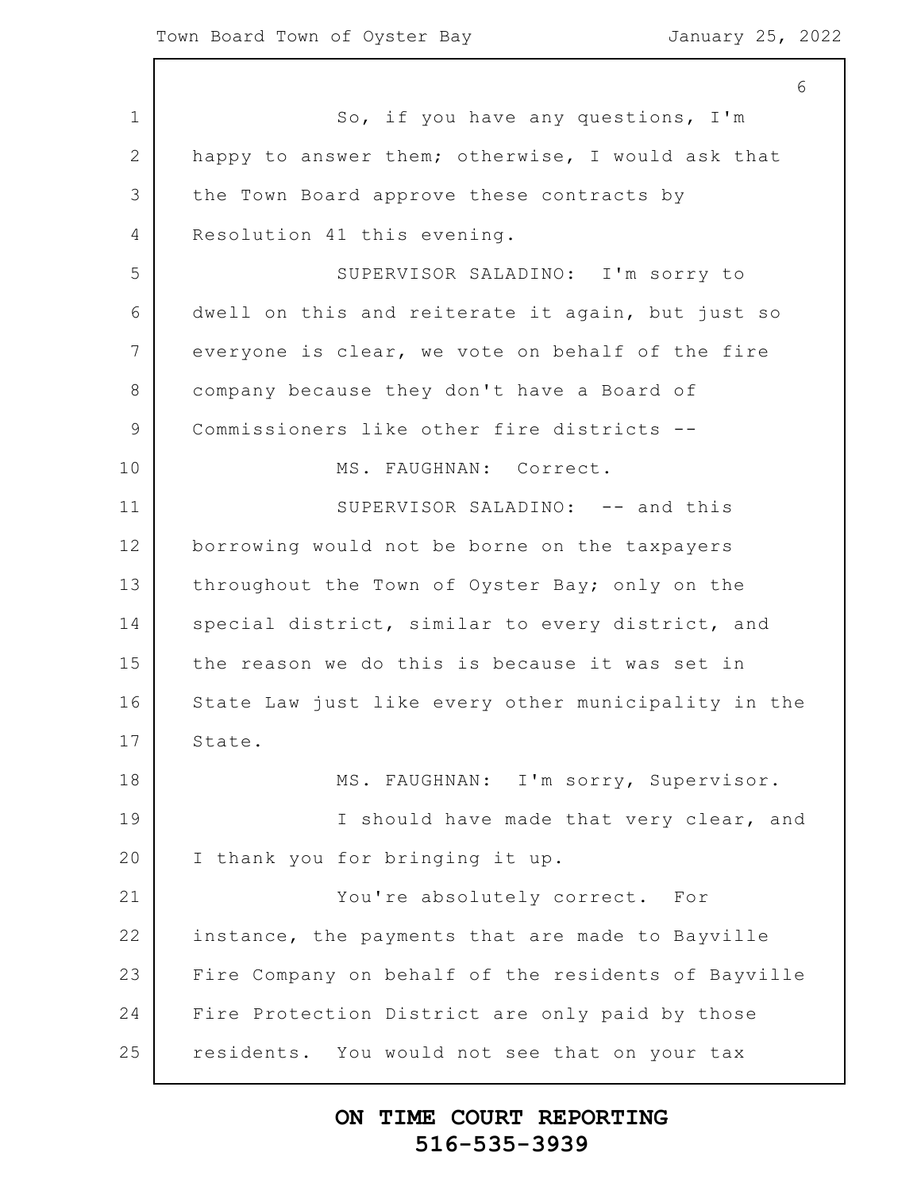1 2 3 4 5 6 7 8 9 10 11 12 13 14 15 16 17 18 19 20 21 22 23 24 25 6 So, if you have any questions, I'm happy to answer them; otherwise, I would ask that the Town Board approve these contracts by Resolution 41 this evening. SUPERVISOR SALADINO: I'm sorry to dwell on this and reiterate it again, but just so everyone is clear, we vote on behalf of the fire company because they don't have a Board of Commissioners like other fire districts -- MS. FAUGHNAN: Correct. SUPERVISOR SALADINO: -- and this borrowing would not be borne on the taxpayers throughout the Town of Oyster Bay; only on the special district, similar to every district, and the reason we do this is because it was set in State Law just like every other municipality in the State. MS. FAUGHNAN: I'm sorry, Supervisor. I should have made that very clear, and I thank you for bringing it up. You're absolutely correct. For instance, the payments that are made to Bayville Fire Company on behalf of the residents of Bayville Fire Protection District are only paid by those residents. You would not see that on your tax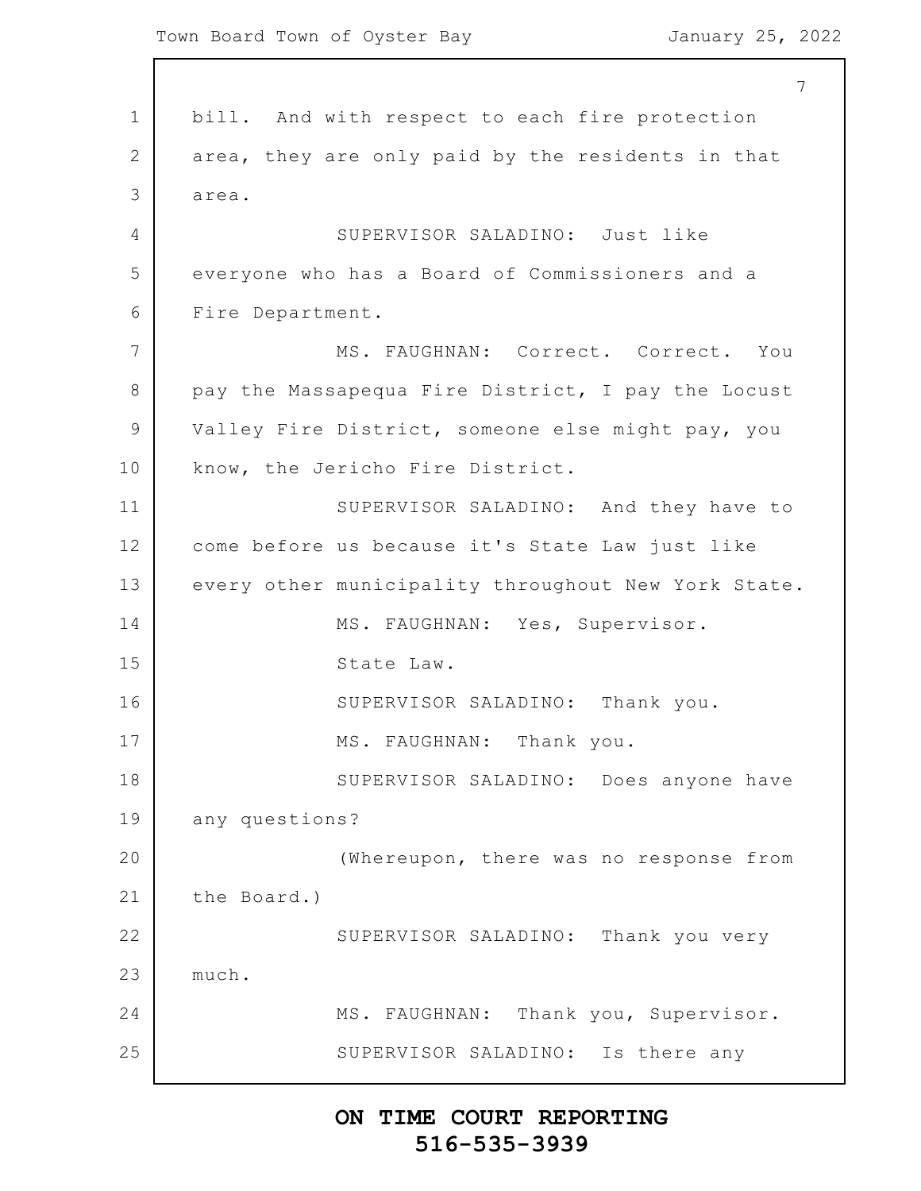1 2 3 4 5 6 7 8 9 10 11 12 13 14 15 16 17 18 19 20 21 22 23 24 25 7 bill. And with respect to each fire protection area, they are only paid by the residents in that area. SUPERVISOR SALADINO: Just like everyone who has a Board of Commissioners and a Fire Department. MS. FAUGHNAN: Correct. Correct. You pay the Massapequa Fire District, I pay the Locust Valley Fire District, someone else might pay, you know, the Jericho Fire District. SUPERVISOR SALADINO: And they have to come before us because it's State Law just like every other municipality throughout New York State. MS. FAUGHNAN: Yes, Supervisor. State Law. SUPERVISOR SALADINO: Thank you. MS. FAUGHNAN: Thank you. SUPERVISOR SALADINO: Does anyone have any questions? (Whereupon, there was no response from the Board.) SUPERVISOR SALADINO: Thank you very much. MS. FAUGHNAN: Thank you, Supervisor. SUPERVISOR SALADINO: Is there any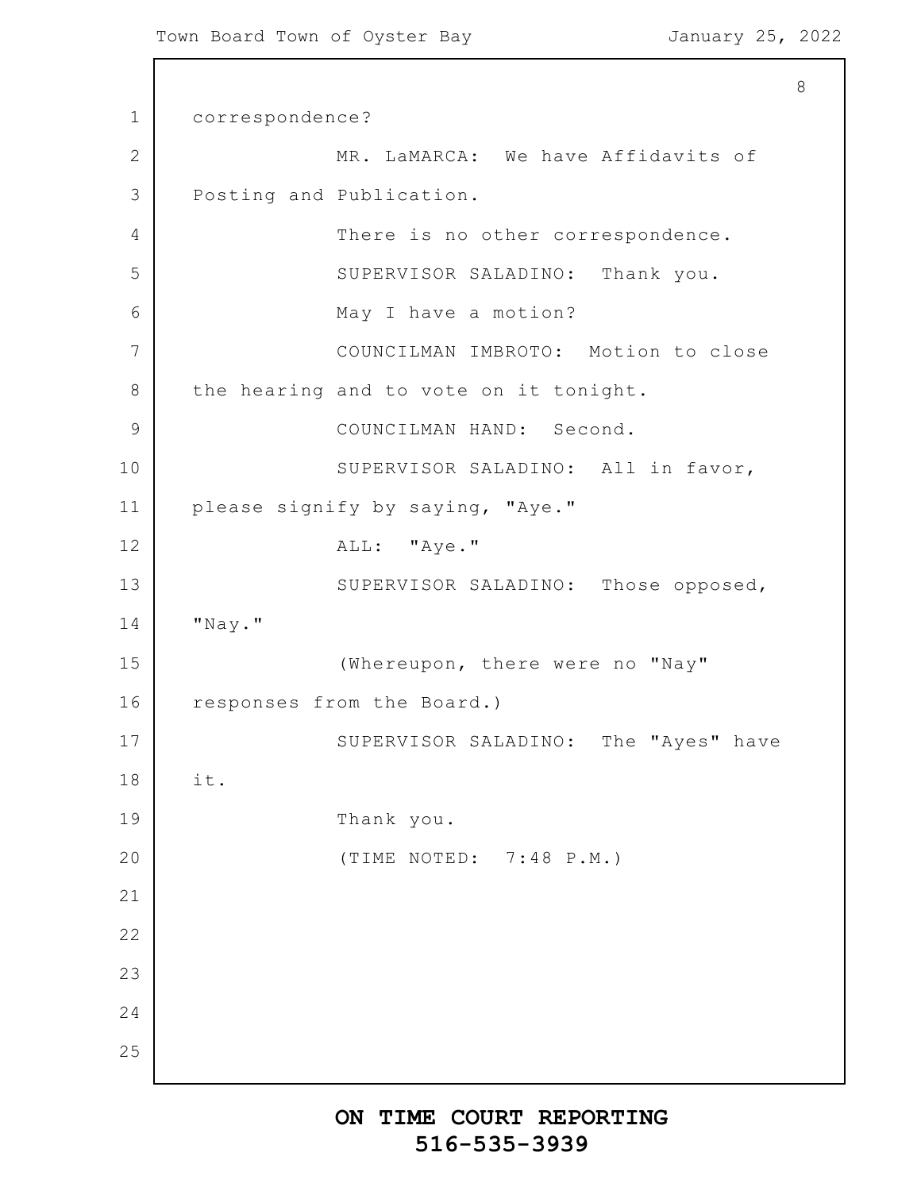```
1
2
3
4
5
6
7
8
9
10
11
12
13
14
15
16
17
18
19
20
21
22
23
24
25
                                                           8
      correspondence?
                  MR. LaMARCA: We have Affidavits of
      Posting and Publication.
                   There is no other correspondence.
                   SUPERVISOR SALADINO: Thank you.
                  May I have a motion?
                  COUNCILMAN IMBROTO: Motion to close
      the hearing and to vote on it tonight.
                  COUNCILMAN HAND: Second.
                   SUPERVISOR SALADINO: All in favor,
      please signify by saying, "Aye."
                  ALL: "Aye."
                   SUPERVISOR SALADINO: Those opposed,
      "Nay."
                   (Whereupon, there were no "Nay"
      responses from the Board.)
                   SUPERVISOR SALADINO: The "Ayes" have
      it.
                   Thank you.
                   (TIME NOTED: 7:48 P.M.)
```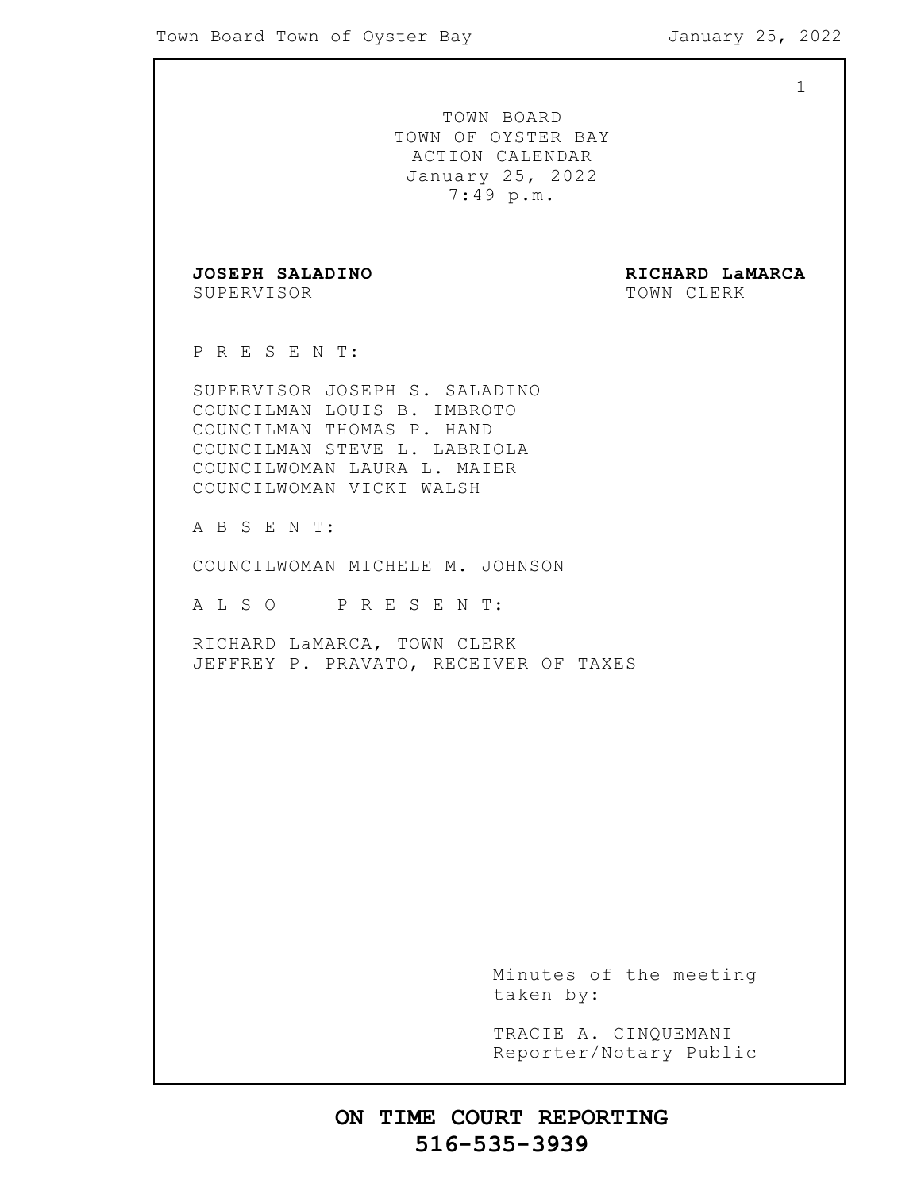|                                                                                                                                                                                      | $\mathbf 1$                                                                          |
|--------------------------------------------------------------------------------------------------------------------------------------------------------------------------------------|--------------------------------------------------------------------------------------|
|                                                                                                                                                                                      | TOWN BOARD<br>TOWN OF OYSTER BAY<br>ACTION CALENDAR<br>January 25, 2022<br>7:49 p.m. |
| JOSEPH SALADINO<br>SUPERVISOR                                                                                                                                                        | RICHARD LaMARCA<br>TOWN CLERK                                                        |
| PRESENT:                                                                                                                                                                             |                                                                                      |
| SUPERVISOR JOSEPH S. SALADINO<br>COUNCILMAN LOUIS B. IMBROTO<br>COUNCILMAN THOMAS P. HAND<br>COUNCILMAN STEVE L. LABRIOLA<br>COUNCILWOMAN LAURA L. MAIER<br>COUNCILWOMAN VICKI WALSH |                                                                                      |
| A B S E N T:                                                                                                                                                                         |                                                                                      |
| COUNCILWOMAN MICHELE M. JOHNSON                                                                                                                                                      |                                                                                      |
| ALSO PRESENT:                                                                                                                                                                        |                                                                                      |
| RICHARD LaMARCA, TOWN CLERK<br>JEFFREY P. PRAVATO, RECEIVER OF TAXES                                                                                                                 |                                                                                      |
|                                                                                                                                                                                      |                                                                                      |
|                                                                                                                                                                                      |                                                                                      |
|                                                                                                                                                                                      | Minutes of the meeting<br>taken by:                                                  |
|                                                                                                                                                                                      | TRACIE A. CINQUEMANI<br>Reporter/Notary Public                                       |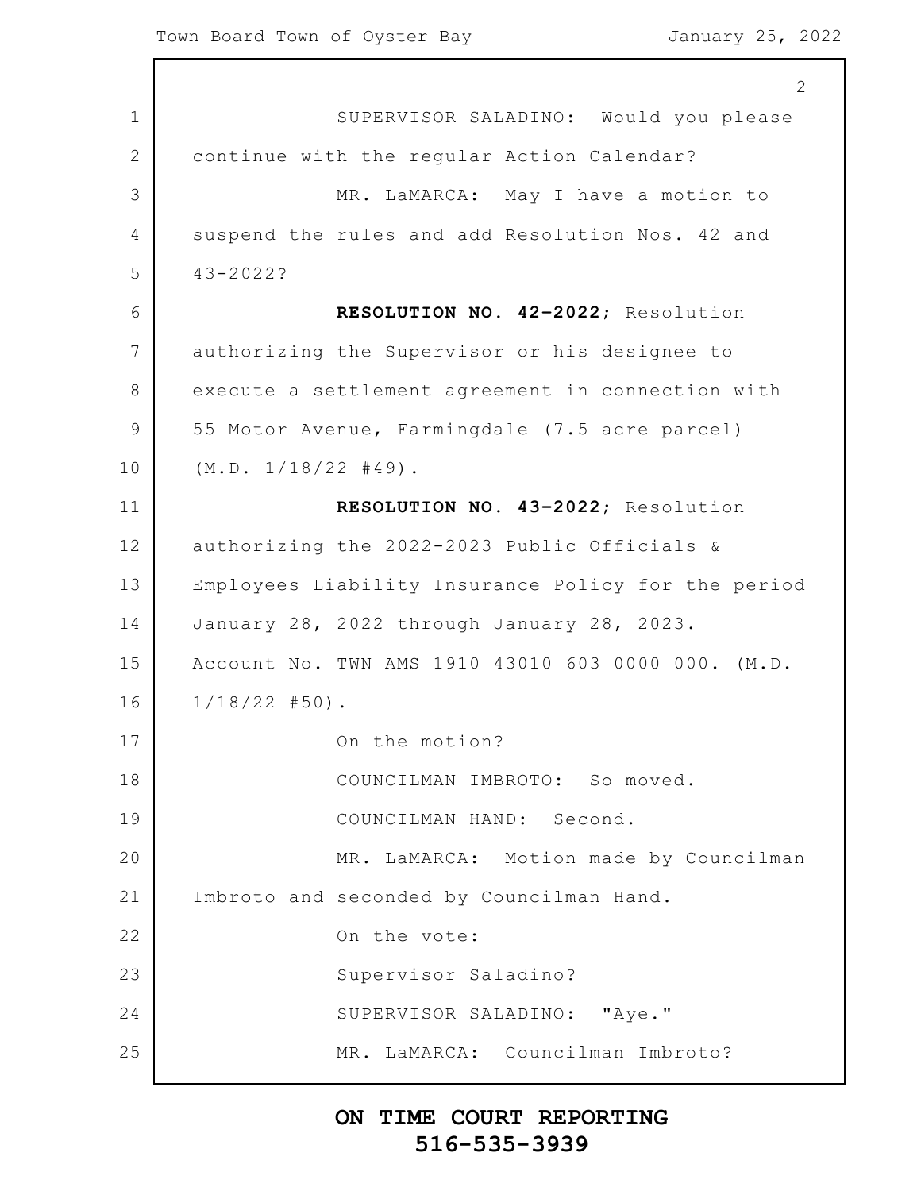1 2 3 4 5 6 7 8 9 10 11 12 13 14 15 16 17 18 19 20 21 22 23 24 25 2 SUPERVISOR SALADINO: Would you please continue with the regular Action Calendar? MR. LaMARCA: May I have a motion to suspend the rules and add Resolution Nos. 42 and 43-2022? **RESOLUTION NO. 42–2022**; Resolution authorizing the Supervisor or his designee to execute a settlement agreement in connection with 55 Motor Avenue, Farmingdale (7.5 acre parcel)  $(M.D. 1/18/22 #49)$ . **RESOLUTION NO. 43–2022**; Resolution authorizing the 2022-2023 Public Officials & Employees Liability Insurance Policy for the period January 28, 2022 through January 28, 2023. Account No. TWN AMS 1910 43010 603 0000 000. (M.D. 1/18/22 #50). On the motion? COUNCILMAN IMBROTO: So moved. COUNCILMAN HAND: Second. MR. LaMARCA: Motion made by Councilman Imbroto and seconded by Councilman Hand. On the vote: Supervisor Saladino? SUPERVISOR SALADINO: "Aye." MR. LaMARCA: Councilman Imbroto?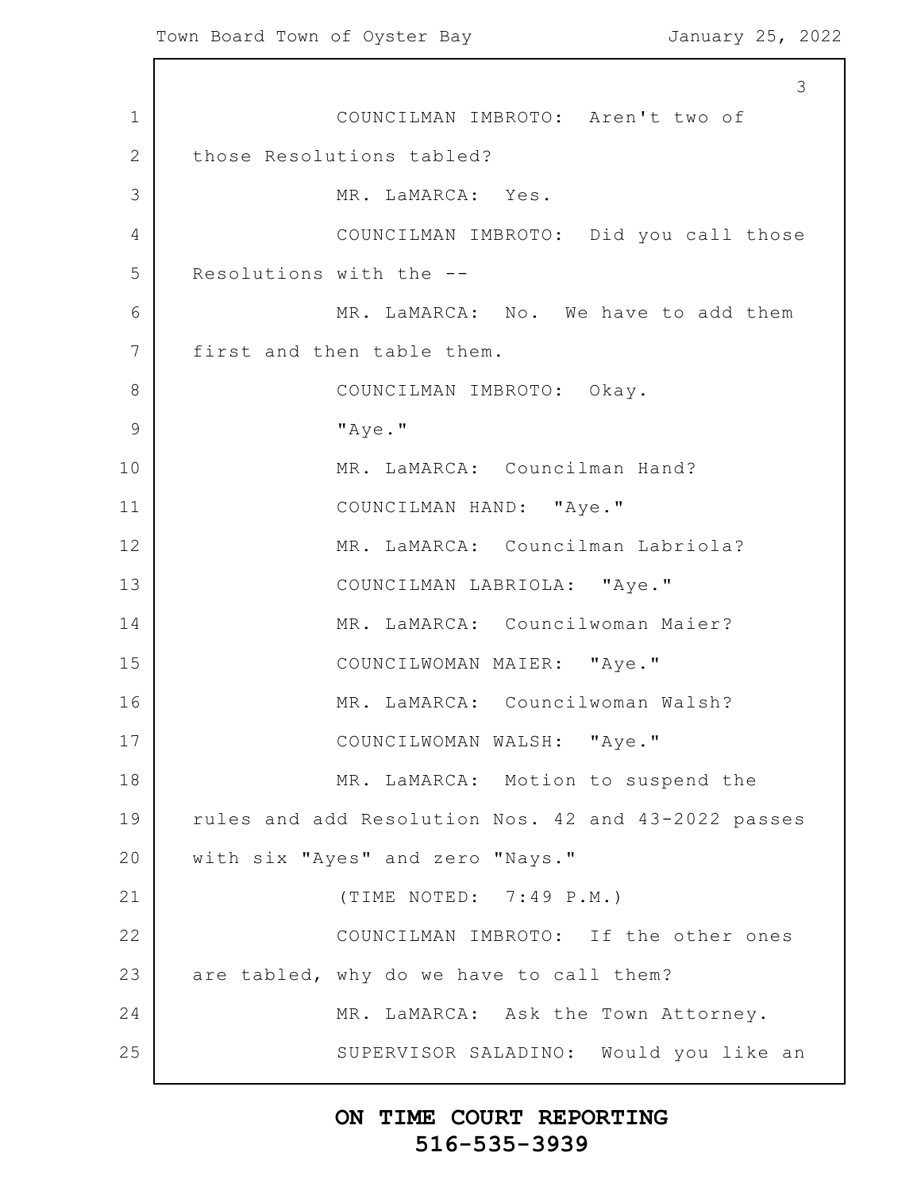1 2 3 4 5 6 7 8 9 10 11 12 13 14 15 16 17 18 19 20 21 22 23 24 25 3 COUNCILMAN IMBROTO: Aren't two of those Resolutions tabled? MR. LaMARCA: Yes. COUNCILMAN IMBROTO: Did you call those Resolutions with the -- MR. LaMARCA: No. We have to add them first and then table them. COUNCILMAN IMBROTO: Okay. "Aye." MR. LaMARCA: Councilman Hand? COUNCILMAN HAND: "Aye." MR. LaMARCA: Councilman Labriola? COUNCILMAN LABRIOLA: "Aye." MR. LaMARCA: Councilwoman Maier? COUNCILWOMAN MAIER: "Aye." MR. LaMARCA: Councilwoman Walsh? COUNCILWOMAN WALSH: "Aye." MR. LaMARCA: Motion to suspend the rules and add Resolution Nos. 42 and 43-2022 passes with six "Ayes" and zero "Nays." (TIME NOTED: 7:49 P.M.) COUNCILMAN IMBROTO: If the other ones are tabled, why do we have to call them? MR. LaMARCA: Ask the Town Attorney. SUPERVISOR SALADINO: Would you like an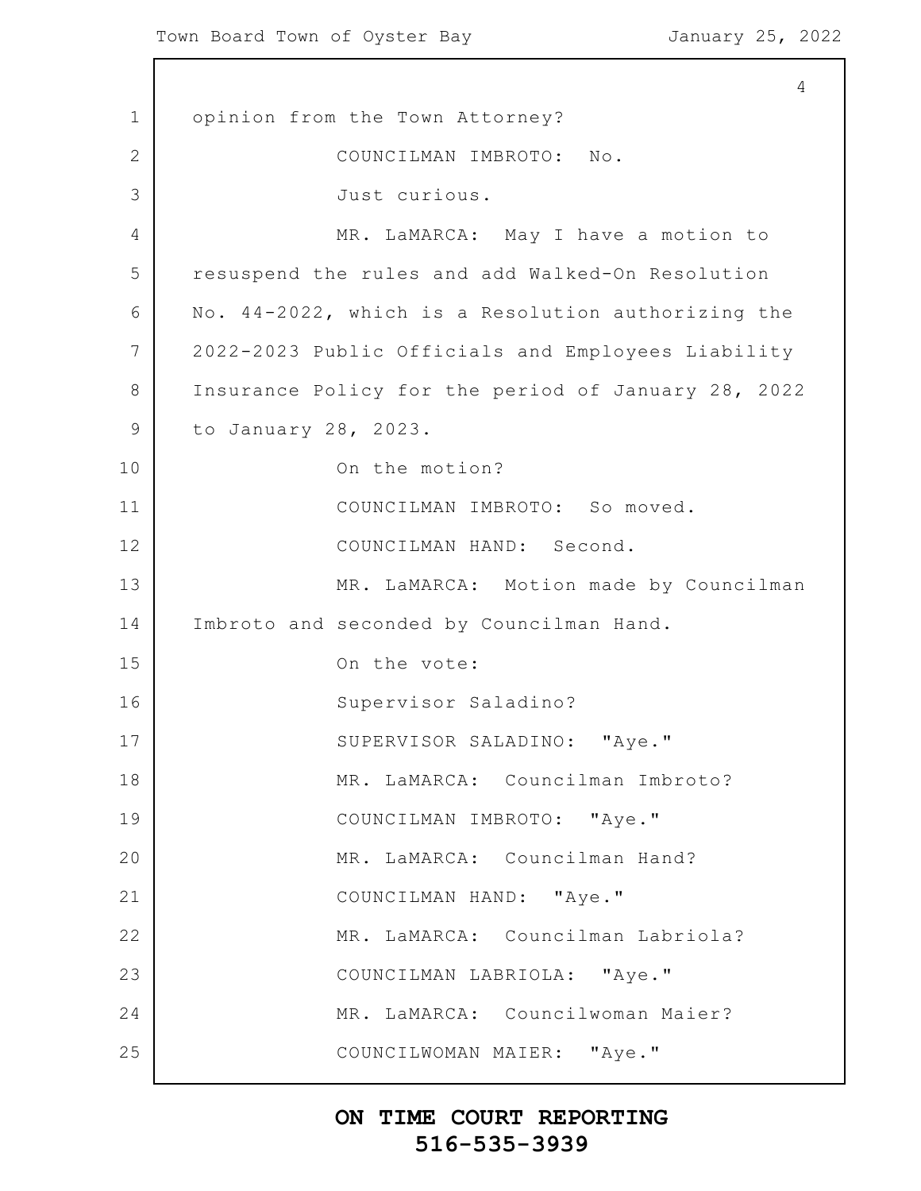1 2 3 4 5 6 7 8 9 10 11 12 13 14 15 16 17 18 19 20 21 22 23 24 25 4 opinion from the Town Attorney? COUNCILMAN IMBROTO: No. Just curious. MR. LaMARCA: May I have a motion to resuspend the rules and add Walked-On Resolution No. 44-2022, which is a Resolution authorizing the 2022-2023 Public Officials and Employees Liability Insurance Policy for the period of January 28, 2022 to January 28, 2023. On the motion? COUNCILMAN IMBROTO: So moved. COUNCILMAN HAND: Second. MR. LaMARCA: Motion made by Councilman Imbroto and seconded by Councilman Hand. On the vote: Supervisor Saladino? SUPERVISOR SALADINO: "Aye." MR. LaMARCA: Councilman Imbroto? COUNCILMAN IMBROTO: "Aye." MR. LaMARCA: Councilman Hand? COUNCILMAN HAND: "Aye." MR. LaMARCA: Councilman Labriola? COUNCILMAN LABRIOLA: "Aye." MR. LaMARCA: Councilwoman Maier? COUNCILWOMAN MAIER: "Aye."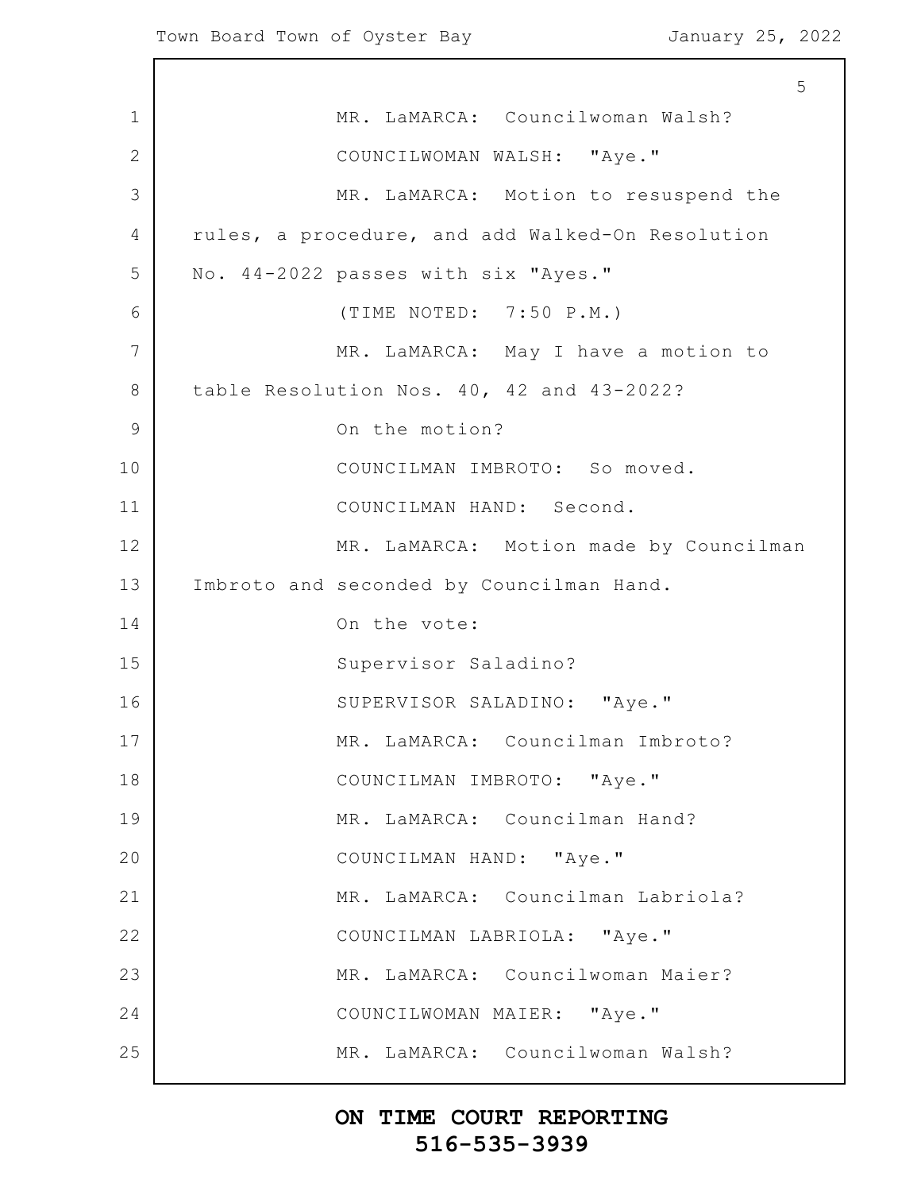1 2 3 4 5 6 7 8 9 10 11 12 13 14 15 16 17 18 19 20 21 22 23 24 25 5 MR. LaMARCA: Councilwoman Walsh? COUNCILWOMAN WALSH: "Aye." MR. LaMARCA: Motion to resuspend the rules, a procedure, and add Walked-On Resolution No. 44-2022 passes with six "Ayes." (TIME NOTED: 7:50 P.M.) MR. LaMARCA: May I have a motion to table Resolution Nos. 40, 42 and 43-2022? On the motion? COUNCILMAN IMBROTO: So moved. COUNCILMAN HAND: Second. MR. LaMARCA: Motion made by Councilman Imbroto and seconded by Councilman Hand. On the vote: Supervisor Saladino? SUPERVISOR SALADINO: "Aye." MR. LaMARCA: Councilman Imbroto? COUNCILMAN IMBROTO: "Aye." MR. LaMARCA: Councilman Hand? COUNCILMAN HAND: "Aye." MR. LaMARCA: Councilman Labriola? COUNCILMAN LABRIOLA: "Aye." MR. LaMARCA: Councilwoman Maier? COUNCILWOMAN MAIER: "Aye." MR. LaMARCA: Councilwoman Walsh?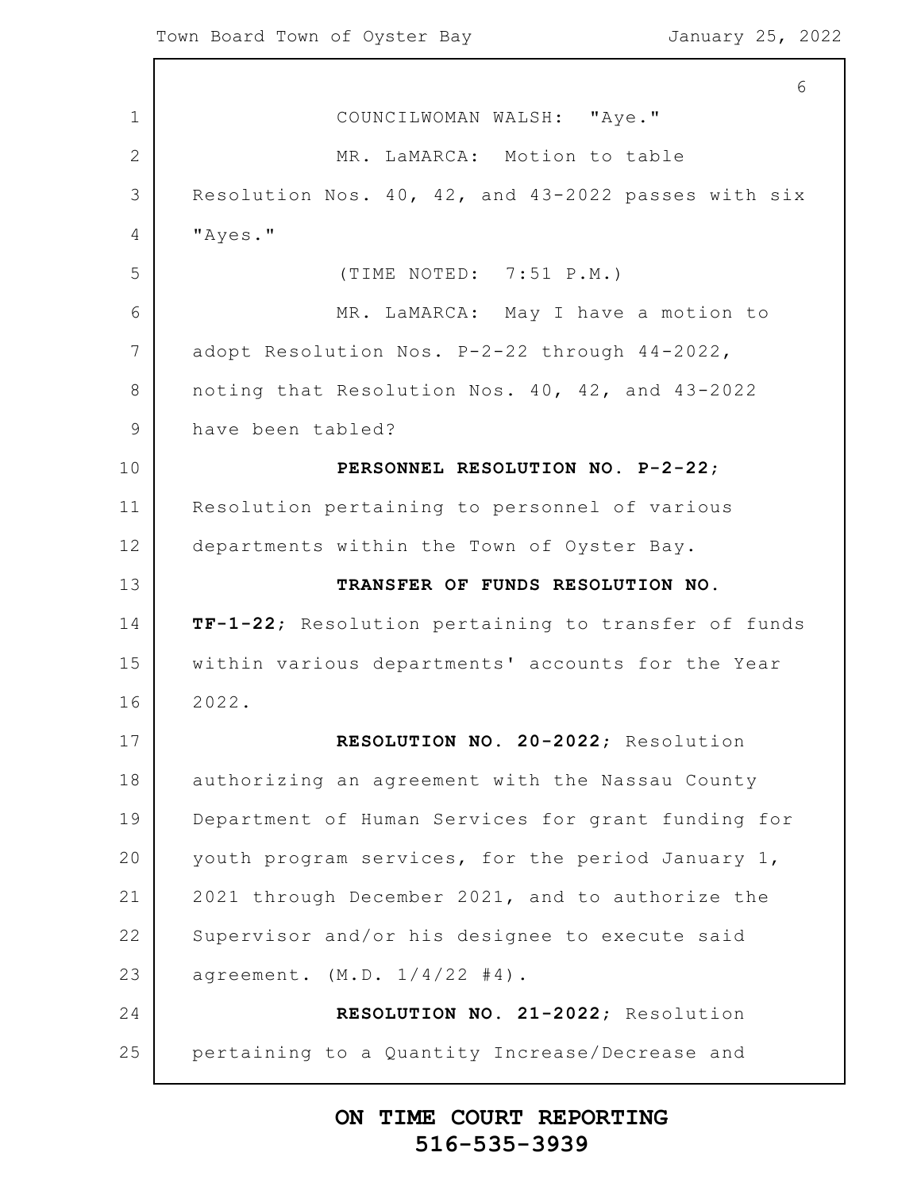1 2 3 4 5 6 7 8 9 10 11 12 13 14 15 16 17 18 19 20 21 22 23 24 25 6 COUNCILWOMAN WALSH: "Aye." MR. LaMARCA: Motion to table Resolution Nos. 40, 42, and 43-2022 passes with six "Ayes." (TIME NOTED: 7:51 P.M.) MR. LaMARCA: May I have a motion to adopt Resolution Nos. P-2-22 through 44-2022, noting that Resolution Nos. 40, 42, and 43-2022 have been tabled? **PERSONNEL RESOLUTION NO. P-2-22**; Resolution pertaining to personnel of various departments within the Town of Oyster Bay. **TRANSFER OF FUNDS RESOLUTION NO. TF-1-22**; Resolution pertaining to transfer of funds within various departments' accounts for the Year 2022. **RESOLUTION NO. 20-2022**; Resolution authorizing an agreement with the Nassau County Department of Human Services for grant funding for youth program services, for the period January 1, 2021 through December 2021, and to authorize the Supervisor and/or his designee to execute said  $a$ qreement.  $(M.D. 1/4/22 \#4)$ . **RESOLUTION NO. 21-2022**; Resolution pertaining to a Quantity Increase/Decrease and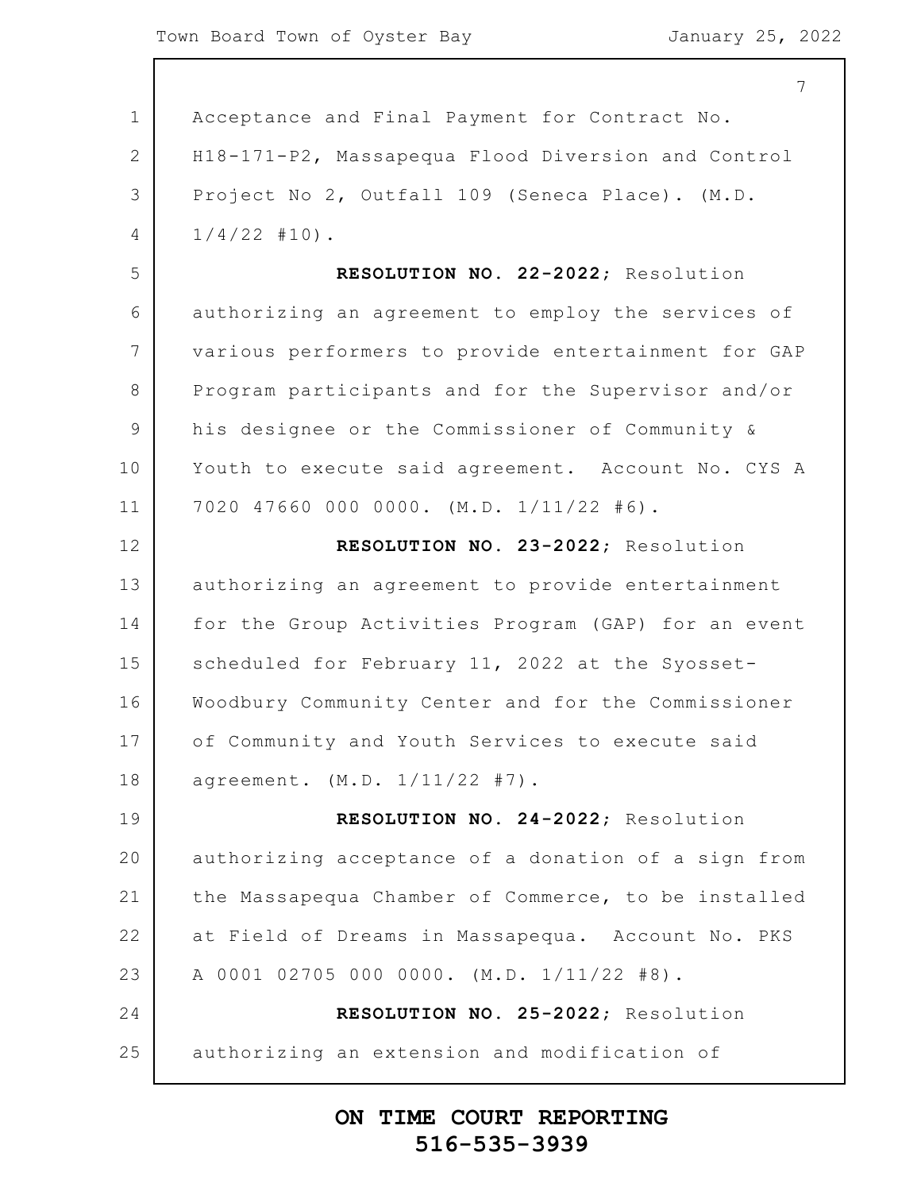1 2 3 4 5 6 7 8 9 10 11 12 13 14 15 16 17 18 19 20 21 22 23 24 25 7 Acceptance and Final Payment for Contract No. H18-171-P2, Massapequa Flood Diversion and Control Project No 2, Outfall 109 (Seneca Place). (M.D.  $1/4/22$  #10). **RESOLUTION NO. 22-2022**; Resolution authorizing an agreement to employ the services of various performers to provide entertainment for GAP Program participants and for the Supervisor and/or his designee or the Commissioner of Community & Youth to execute said agreement. Account No. CYS A 7020 47660 000 0000. (M.D. 1/11/22 #6). **RESOLUTION NO. 23-2022**; Resolution authorizing an agreement to provide entertainment for the Group Activities Program (GAP) for an event scheduled for February 11, 2022 at the Syosset-Woodbury Community Center and for the Commissioner of Community and Youth Services to execute said agreement. (M.D. 1/11/22 #7). **RESOLUTION NO. 24-2022**; Resolution authorizing acceptance of a donation of a sign from the Massapequa Chamber of Commerce, to be installed at Field of Dreams in Massapequa. Account No. PKS A 0001 02705 000 0000. (M.D. 1/11/22 #8). **RESOLUTION NO. 25-2022**; Resolution authorizing an extension and modification of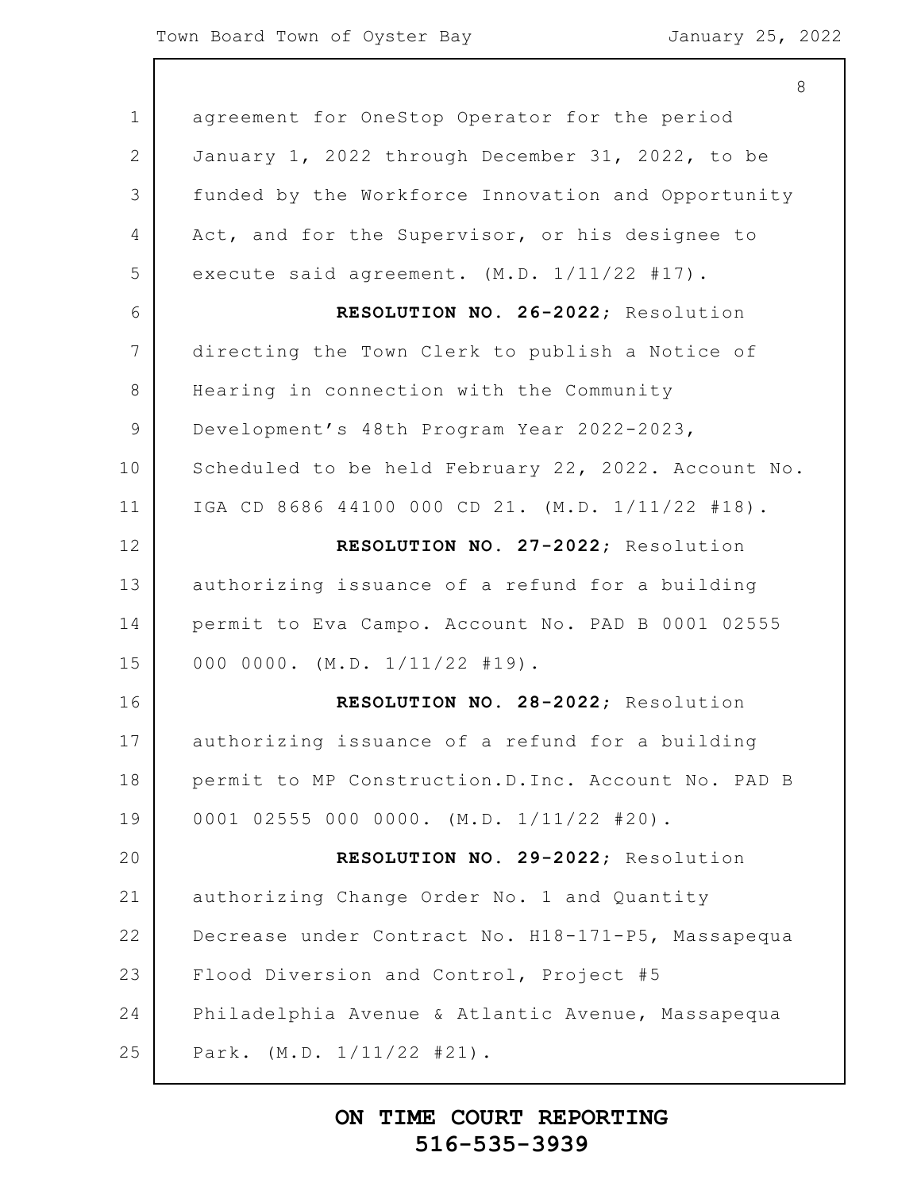1 2 3 4 5 6 7 8 9 10 11 12 13 14 15 16 17 18 19 20 21 22 23 24 25 8 agreement for OneStop Operator for the period January 1, 2022 through December 31, 2022, to be funded by the Workforce Innovation and Opportunity Act, and for the Supervisor, or his designee to execute said agreement. (M.D. 1/11/22 #17). **RESOLUTION NO. 26-2022**; Resolution directing the Town Clerk to publish a Notice of Hearing in connection with the Community Development's 48th Program Year 2022-2023, Scheduled to be held February 22, 2022. Account No. IGA CD 8686 44100 000 CD 21. (M.D. 1/11/22 #18). **RESOLUTION NO. 27-2022**; Resolution authorizing issuance of a refund for a building permit to Eva Campo. Account No. PAD B 0001 02555 000 0000. (M.D. 1/11/22 #19). **RESOLUTION NO. 28-2022**; Resolution authorizing issuance of a refund for a building permit to MP Construction.D.Inc. Account No. PAD B 0001 02555 000 0000. (M.D. 1/11/22 #20). **RESOLUTION NO. 29-2022**; Resolution authorizing Change Order No. 1 and Quantity Decrease under Contract No. H18-171-P5, Massapequa Flood Diversion and Control, Project #5 Philadelphia Avenue & Atlantic Avenue, Massapequa Park. (M.D. 1/11/22 #21).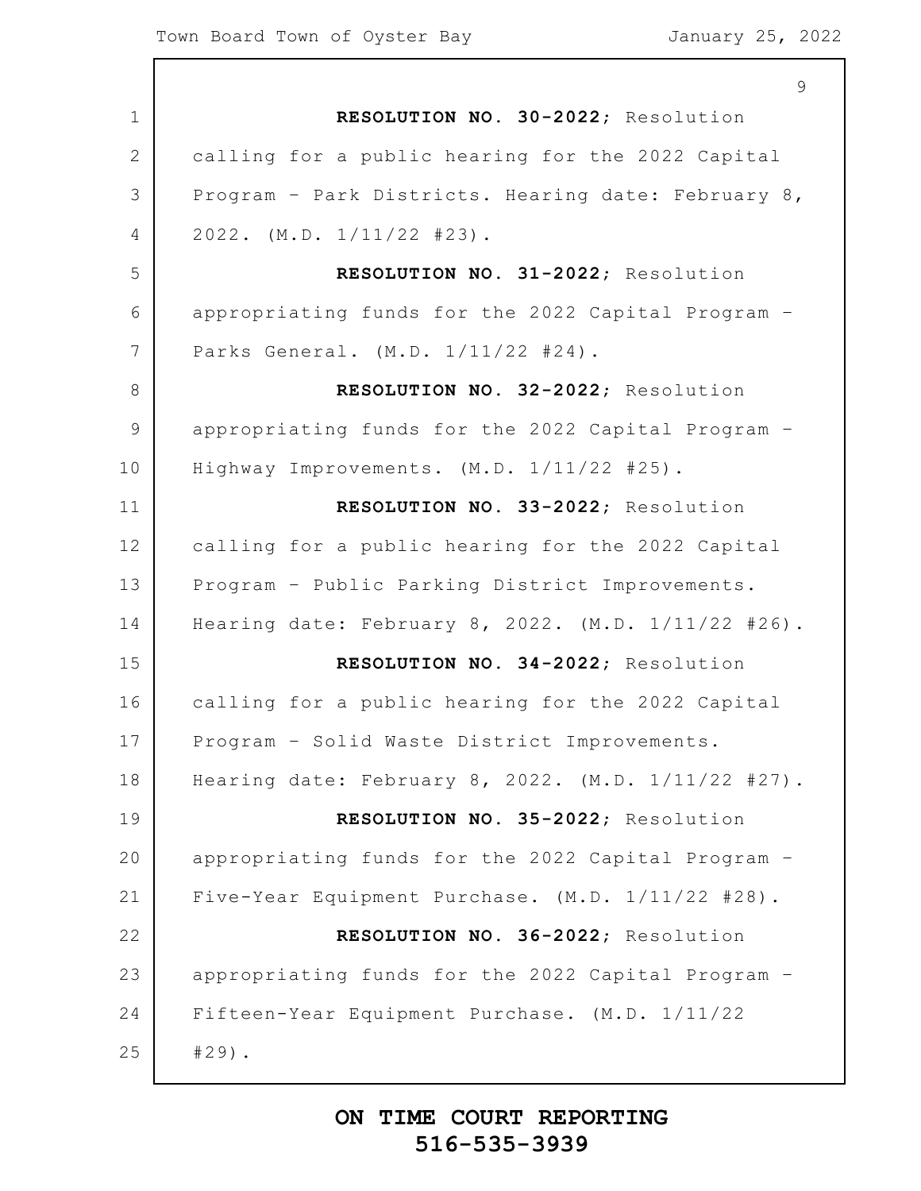1 2 3 4 5 6 7 8 9 10 11 12 13 14 15 16 17 18 19 20 21 22 23 24 25 9 **RESOLUTION NO. 30-2022**; Resolution calling for a public hearing for the 2022 Capital Program – Park Districts. Hearing date: February 8, 2022. (M.D. 1/11/22 #23). **RESOLUTION NO. 31-2022**; Resolution appropriating funds for the 2022 Capital Program – Parks General. (M.D. 1/11/22 #24). **RESOLUTION NO. 32-2022**; Resolution appropriating funds for the 2022 Capital Program – Highway Improvements. (M.D. 1/11/22 #25). **RESOLUTION NO. 33-2022**; Resolution calling for a public hearing for the 2022 Capital Program – Public Parking District Improvements. Hearing date: February 8, 2022. (M.D. 1/11/22 #26). **RESOLUTION NO. 34-2022**; Resolution calling for a public hearing for the 2022 Capital Program – Solid Waste District Improvements. Hearing date: February 8, 2022. (M.D. 1/11/22 #27). **RESOLUTION NO. 35-2022**; Resolution appropriating funds for the 2022 Capital Program – Five-Year Equipment Purchase. (M.D. 1/11/22 #28). **RESOLUTION NO. 36-2022**; Resolution appropriating funds for the 2022 Capital Program – Fifteen-Year Equipment Purchase. (M.D. 1/11/22 #29).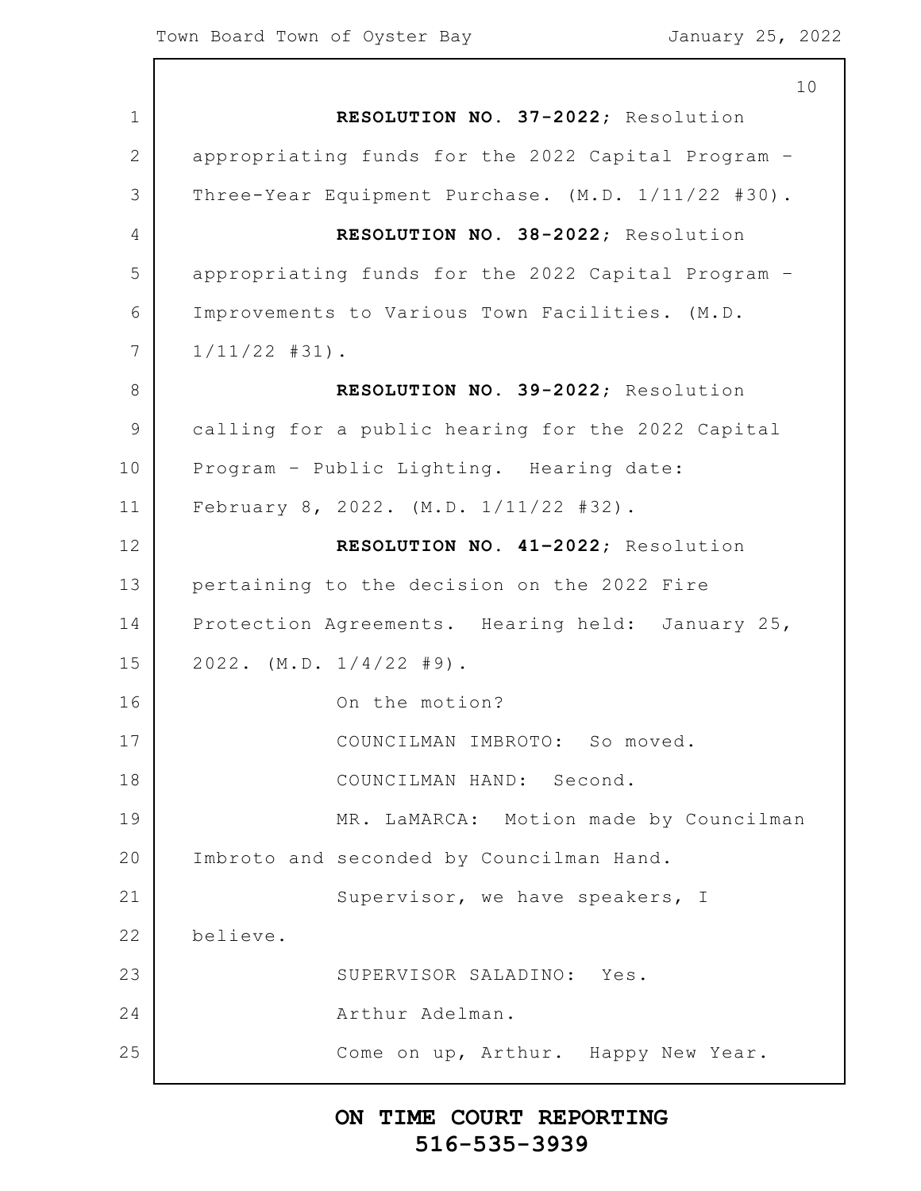1 2 3 4 5 6 7 8 9 10 11 12 13 14 15 16 17 18 19 20 21 22 23 24 25 10 **RESOLUTION NO. 37-2022**; Resolution appropriating funds for the 2022 Capital Program – Three-Year Equipment Purchase. (M.D. 1/11/22 #30). **RESOLUTION NO. 38-2022**; Resolution appropriating funds for the 2022 Capital Program – Improvements to Various Town Facilities. (M.D. 1/11/22 #31). **RESOLUTION NO. 39-2022**; Resolution calling for a public hearing for the 2022 Capital Program – Public Lighting. Hearing date: February 8, 2022. (M.D. 1/11/22 #32). **RESOLUTION NO. 41–2022**; Resolution pertaining to the decision on the 2022 Fire Protection Agreements. Hearing held: January 25, 2022. (M.D. 1/4/22 #9). On the motion? COUNCILMAN IMBROTO: So moved. COUNCILMAN HAND: Second. MR. LaMARCA: Motion made by Councilman Imbroto and seconded by Councilman Hand. Supervisor, we have speakers, I believe. SUPERVISOR SALADINO: Yes. Arthur Adelman. Come on up, Arthur. Happy New Year.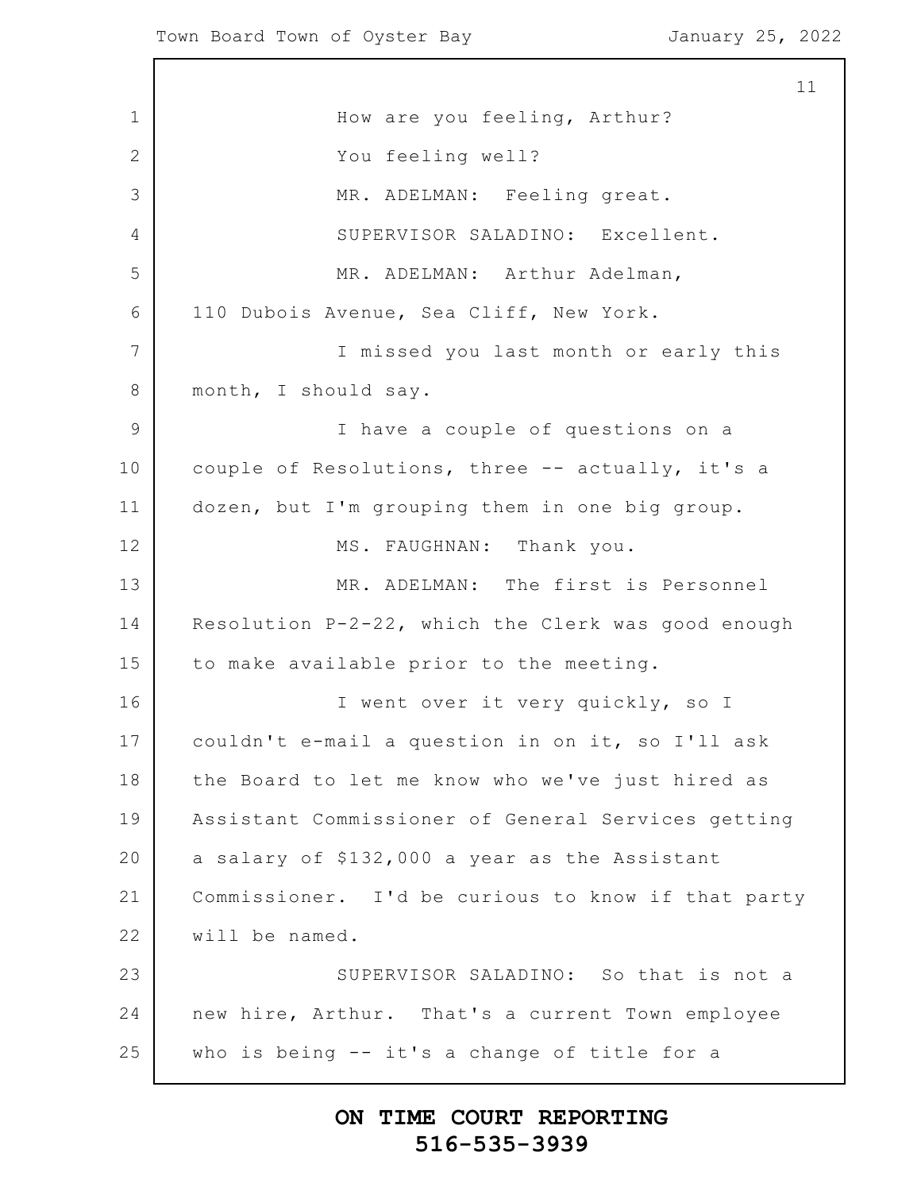1 2 3 4 5 6 7 8 9 10 11 12 13 14 15 16 17 18 19 20 21 22 23 24 25 11 How are you feeling, Arthur? You feeling well? MR. ADELMAN: Feeling great. SUPERVISOR SALADINO: Excellent. MR. ADELMAN: Arthur Adelman, 110 Dubois Avenue, Sea Cliff, New York. I missed you last month or early this month, I should say. I have a couple of questions on a couple of Resolutions, three -- actually, it's a dozen, but I'm grouping them in one big group. MS. FAUGHNAN: Thank you. MR. ADELMAN: The first is Personnel Resolution P-2-22, which the Clerk was good enough to make available prior to the meeting. I went over it very quickly, so I couldn't e-mail a question in on it, so I'll ask the Board to let me know who we've just hired as Assistant Commissioner of General Services getting a salary of \$132,000 a year as the Assistant Commissioner. I'd be curious to know if that party will be named. SUPERVISOR SALADINO: So that is not a new hire, Arthur. That's a current Town employee who is being -- it's a change of title for a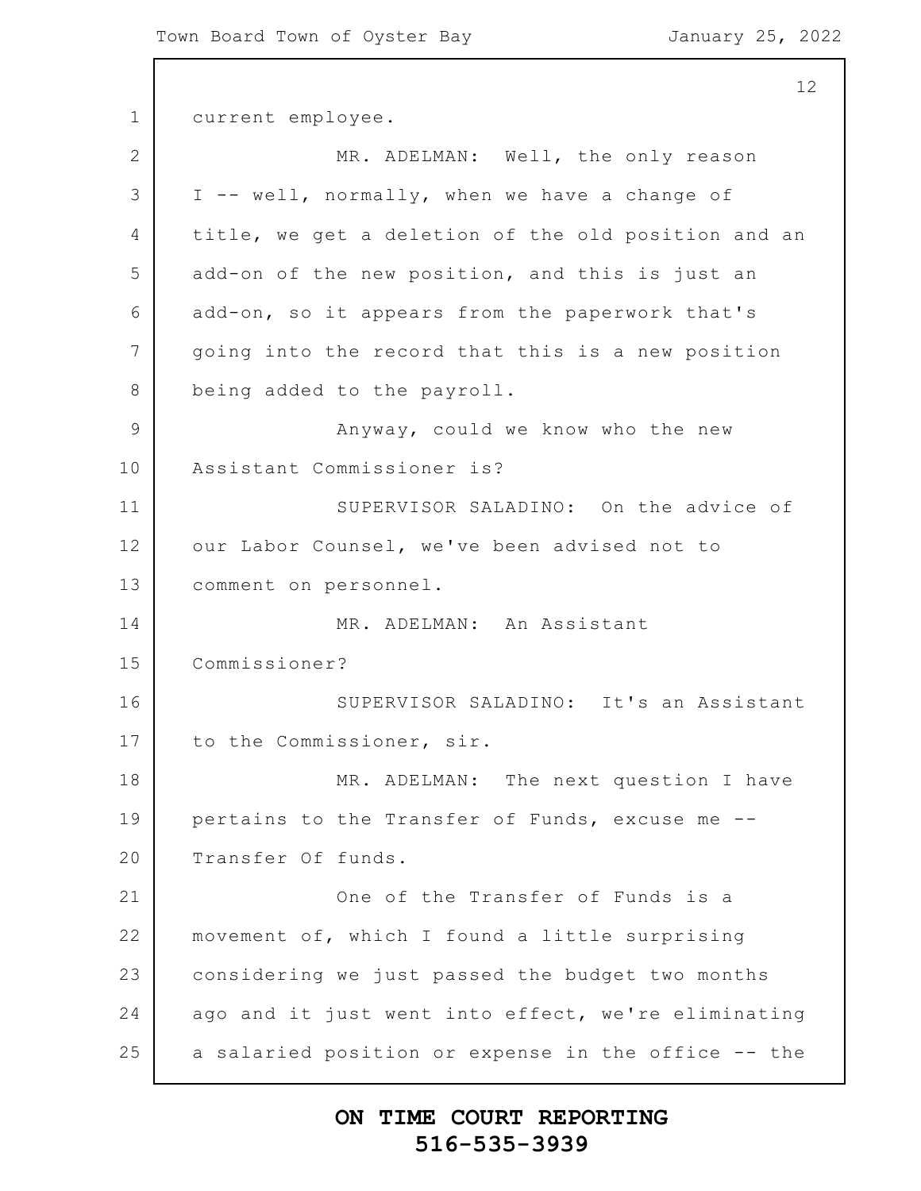1 2 3 4 5 6 7 8 9 10 11 12 13 14 15 16 17 18 19 20 21 22 23 24 25 12 current employee. MR. ADELMAN: Well, the only reason I -- well, normally, when we have a change of title, we get a deletion of the old position and an add-on of the new position, and this is just an add-on, so it appears from the paperwork that's going into the record that this is a new position being added to the payroll. Anyway, could we know who the new Assistant Commissioner is? SUPERVISOR SALADINO: On the advice of our Labor Counsel, we've been advised not to comment on personnel. MR. ADELMAN: An Assistant Commissioner? SUPERVISOR SALADINO: It's an Assistant to the Commissioner, sir. MR. ADELMAN: The next question I have pertains to the Transfer of Funds, excuse me -- Transfer Of funds. One of the Transfer of Funds is a movement of, which I found a little surprising considering we just passed the budget two months ago and it just went into effect, we're eliminating a salaried position or expense in the office -- the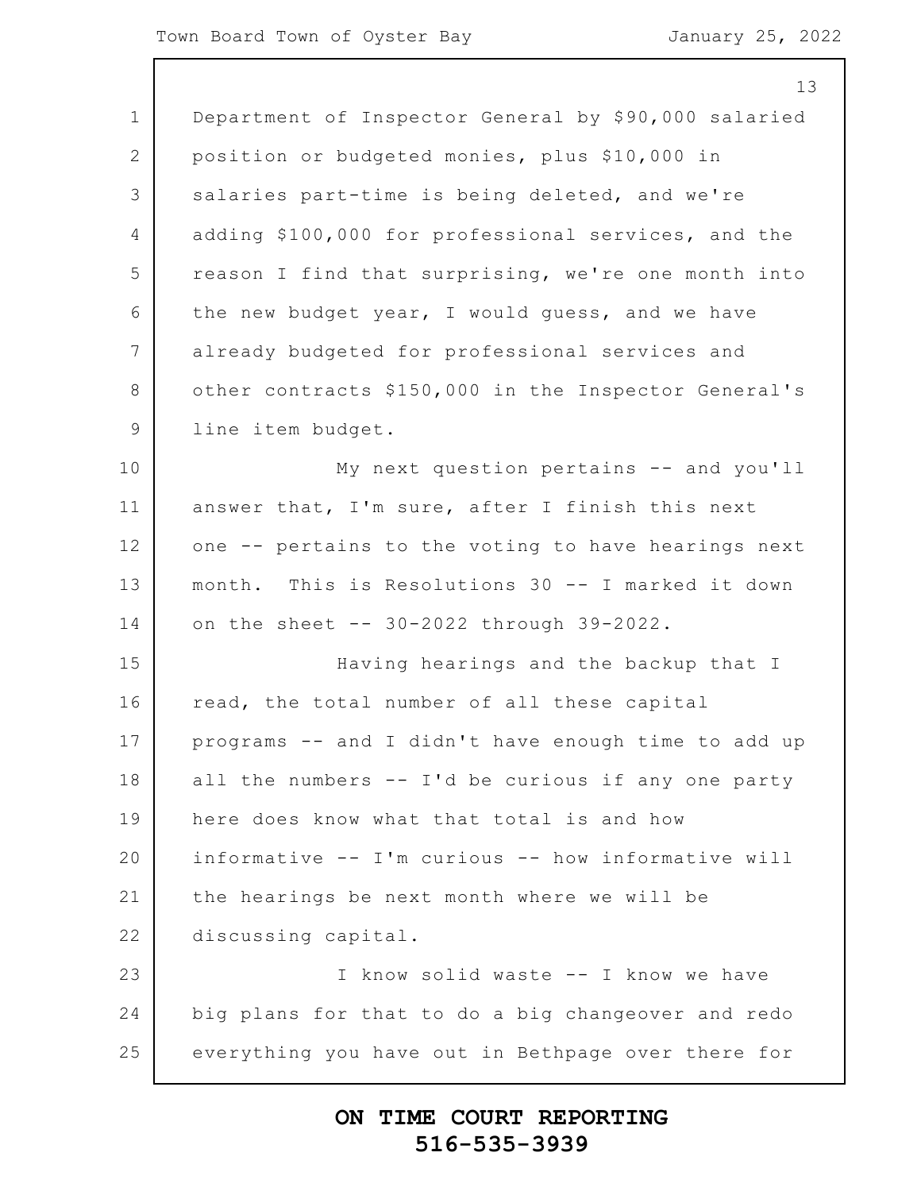|                 | 13                                                   |
|-----------------|------------------------------------------------------|
| $\mathbf 1$     | Department of Inspector General by \$90,000 salaried |
| 2               | position or budgeted monies, plus \$10,000 in        |
| 3               | salaries part-time is being deleted, and we're       |
| $\overline{4}$  | adding \$100,000 for professional services, and the  |
| 5               | reason I find that surprising, we're one month into  |
| 6               | the new budget year, I would guess, and we have      |
| $7\phantom{.0}$ | already budgeted for professional services and       |
| $8\,$           | other contracts \$150,000 in the Inspector General's |
| $\mathcal{G}$   | line item budget.                                    |
| 10              | My next question pertains -- and you'll              |
| 11              | answer that, I'm sure, after I finish this next      |
| 12              | one -- pertains to the voting to have hearings next  |
| 13              | month. This is Resolutions 30 -- I marked it down    |
| 14              | on the sheet -- 30-2022 through 39-2022.             |
| 15              | Having hearings and the backup that I                |
| 16              | read, the total number of all these capital          |
| 17              | programs -- and I didn't have enough time to add up  |
| 18              | all the numbers -- I'd be curious if any one party   |
| 19              | here does know what that total is and how            |
| 20              | informative -- I'm curious -- how informative will   |
| 21              | the hearings be next month where we will be          |
| 22              | discussing capital.                                  |
| 23              | I know solid waste -- I know we have                 |
| 24              | big plans for that to do a big changeover and redo   |
| 25              | everything you have out in Bethpage over there for   |
|                 |                                                      |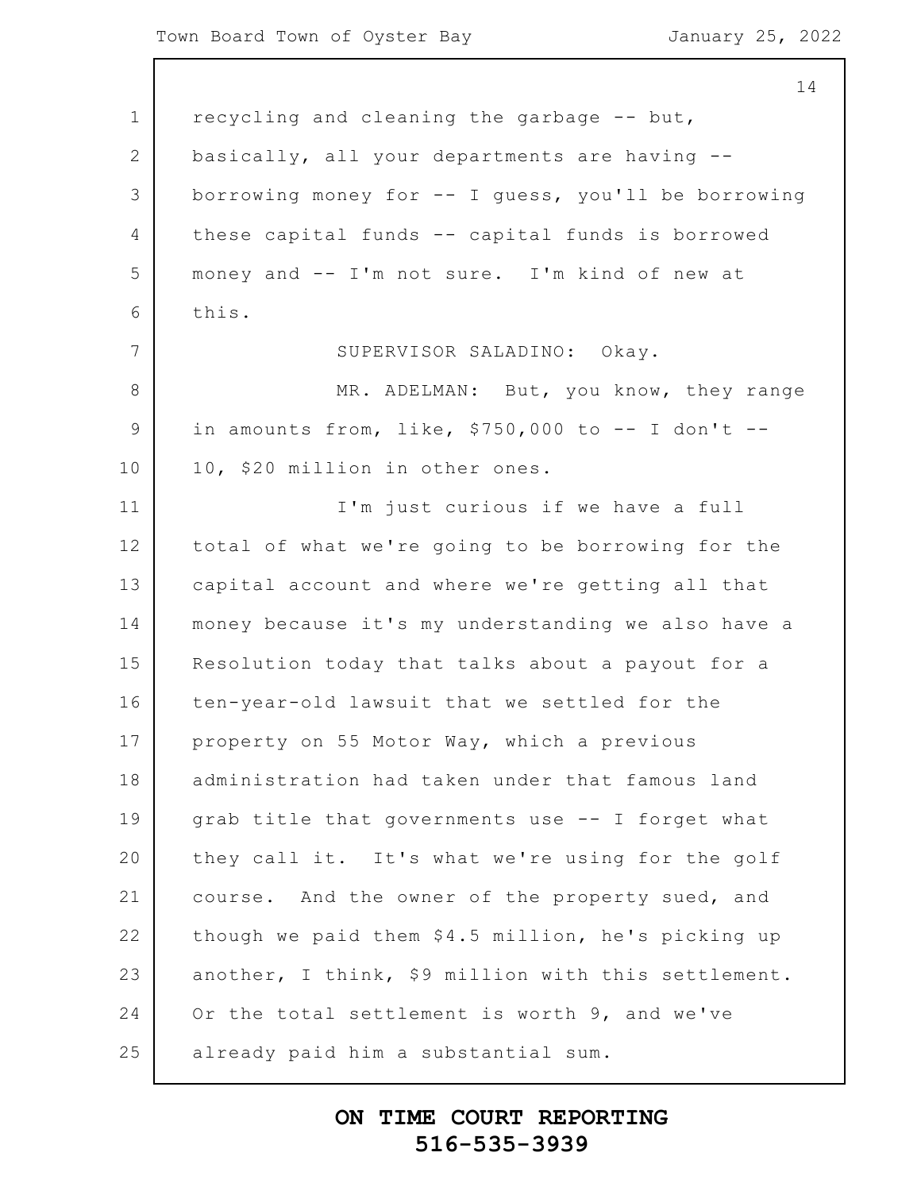1 2 3 4 5 6 7 8 9 10 11 12 13 14 15 16 17 18 19 20 21 22 23 24 25 14 recycling and cleaning the garbage -- but, basically, all your departments are having - borrowing money for -- I guess, you'll be borrowing these capital funds -- capital funds is borrowed money and -- I'm not sure. I'm kind of new at this. SUPERVISOR SALADINO: Okay. MR. ADELMAN: But, you know, they range in amounts from, like,  $$750,000$  to  $-$  I don't  $-$ 10, \$20 million in other ones. I'm just curious if we have a full total of what we're going to be borrowing for the capital account and where we're getting all that money because it's my understanding we also have a Resolution today that talks about a payout for a ten-year-old lawsuit that we settled for the property on 55 Motor Way, which a previous administration had taken under that famous land grab title that governments use -- I forget what they call it. It's what we're using for the golf course. And the owner of the property sued, and though we paid them \$4.5 million, he's picking up another, I think, \$9 million with this settlement. Or the total settlement is worth 9, and we've already paid him a substantial sum.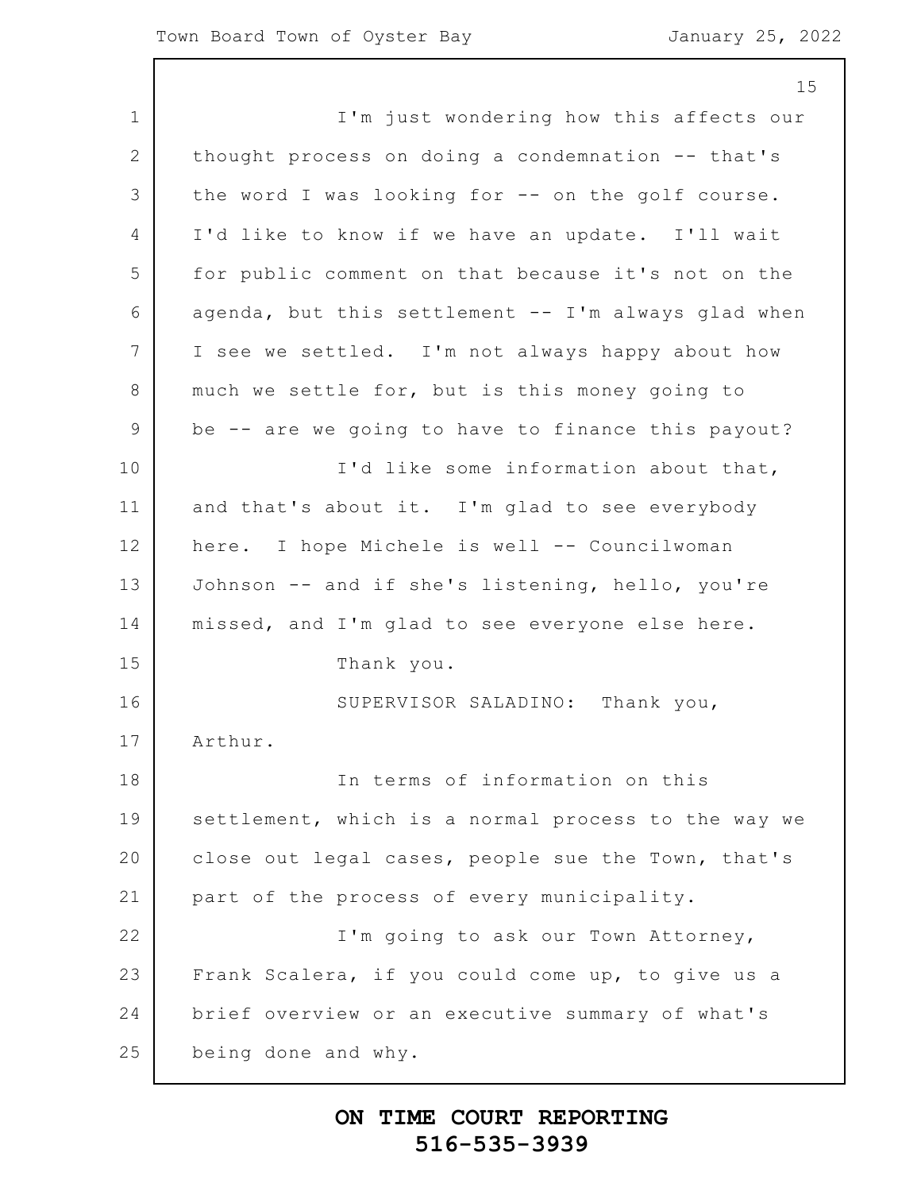|                | 15                                                  |
|----------------|-----------------------------------------------------|
| $\mathbf 1$    | I'm just wondering how this affects our             |
| 2              | thought process on doing a condemnation -- that's   |
| 3              | the word I was looking for -- on the golf course.   |
| $\overline{4}$ | I'd like to know if we have an update. I'll wait    |
| 5              | for public comment on that because it's not on the  |
| 6              | agenda, but this settlement -- I'm always glad when |
| 7              | I see we settled. I'm not always happy about how    |
| 8              | much we settle for, but is this money going to      |
| $\mathsf 9$    | be -- are we going to have to finance this payout?  |
| 10             | I'd like some information about that,               |
| 11             | and that's about it. I'm glad to see everybody      |
| 12             | here. I hope Michele is well -- Councilwoman        |
| 13             | Johnson -- and if she's listening, hello, you're    |
| 14             | missed, and I'm glad to see everyone else here.     |
| 15             | Thank you.                                          |
| 16             | SUPERVISOR SALADINO: Thank you,                     |
| 17             | Arthur.                                             |
| 18             | In terms of information on this                     |
| 19             | settlement, which is a normal process to the way we |
| 20             | close out legal cases, people sue the Town, that's  |
| 21             | part of the process of every municipality.          |
| 22             | I'm going to ask our Town Attorney,                 |
| 23             | Frank Scalera, if you could come up, to give us a   |
| 24             | brief overview or an executive summary of what's    |
| 25             | being done and why.                                 |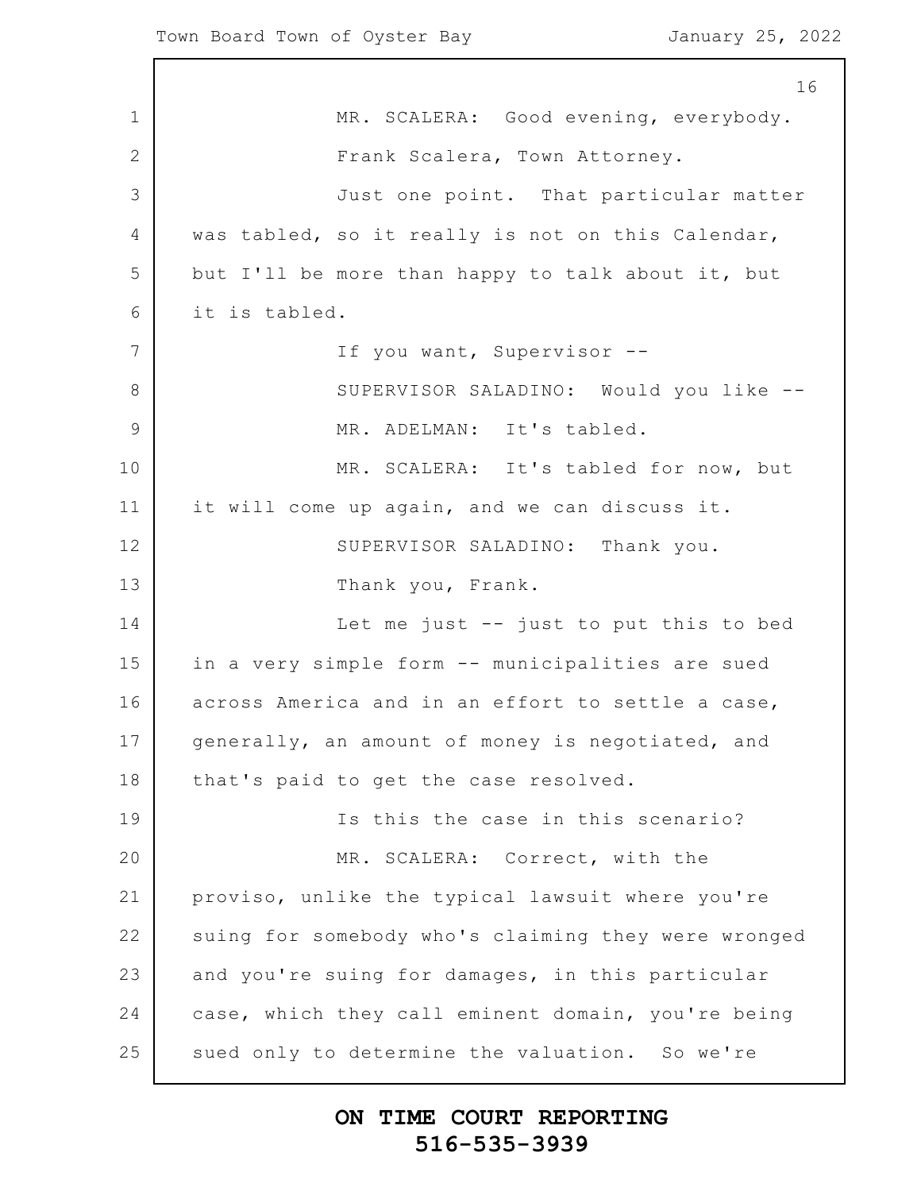1 2 3 4 5 6 7 8 9 10 11 12 13 14 15 16 17 18 19 20 21 22 23 24 25 16 MR. SCALERA: Good evening, everybody. Frank Scalera, Town Attorney. Just one point. That particular matter was tabled, so it really is not on this Calendar, but I'll be more than happy to talk about it, but it is tabled. If you want, Supervisor -- SUPERVISOR SALADINO: Would you like -- MR. ADELMAN: It's tabled. MR. SCALERA: It's tabled for now, but it will come up again, and we can discuss it. SUPERVISOR SALADINO: Thank you. Thank you, Frank. Let me just -- just to put this to bed in a very simple form -- municipalities are sued across America and in an effort to settle a case, generally, an amount of money is negotiated, and that's paid to get the case resolved. Is this the case in this scenario? MR. SCALERA: Correct, with the proviso, unlike the typical lawsuit where you're suing for somebody who's claiming they were wronged and you're suing for damages, in this particular case, which they call eminent domain, you're being sued only to determine the valuation. So we're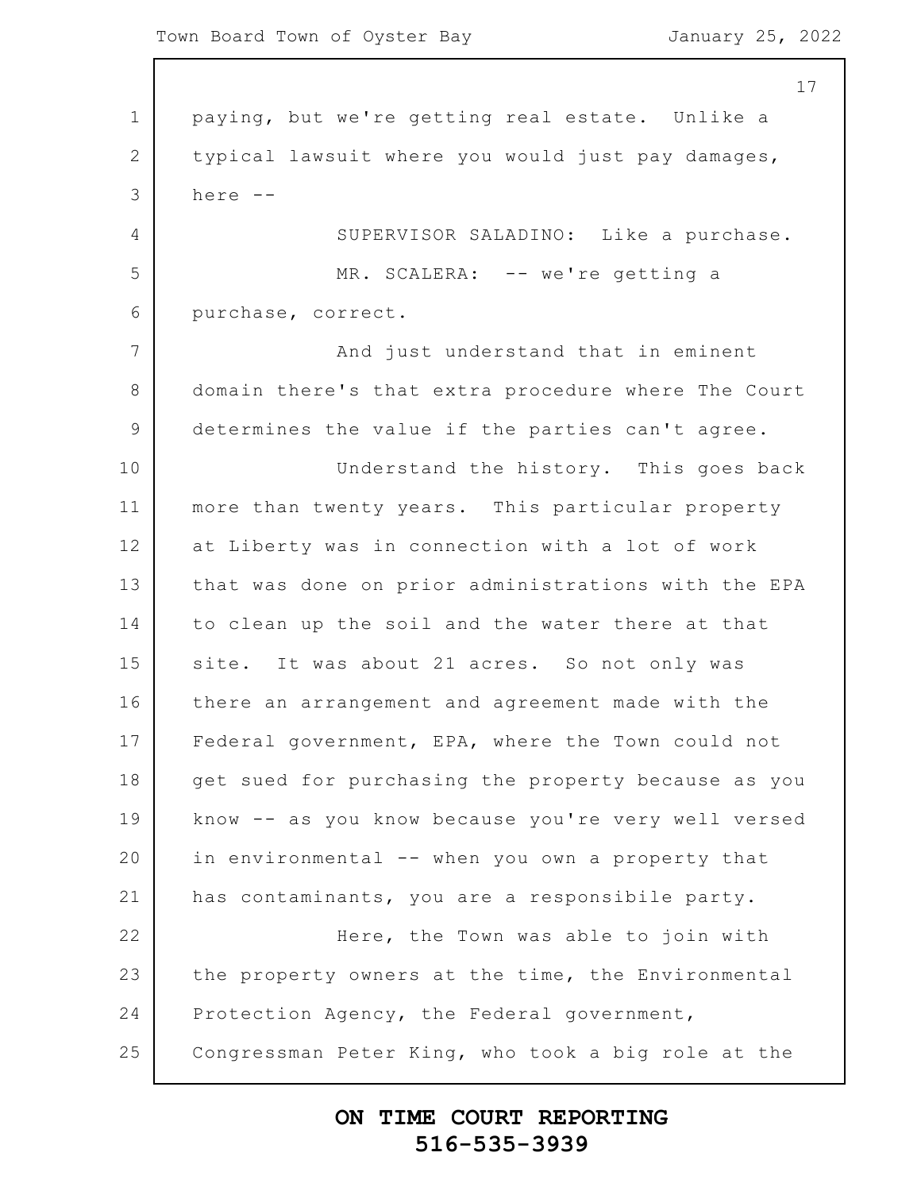$\mathsf{l}$ 

|                | 17                                                  |
|----------------|-----------------------------------------------------|
| $\mathbf 1$    | paying, but we're getting real estate. Unlike a     |
| $\mathbf{2}$   | typical lawsuit where you would just pay damages,   |
| 3              | here --                                             |
| $\overline{4}$ | SUPERVISOR SALADINO: Like a purchase.               |
| 5              | MR. SCALERA: -- we're getting a                     |
| 6              | purchase, correct.                                  |
| 7              | And just understand that in eminent                 |
| 8              | domain there's that extra procedure where The Court |
| $\mathcal{G}$  | determines the value if the parties can't agree.    |
| 10             | Understand the history. This goes back              |
| 11             | more than twenty years. This particular property    |
| 12             | at Liberty was in connection with a lot of work     |
| 13             | that was done on prior administrations with the EPA |
| 14             | to clean up the soil and the water there at that    |
| 15             | site. It was about 21 acres. So not only was        |
| 16             | there an arrangement and agreement made with the    |
| 17             | Federal government, EPA, where the Town could not   |
| 18             | get sued for purchasing the property because as you |
| 19             | know -- as you know because you're very well versed |
| 20             | in environmental -- when you own a property that    |
| 21             | has contaminants, you are a responsibile party.     |
| 22             | Here, the Town was able to join with                |
| 23             | the property owners at the time, the Environmental  |
| 24             | Protection Agency, the Federal government,          |
| 25             | Congressman Peter King, who took a big role at the  |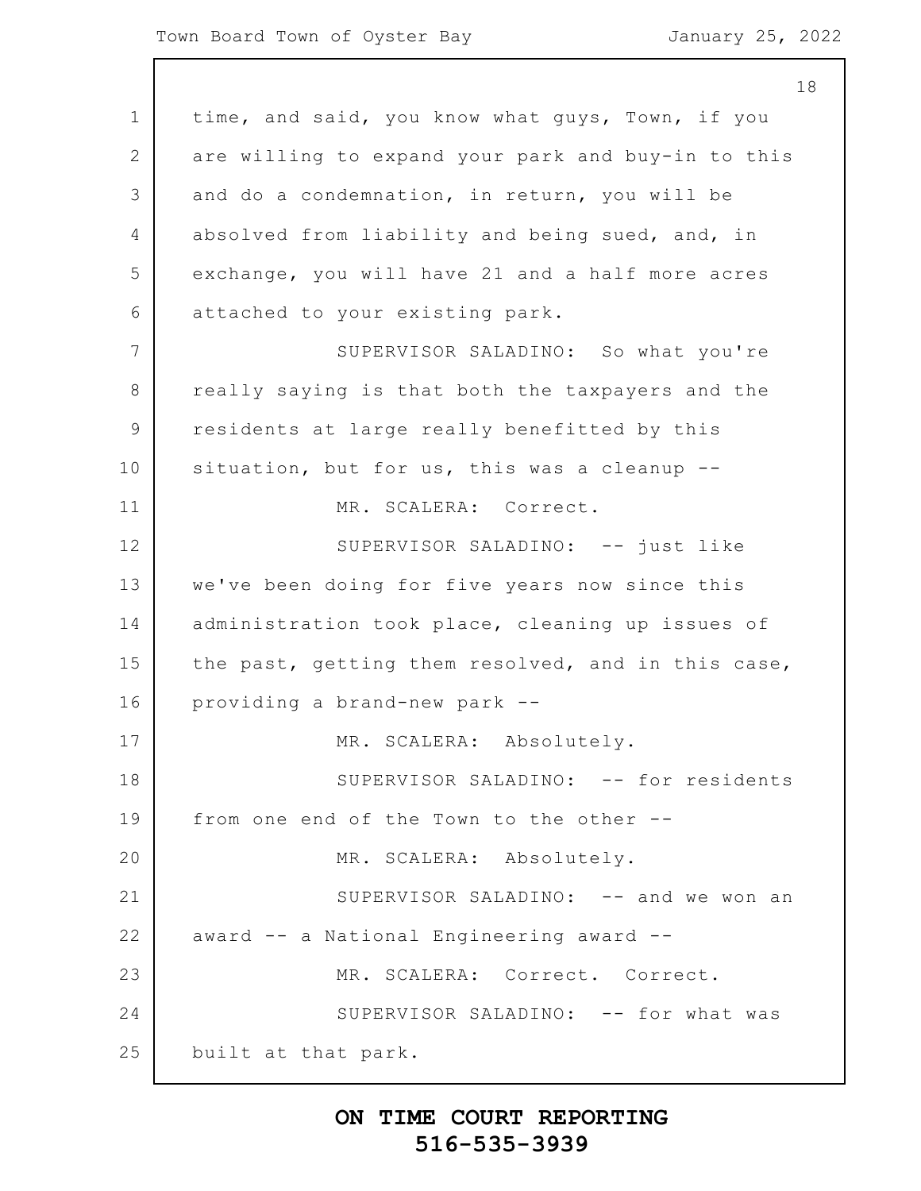1 2 3 4 5 6 7 8 9 10 11 12 13 14 15 16 17 18 19 20 21 22 23 24 25 time, and said, you know what guys, Town, if you are willing to expand your park and buy-in to this and do a condemnation, in return, you will be absolved from liability and being sued, and, in exchange, you will have 21 and a half more acres attached to your existing park. SUPERVISOR SALADINO: So what you're really saying is that both the taxpayers and the residents at large really benefitted by this situation, but for us, this was a cleanup --MR. SCALERA: Correct. SUPERVISOR SALADINO: -- just like we've been doing for five years now since this administration took place, cleaning up issues of the past, getting them resolved, and in this case, providing a brand-new park -- MR. SCALERA: Absolutely. SUPERVISOR SALADINO: -- for residents from one end of the Town to the other -- MR. SCALERA: Absolutely. SUPERVISOR SALADINO: -- and we won an award -- a National Engineering award -- MR. SCALERA: Correct. Correct. SUPERVISOR SALADINO: -- for what was built at that park.

### **ON TIME COURT REPORTING 516-535-3939**

18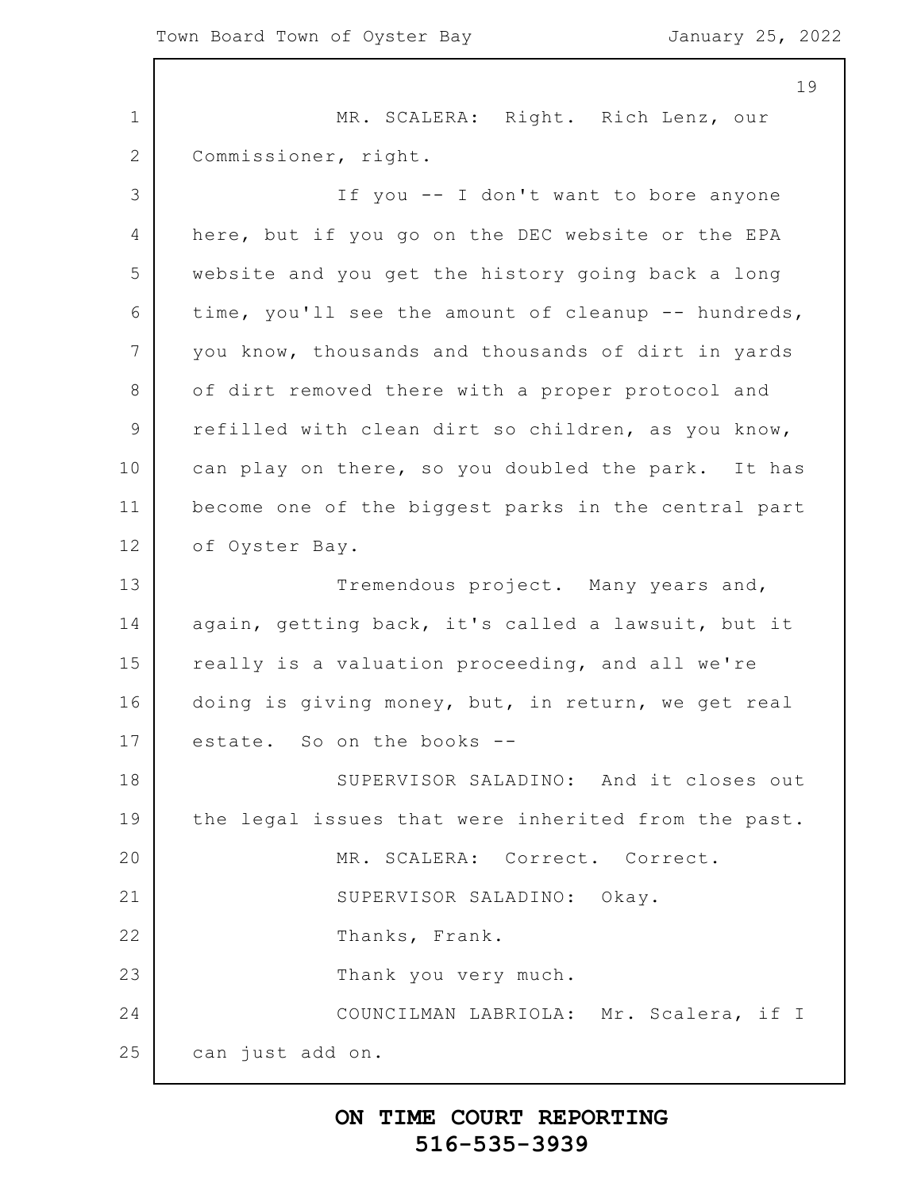1 2 3 4 5 6 7 8 9 10 11 12 13 14 15 16 17 18 19 20 21 22 23 24 25 MR. SCALERA: Right. Rich Lenz, our Commissioner, right. If you -- I don't want to bore anyone here, but if you go on the DEC website or the EPA website and you get the history going back a long time, you'll see the amount of cleanup -- hundreds, you know, thousands and thousands of dirt in yards of dirt removed there with a proper protocol and refilled with clean dirt so children, as you know, can play on there, so you doubled the park. It has become one of the biggest parks in the central part of Oyster Bay. Tremendous project. Many years and, again, getting back, it's called a lawsuit, but it really is a valuation proceeding, and all we're doing is giving money, but, in return, we get real estate. So on the books -- SUPERVISOR SALADINO: And it closes out the legal issues that were inherited from the past. MR. SCALERA: Correct. Correct. SUPERVISOR SALADINO: Okay. Thanks, Frank. Thank you very much. COUNCILMAN LABRIOLA: Mr. Scalera, if I can just add on.

### **ON TIME COURT REPORTING 516-535-3939**

19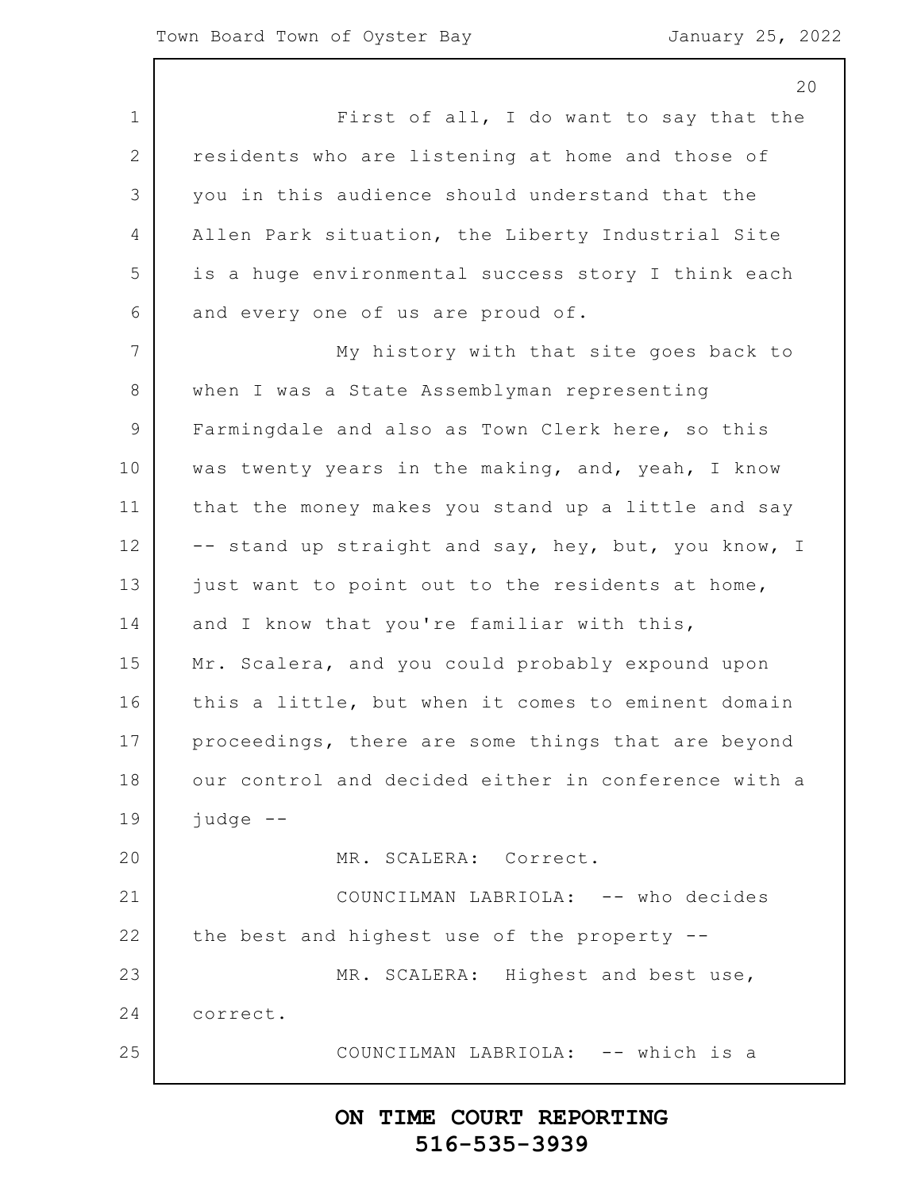1 2 3 4 5 6 7 8 9 10 11 12 13 14 15 16 17 18 19 20 21 22 23 24 25 20 First of all, I do want to say that the residents who are listening at home and those of you in this audience should understand that the Allen Park situation, the Liberty Industrial Site is a huge environmental success story I think each and every one of us are proud of. My history with that site goes back to when I was a State Assemblyman representing Farmingdale and also as Town Clerk here, so this was twenty years in the making, and, yeah, I know that the money makes you stand up a little and say -- stand up straight and say, hey, but, you know, I just want to point out to the residents at home, and I know that you're familiar with this, Mr. Scalera, and you could probably expound upon this a little, but when it comes to eminent domain proceedings, there are some things that are beyond our control and decided either in conference with a judge -- MR. SCALERA: Correct. COUNCILMAN LABRIOLA: -- who decides the best and highest use of the property -- MR. SCALERA: Highest and best use, correct. COUNCILMAN LABRIOLA: -- which is a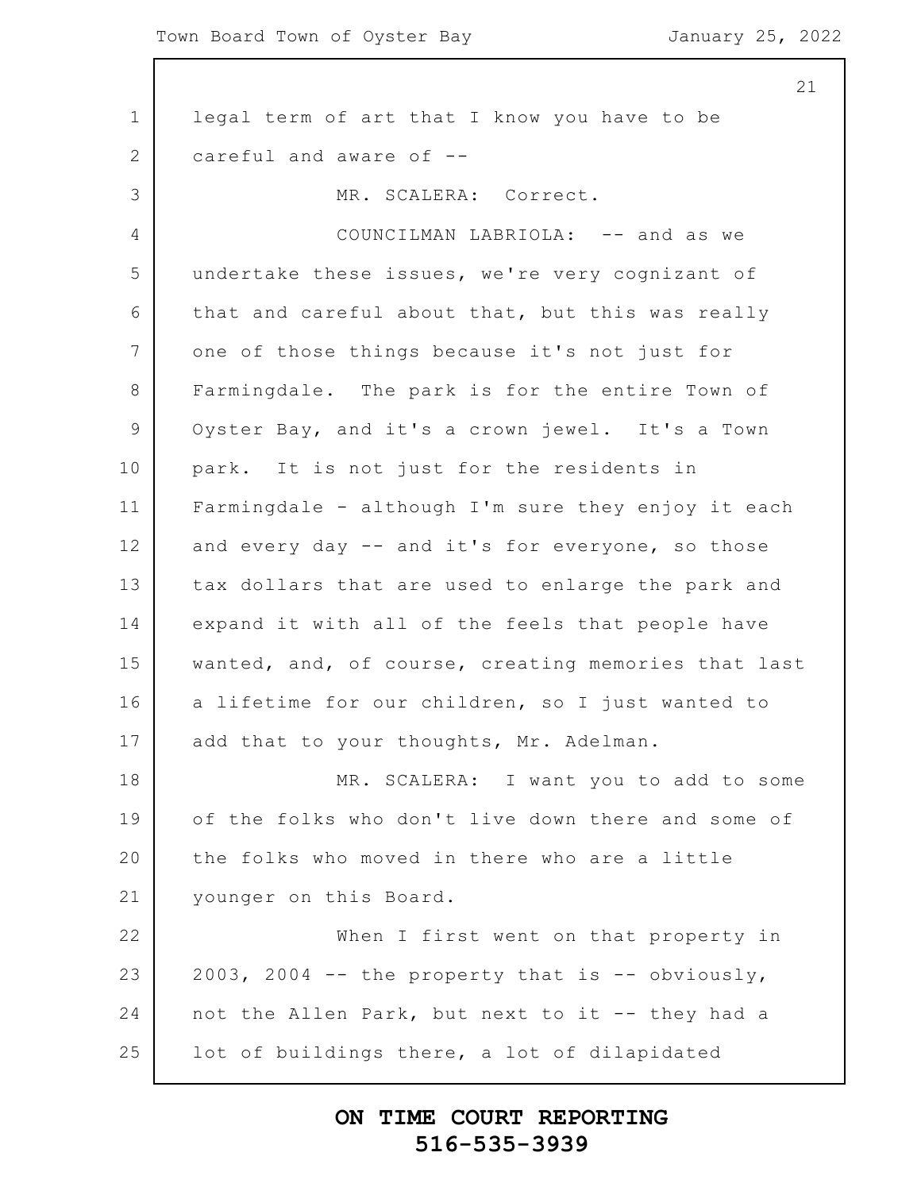1 2 3 4 5 6 7 8 9 10 11 12 13 14 15 16 17 18 19 20 21 22 23 24 25 21 legal term of art that I know you have to be careful and aware of -- MR. SCALERA: Correct. COUNCILMAN LABRIOLA: -- and as we undertake these issues, we're very cognizant of that and careful about that, but this was really one of those things because it's not just for Farmingdale. The park is for the entire Town of Oyster Bay, and it's a crown jewel. It's a Town park. It is not just for the residents in Farmingdale - although I'm sure they enjoy it each and every day -- and it's for everyone, so those tax dollars that are used to enlarge the park and expand it with all of the feels that people have wanted, and, of course, creating memories that last a lifetime for our children, so I just wanted to add that to your thoughts, Mr. Adelman. MR. SCALERA: I want you to add to some of the folks who don't live down there and some of the folks who moved in there who are a little younger on this Board. When I first went on that property in 2003, 2004  $-$  the property that is  $-$  obviously, not the Allen Park, but next to it -- they had a lot of buildings there, a lot of dilapidated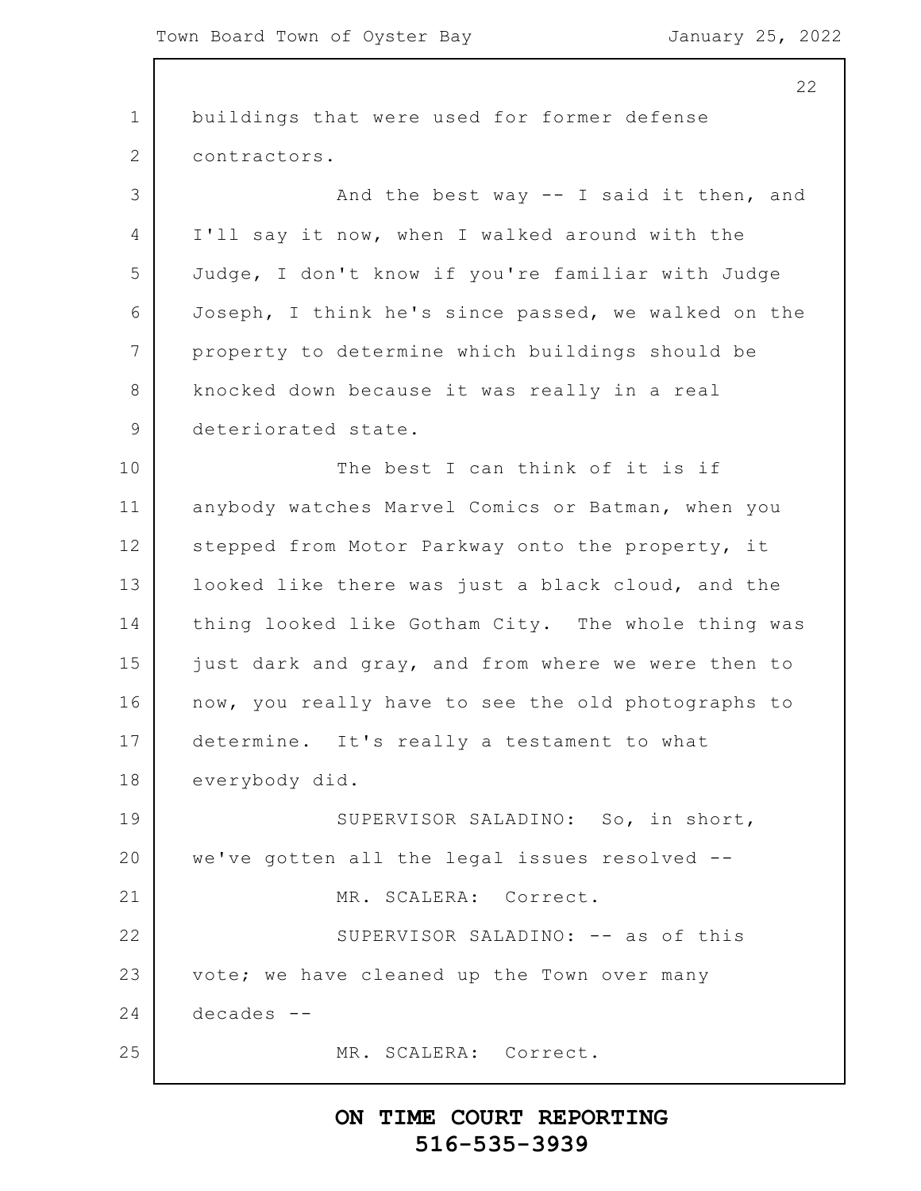1 2 3 4 5 6 7 8 9 10 11 12 13 14 15 16 17 18 19 20 21 22 23 24 25 22 buildings that were used for former defense contractors. And the best way -- I said it then, and I'll say it now, when I walked around with the Judge, I don't know if you're familiar with Judge Joseph, I think he's since passed, we walked on the property to determine which buildings should be knocked down because it was really in a real deteriorated state. The best I can think of it is if anybody watches Marvel Comics or Batman, when you stepped from Motor Parkway onto the property, it looked like there was just a black cloud, and the thing looked like Gotham City. The whole thing was just dark and gray, and from where we were then to now, you really have to see the old photographs to determine. It's really a testament to what everybody did. SUPERVISOR SALADINO: So, in short, we've gotten all the legal issues resolved -- MR. SCALERA: Correct. SUPERVISOR SALADINO: -- as of this vote; we have cleaned up the Town over many decades -- MR. SCALERA: Correct.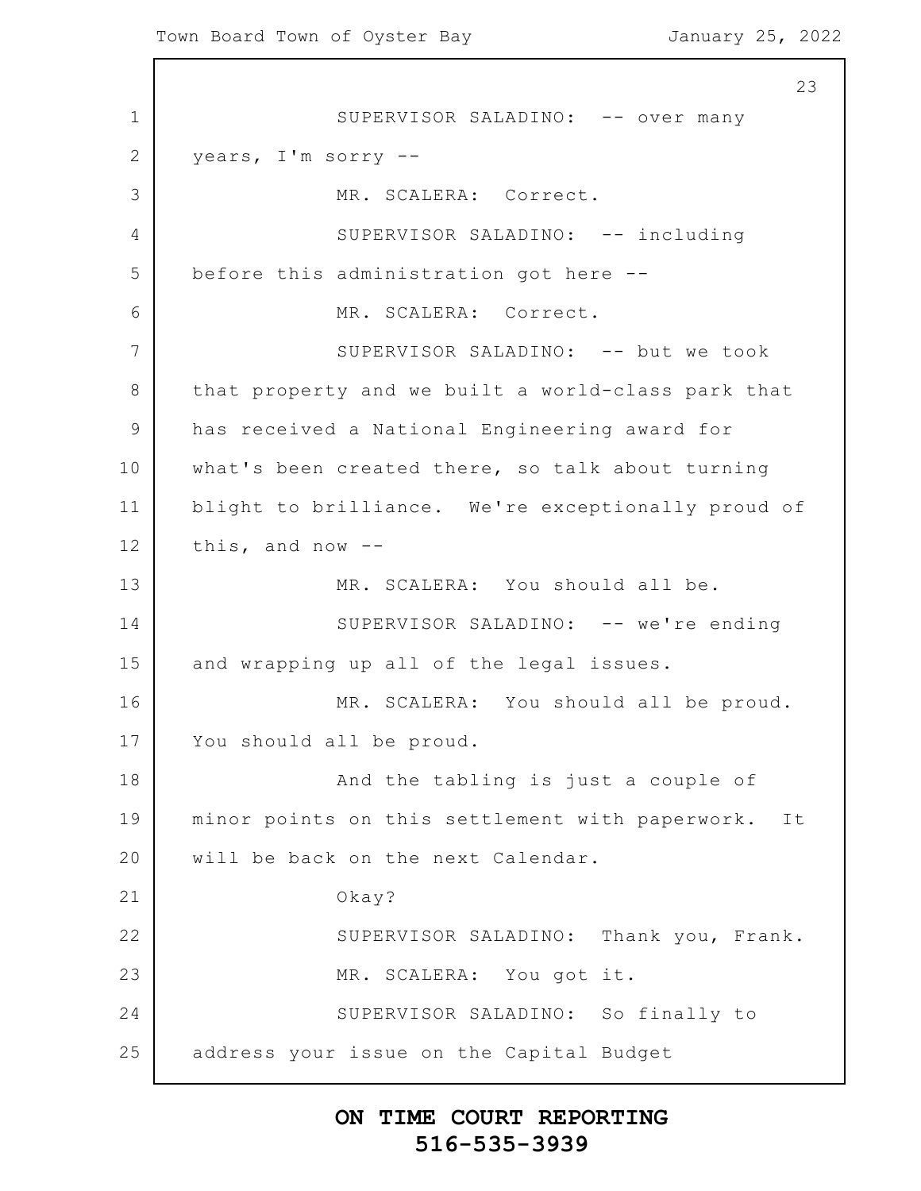1 2 3 4 5 6 7 8 9 10 11 12 13 14 15 16 17 18 19 20 21 22 23 24 25 23 SUPERVISOR SALADINO: -- over many years, I'm sorry -- MR. SCALERA: Correct. SUPERVISOR SALADINO: -- including before this administration got here -- MR. SCALERA: Correct. SUPERVISOR SALADINO: -- but we took that property and we built a world-class park that has received a National Engineering award for what's been created there, so talk about turning blight to brilliance. We're exceptionally proud of this, and now -- MR. SCALERA: You should all be. SUPERVISOR SALADINO: -- we're ending and wrapping up all of the legal issues. MR. SCALERA: You should all be proud. You should all be proud. And the tabling is just a couple of minor points on this settlement with paperwork. It will be back on the next Calendar. Okay? SUPERVISOR SALADINO: Thank you, Frank. MR. SCALERA: You got it. SUPERVISOR SALADINO: So finally to address your issue on the Capital Budget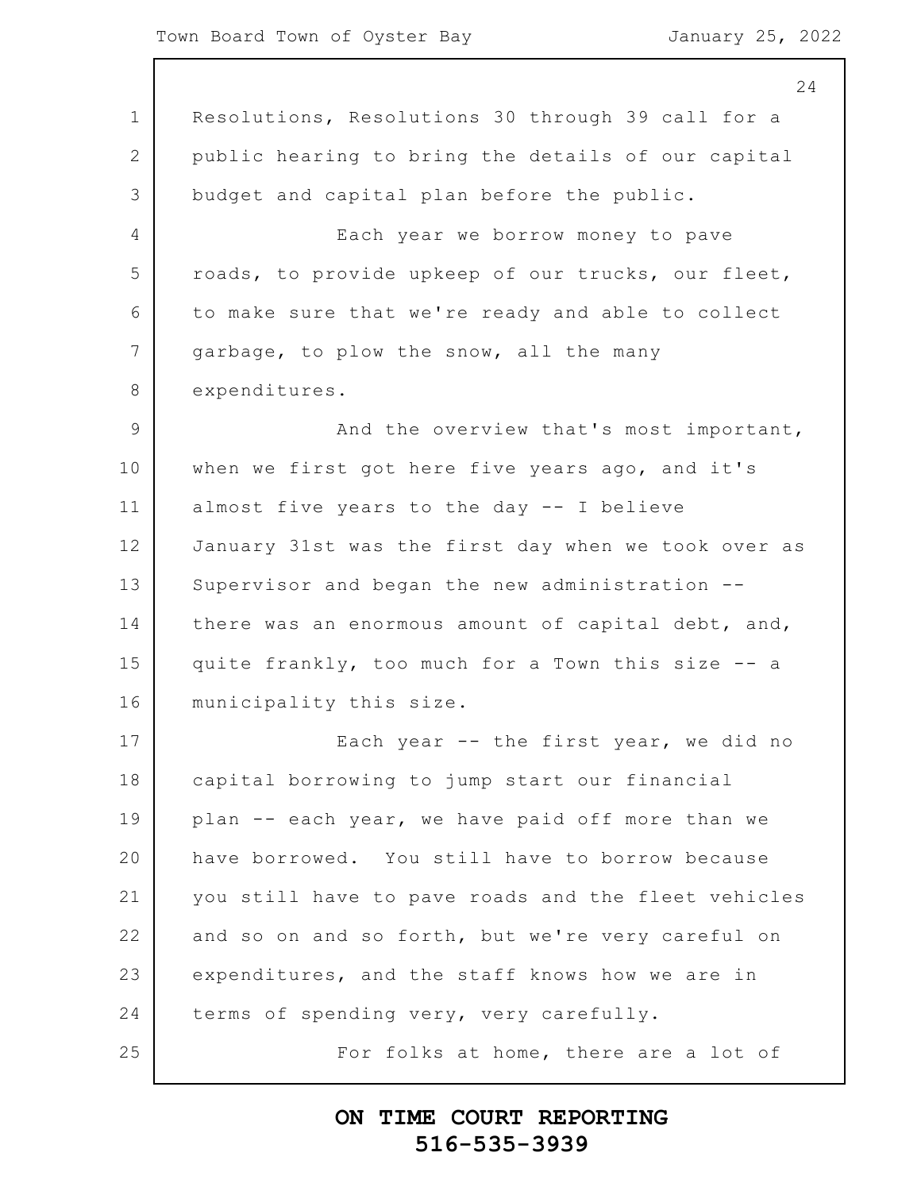1 2 3 4 5 6 7 8 9 10 11 12 13 14 15 16 17 18 19 20 21 22 23 24 25 24 Resolutions, Resolutions 30 through 39 call for a public hearing to bring the details of our capital budget and capital plan before the public. Each year we borrow money to pave roads, to provide upkeep of our trucks, our fleet, to make sure that we're ready and able to collect garbage, to plow the snow, all the many expenditures. And the overview that's most important, when we first got here five years ago, and it's almost five years to the day -- I believe January 31st was the first day when we took over as Supervisor and began the new administration - there was an enormous amount of capital debt, and, quite frankly, too much for a Town this size -- a municipality this size. Each year -- the first year, we did no capital borrowing to jump start our financial plan -- each year, we have paid off more than we have borrowed. You still have to borrow because you still have to pave roads and the fleet vehicles and so on and so forth, but we're very careful on expenditures, and the staff knows how we are in terms of spending very, very carefully. For folks at home, there are a lot of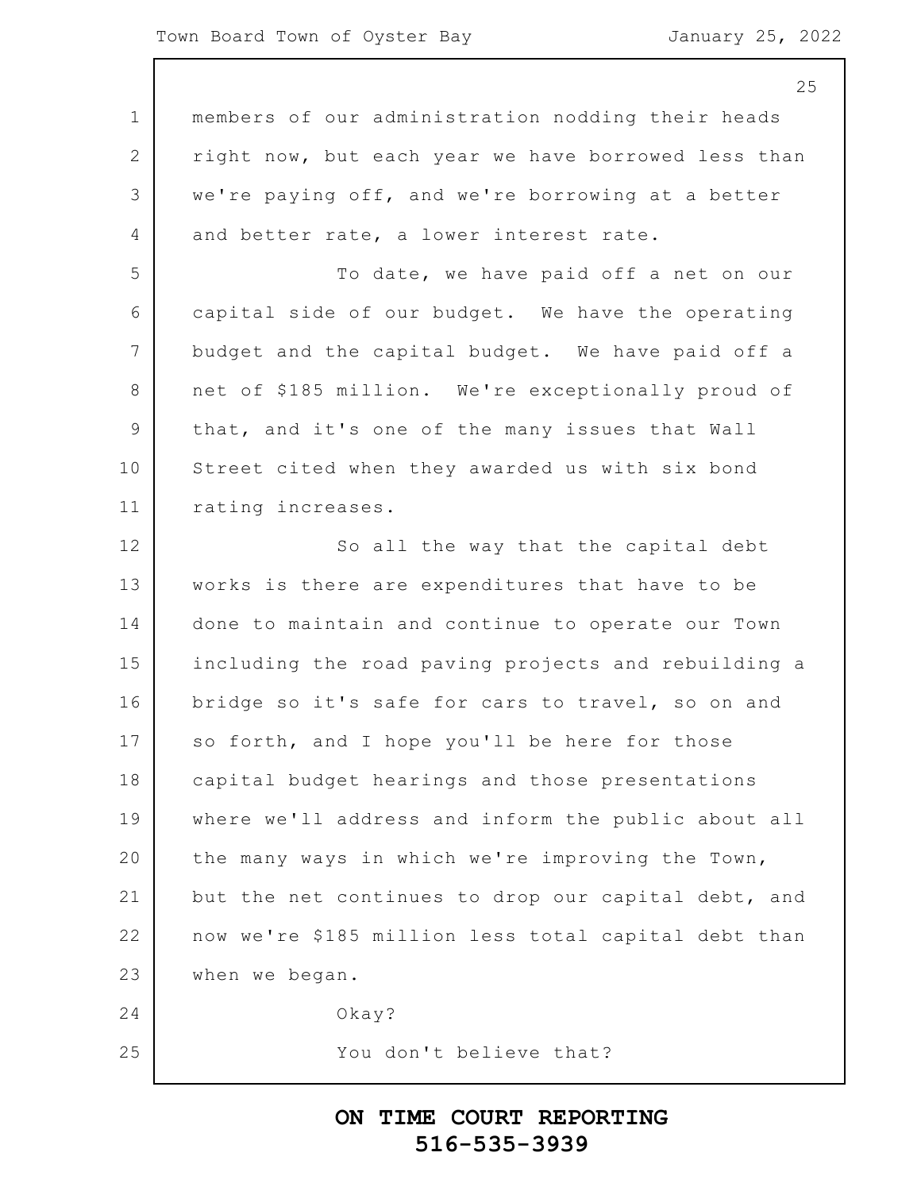|                | 25                                                   |
|----------------|------------------------------------------------------|
| 1              | members of our administration nodding their heads    |
| $\mathbf{2}$   | right now, but each year we have borrowed less than  |
| 3              | we're paying off, and we're borrowing at a better    |
| $\overline{4}$ | and better rate, a lower interest rate.              |
| 5              | To date, we have paid off a net on our               |
| 6              | capital side of our budget. We have the operating    |
| 7              | budget and the capital budget. We have paid off a    |
| 8              | net of \$185 million. We're exceptionally proud of   |
| $\overline{9}$ | that, and it's one of the many issues that Wall      |
| 10             | Street cited when they awarded us with six bond      |
| 11             | rating increases.                                    |
| 12             | So all the way that the capital debt                 |
| 13             | works is there are expenditures that have to be      |
| 14             | done to maintain and continue to operate our Town    |
| 15             | including the road paving projects and rebuilding a  |
| 16             | bridge so it's safe for cars to travel, so on and    |
| 17             | so forth, and I hope you'll be here for those        |
| 18             | capital budget hearings and those presentations      |
| 19             | where we'll address and inform the public about all  |
| 20             | the many ways in which we're improving the Town,     |
| 21             | but the net continues to drop our capital debt, and  |
| 22             | now we're \$185 million less total capital debt than |
| 23             | when we began.                                       |
| 24             | $0$ kay?                                             |
| 25             | You don't believe that?                              |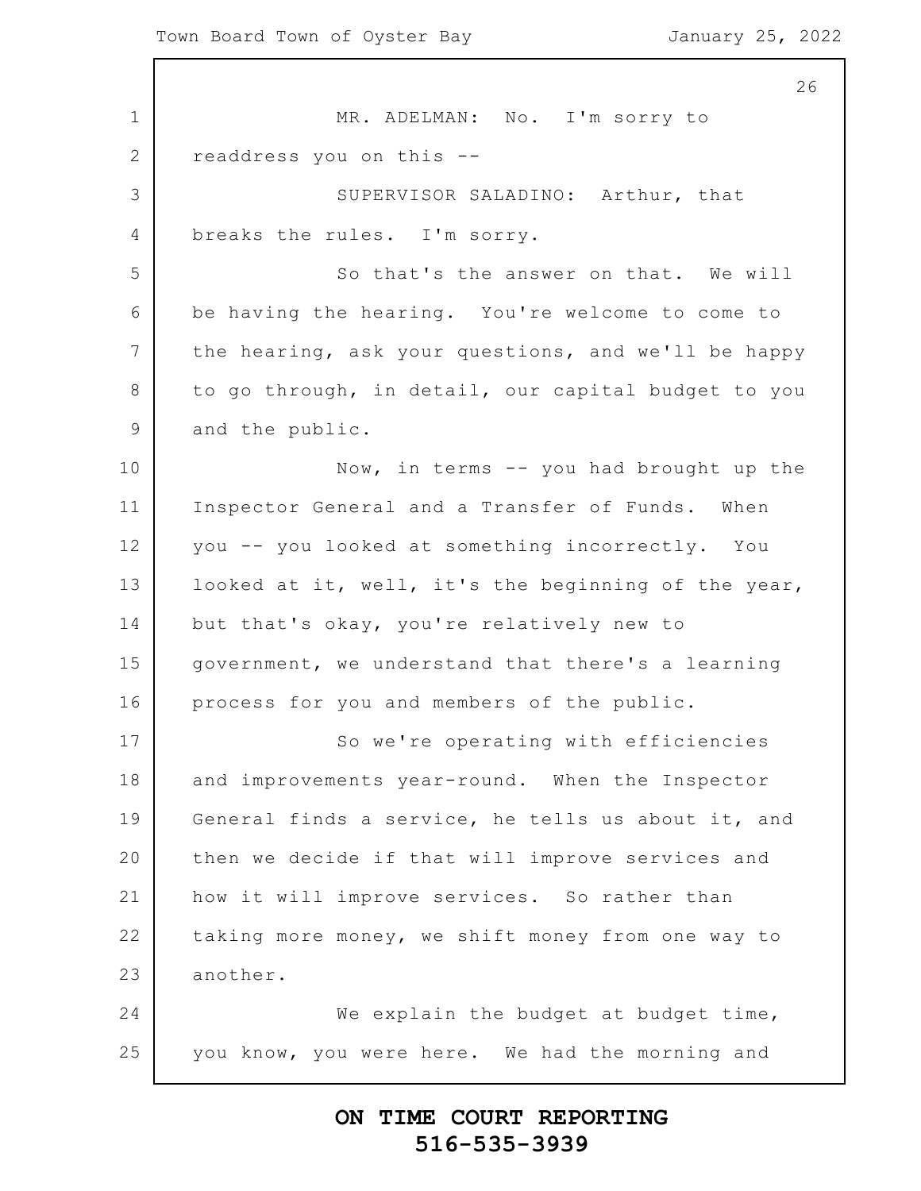1 2 3 4 5 6 7 8 9 10 11 12 13 14 15 16 17 18 19 20 21 22 23 24 25 26 MR. ADELMAN: No. I'm sorry to readdress you on this -- SUPERVISOR SALADINO: Arthur, that breaks the rules. I'm sorry. So that's the answer on that. We will be having the hearing. You're welcome to come to the hearing, ask your questions, and we'll be happy to go through, in detail, our capital budget to you and the public. Now, in terms -- you had brought up the Inspector General and a Transfer of Funds. When you -- you looked at something incorrectly. You looked at it, well, it's the beginning of the year, but that's okay, you're relatively new to government, we understand that there's a learning process for you and members of the public. So we're operating with efficiencies and improvements year-round. When the Inspector General finds a service, he tells us about it, and then we decide if that will improve services and how it will improve services. So rather than taking more money, we shift money from one way to another. We explain the budget at budget time, you know, you were here. We had the morning and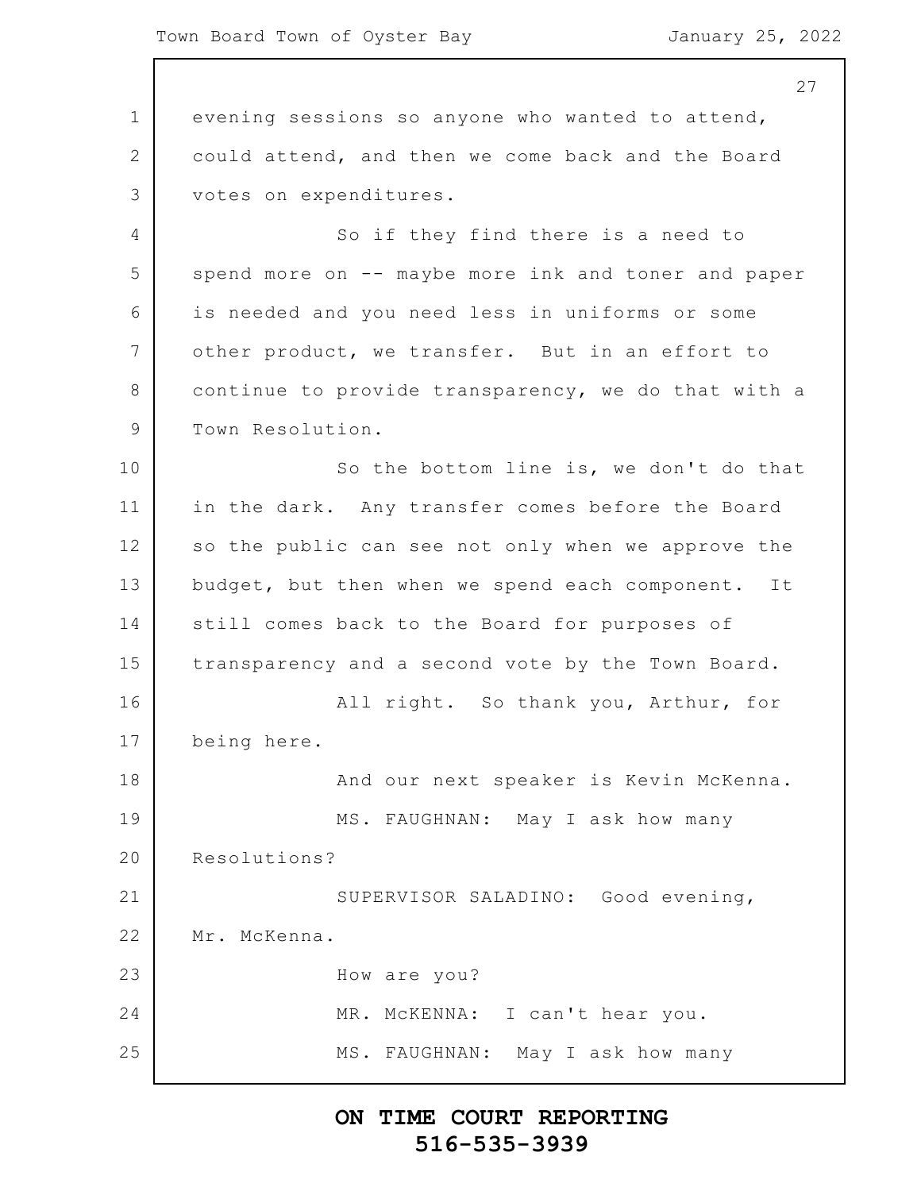1 2 3 4 5 6 7 8 9 10 11 12 13 14 15 16 17 18 19 20 21 22 23 24 25 27 evening sessions so anyone who wanted to attend, could attend, and then we come back and the Board votes on expenditures. So if they find there is a need to spend more on -- maybe more ink and toner and paper is needed and you need less in uniforms or some other product, we transfer. But in an effort to continue to provide transparency, we do that with a Town Resolution. So the bottom line is, we don't do that in the dark. Any transfer comes before the Board so the public can see not only when we approve the budget, but then when we spend each component. It still comes back to the Board for purposes of transparency and a second vote by the Town Board. All right. So thank you, Arthur, for being here. And our next speaker is Kevin McKenna. MS. FAUGHNAN: May I ask how many Resolutions? SUPERVISOR SALADINO: Good evening, Mr. McKenna. How are you? MR. McKENNA: I can't hear you. MS. FAUGHNAN: May I ask how many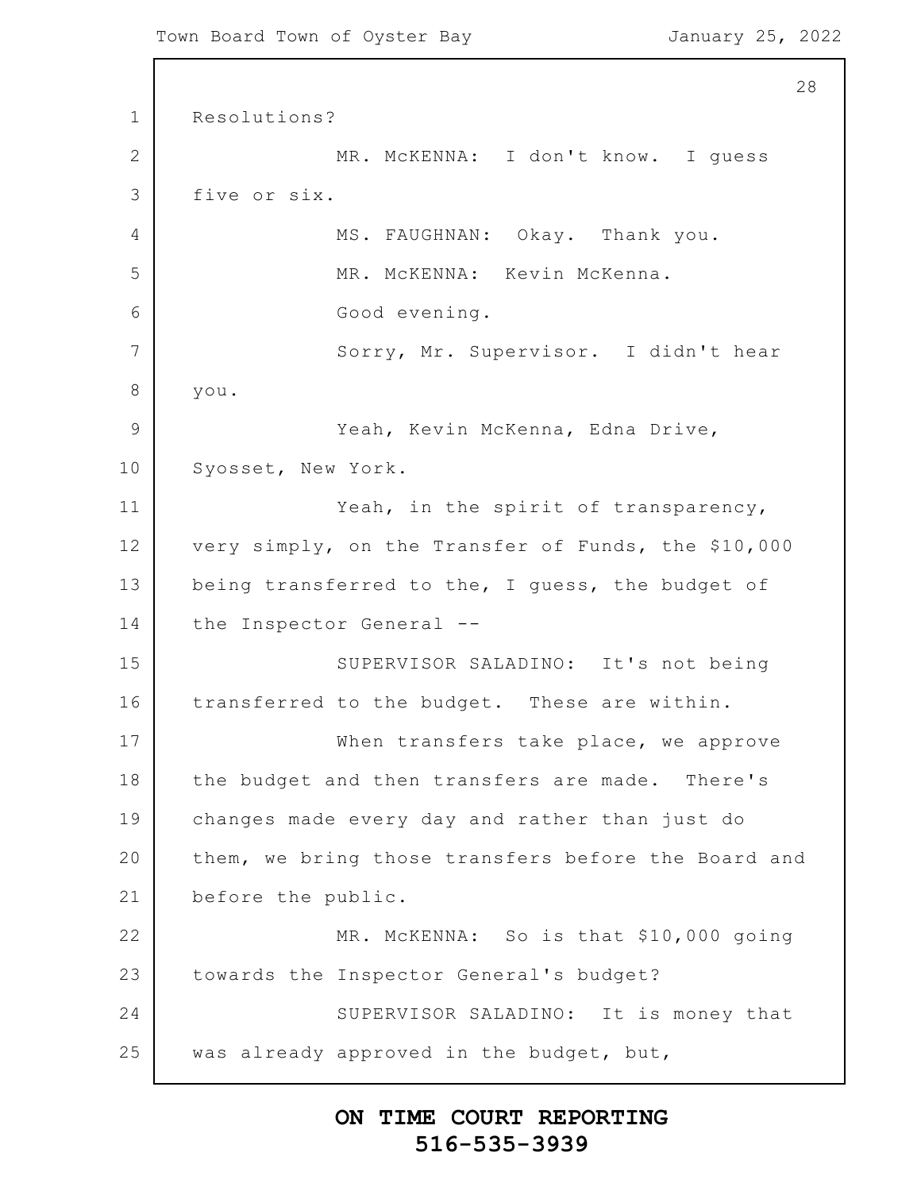```
1
2
3
4
5
6
7
8
9
10
11
12
13
14
15
16
17
18
19
20
21
22
23
24
25
                                                          28
      Resolutions?
                  MR. McKENNA: I don't know. I guess
      five or six.
                  MS. FAUGHNAN: Okay. Thank you.
                  MR. McKENNA: Kevin McKenna.
                  Good evening.
                  Sorry, Mr. Supervisor. I didn't hear
      you.
                  Yeah, Kevin McKenna, Edna Drive,
      Syosset, New York.
                  Yeah, in the spirit of transparency,
      very simply, on the Transfer of Funds, the $10,000
      being transferred to the, I guess, the budget of
      the Inspector General --
                  SUPERVISOR SALADINO: It's not being
      transferred to the budget. These are within.
                  When transfers take place, we approve
      the budget and then transfers are made. There's
      changes made every day and rather than just do
      them, we bring those transfers before the Board and
      before the public.
                  MR. MCKENNA: So is that $10,000 going
      towards the Inspector General's budget?
                  SUPERVISOR SALADINO: It is money that
      was already approved in the budget, but,
```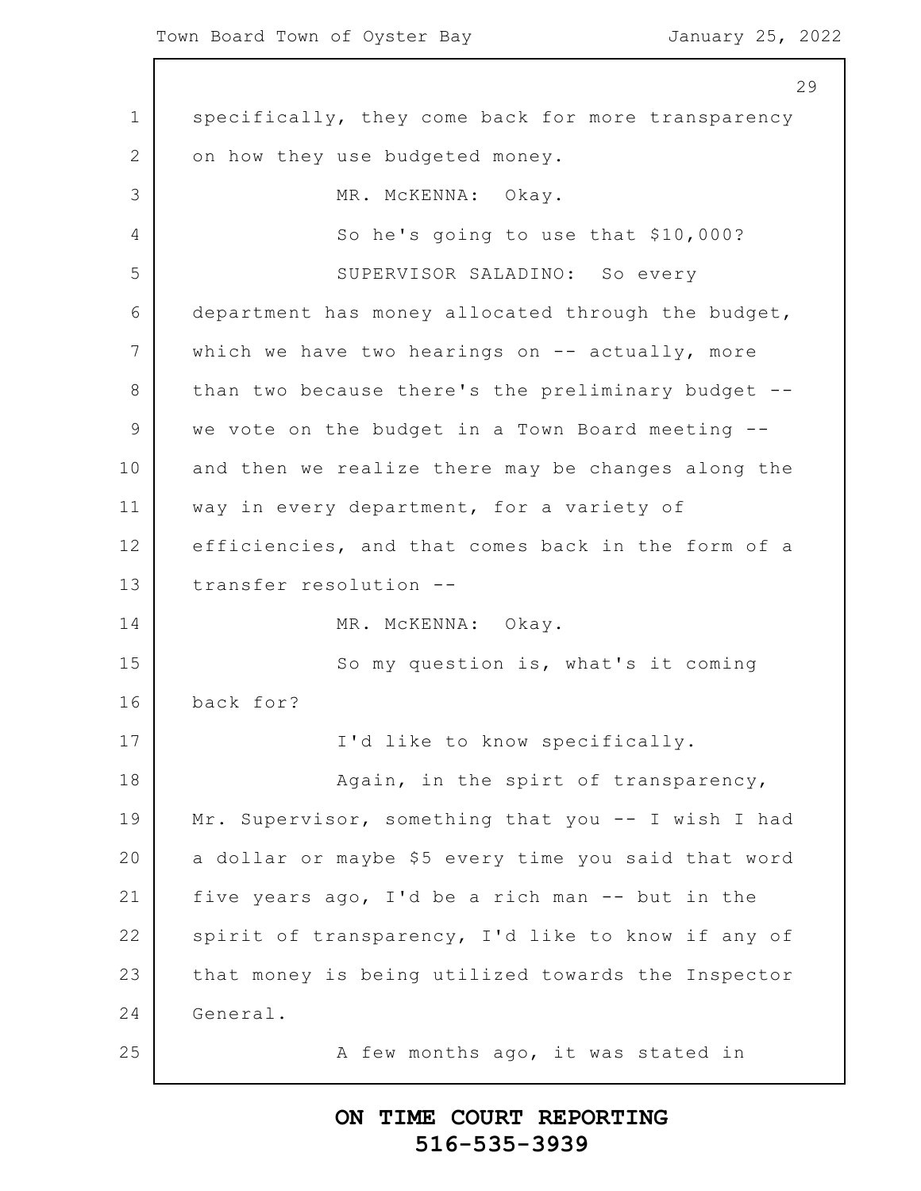$\Gamma$ 

|              | 29                                                  |
|--------------|-----------------------------------------------------|
| $\mathbf 1$  | specifically, they come back for more transparency  |
| $\mathbf{2}$ | on how they use budgeted money.                     |
| 3            | MR. MCKENNA: Okay.                                  |
| 4            | So he's going to use that \$10,000?                 |
| 5            | SUPERVISOR SALADINO: So every                       |
| 6            | department has money allocated through the budget,  |
| 7            | which we have two hearings on $--$ actually, more   |
| $\,8\,$      | than two because there's the preliminary budget --  |
| $\mathsf 9$  | we vote on the budget in a Town Board meeting --    |
| 10           | and then we realize there may be changes along the  |
| 11           | way in every department, for a variety of           |
| 12           | efficiencies, and that comes back in the form of a  |
| 13           | transfer resolution --                              |
| 14           | MR. MCKENNA: Okay.                                  |
| 15           | So my question is, what's it coming                 |
| 16           | back for?                                           |
| 17           | I'd like to know specifically.                      |
| 18           | Again, in the spirt of transparency,                |
| 19           | Mr. Supervisor, something that you -- I wish I had  |
| 20           | a dollar or maybe \$5 every time you said that word |
| 21           | five years ago, I'd be a rich man -- but in the     |
| 22           | spirit of transparency, I'd like to know if any of  |
| 23           | that money is being utilized towards the Inspector  |
| 24           | General.                                            |
| 25           | A few months ago, it was stated in                  |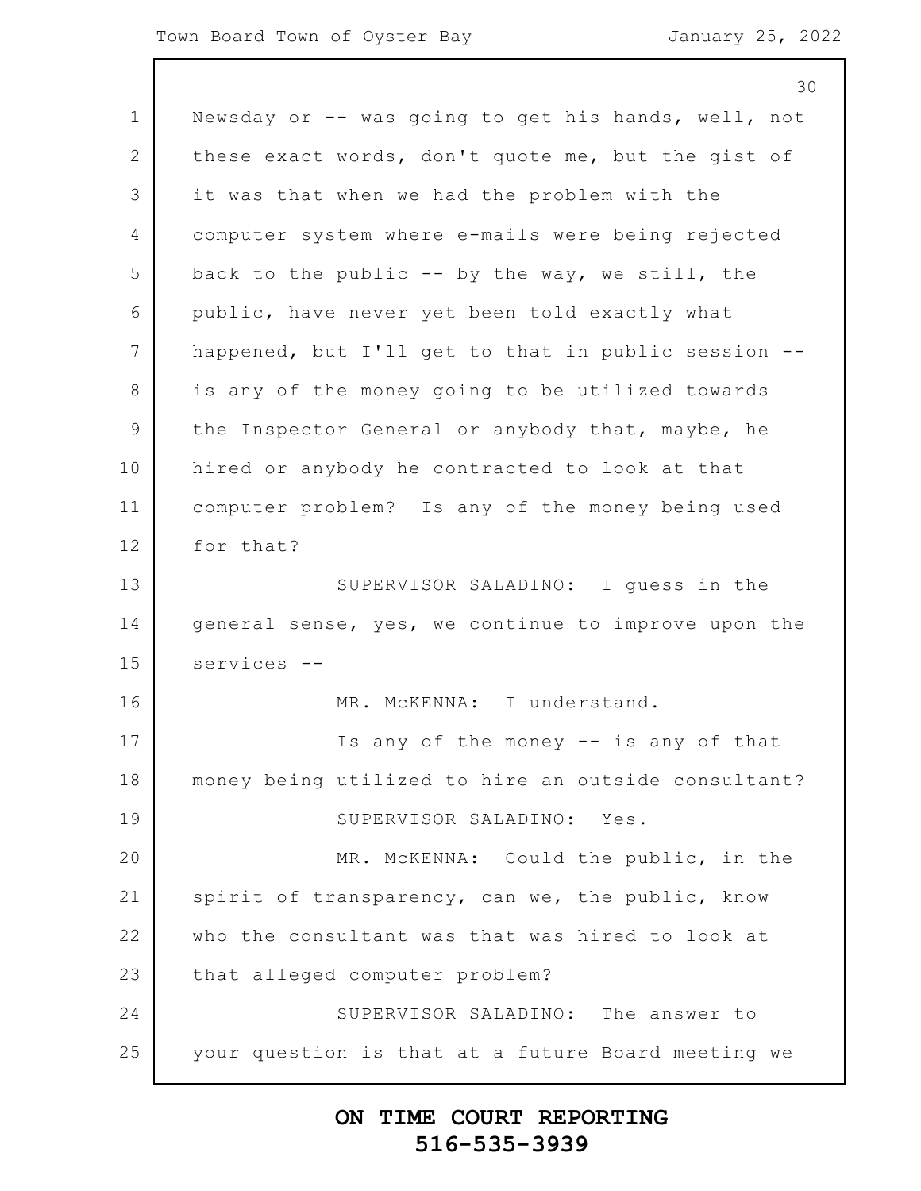|                | 30                                                  |
|----------------|-----------------------------------------------------|
| $\mathbf 1$    | Newsday or -- was going to get his hands, well, not |
| $\overline{2}$ | these exact words, don't quote me, but the gist of  |
| 3              | it was that when we had the problem with the        |
| 4              | computer system where e-mails were being rejected   |
| 5              | back to the public -- by the way, we still, the     |
| 6              | public, have never yet been told exactly what       |
| 7              | happened, but I'll get to that in public session -- |
| 8              | is any of the money going to be utilized towards    |
| $\mathsf 9$    | the Inspector General or anybody that, maybe, he    |
| 10             | hired or anybody he contracted to look at that      |
| 11             | computer problem? Is any of the money being used    |
| 12             | for that?                                           |
| 13             | SUPERVISOR SALADINO: I guess in the                 |
| 14             | general sense, yes, we continue to improve upon the |
| 15             | services --                                         |
| 16             | MR. MCKENNA: I understand.                          |
| 17             | Is any of the money -- is any of that               |
| 18             | money being utilized to hire an outside consultant? |
| 19             | SUPERVISOR SALADINO: Yes.                           |
| 20             | MR. MCKENNA: Could the public, in the               |
| 21             | spirit of transparency, can we, the public, know    |
| 22             | who the consultant was that was hired to look at    |
| 23             | that alleged computer problem?                      |
| 24             | SUPERVISOR SALADINO: The answer to                  |
| 25             | your question is that at a future Board meeting we  |
|                |                                                     |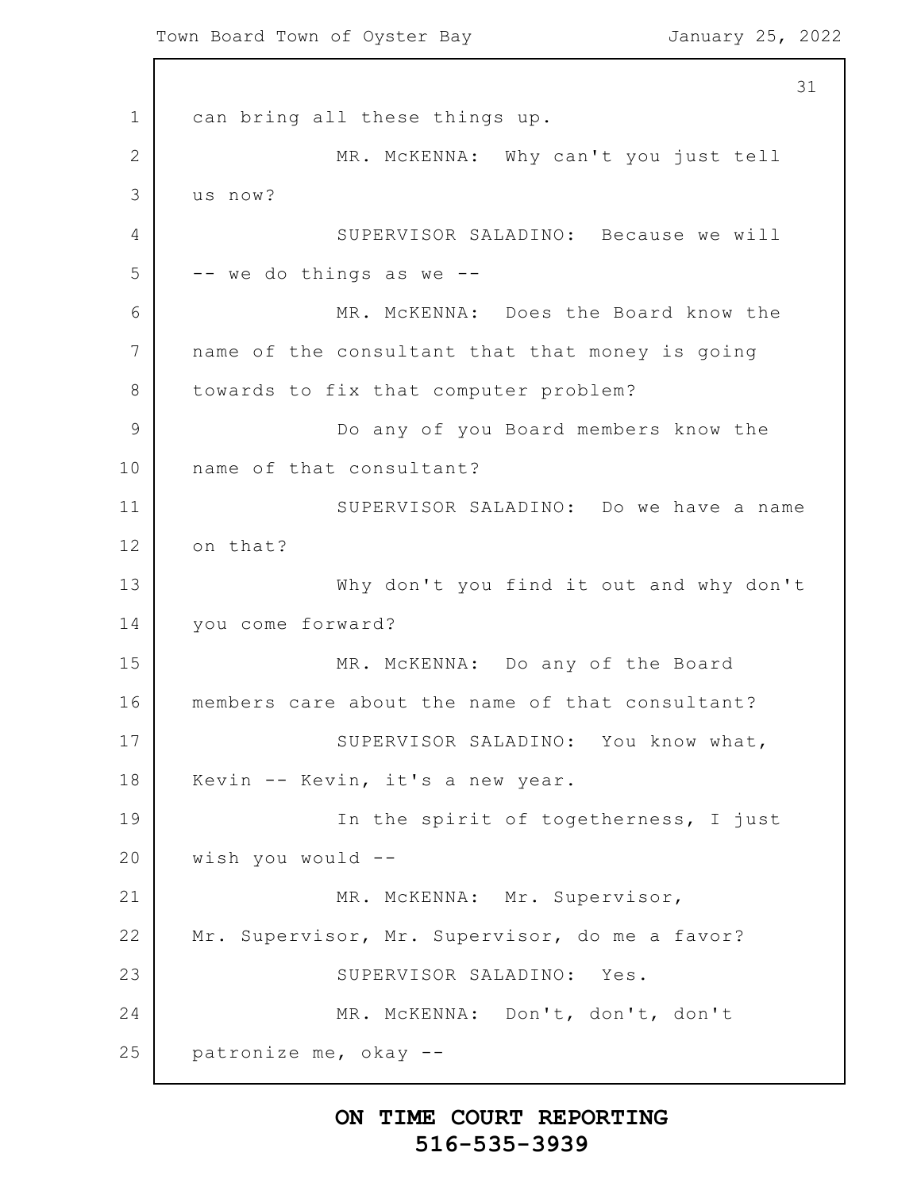1 2 3 4 5 6 7 8 9 10 11 12 13 14 15 16 17 18 19 20 21 22 23 24 25 31 can bring all these things up. MR. McKENNA: Why can't you just tell us now? SUPERVISOR SALADINO: Because we will -- we do things as we -- MR. McKENNA: Does the Board know the name of the consultant that that money is going towards to fix that computer problem? Do any of you Board members know the name of that consultant? SUPERVISOR SALADINO: Do we have a name on that? Why don't you find it out and why don't you come forward? MR. McKENNA: Do any of the Board members care about the name of that consultant? SUPERVISOR SALADINO: You know what, Kevin -- Kevin, it's a new year. In the spirit of togetherness, I just wish you would -- MR. McKENNA: Mr. Supervisor, Mr. Supervisor, Mr. Supervisor, do me a favor? SUPERVISOR SALADINO: Yes. MR. McKENNA: Don't, don't, don't patronize me, okay --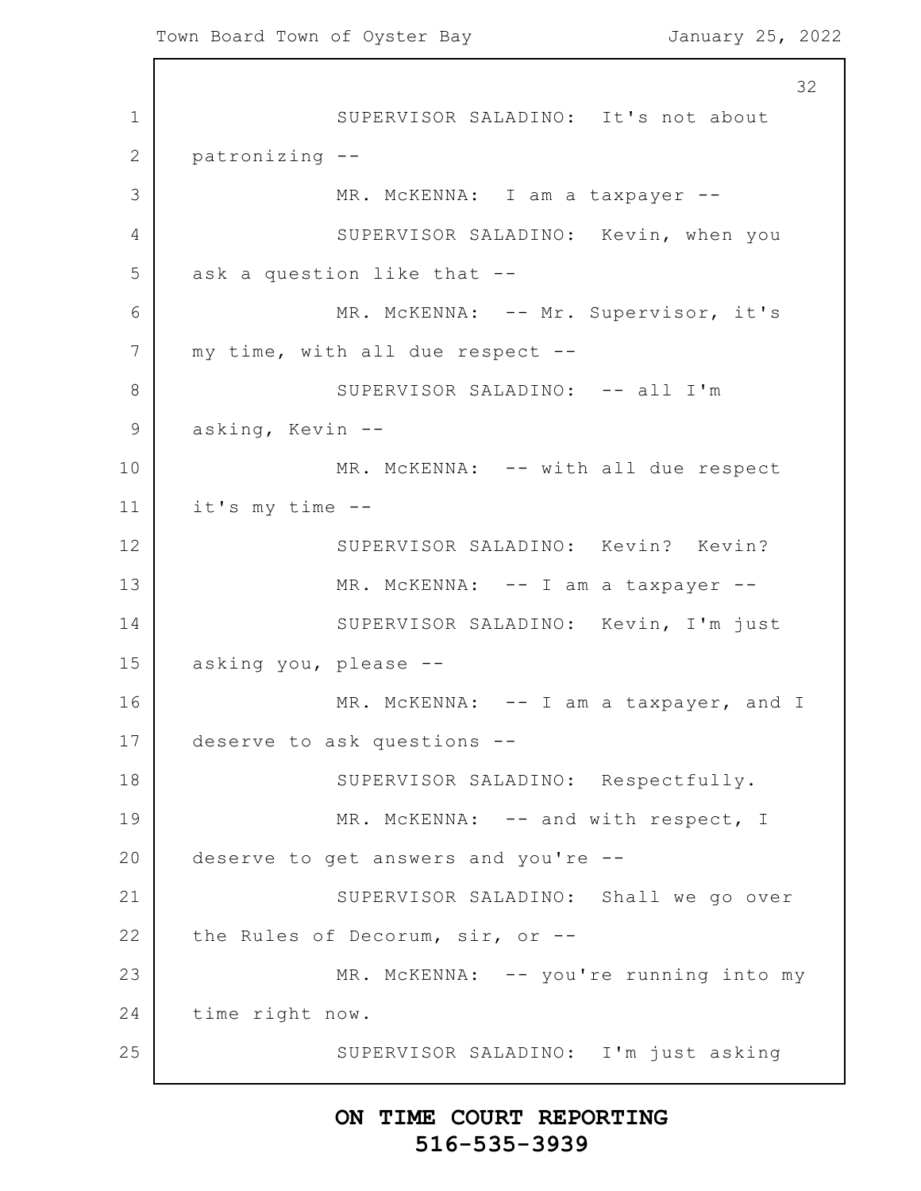1 2 3 4 5 6 7 8 9 10 11 12 13 14 15 16 17 18 19 20 21 22 23 24 25 32 SUPERVISOR SALADINO: It's not about patronizing -- MR. McKENNA: I am a taxpayer --SUPERVISOR SALADINO: Kevin, when you ask a question like that -- MR. MCKENNA: -- Mr. Supervisor, it's my time, with all due respect -- SUPERVISOR SALADINO: -- all I'm asking, Kevin -- MR. McKENNA: -- with all due respect it's my time -- SUPERVISOR SALADINO: Kevin? Kevin? MR. MCKENNA: -- I am a taxpayer --SUPERVISOR SALADINO: Kevin, I'm just asking you, please -- MR. McKENNA: -- I am a taxpayer, and I deserve to ask questions -- SUPERVISOR SALADINO: Respectfully. MR. McKENNA: -- and with respect, I deserve to get answers and you're -- SUPERVISOR SALADINO: Shall we go over the Rules of Decorum, sir, or -- MR. McKENNA: -- you're running into my time right now. SUPERVISOR SALADINO: I'm just asking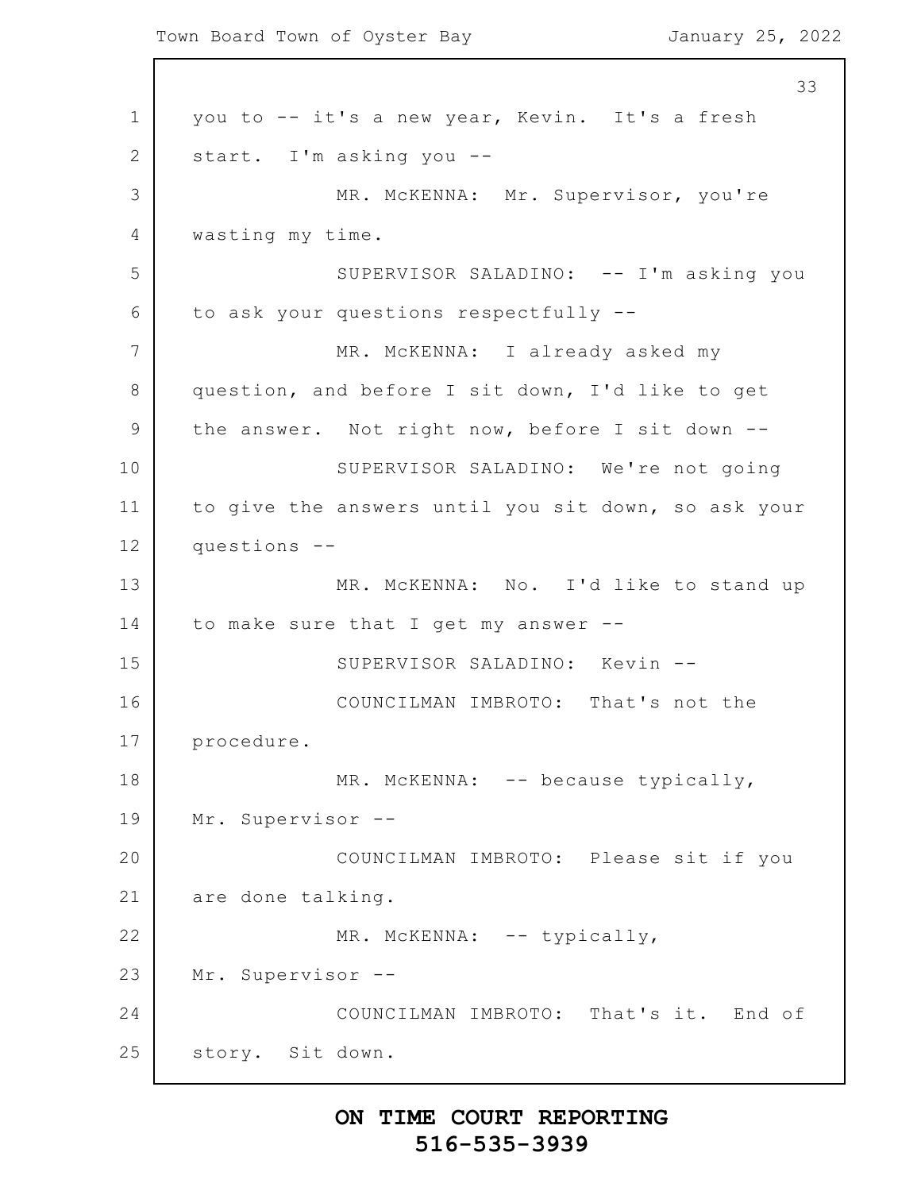1 2 3 4 5 6 7 8 9 10 11 12 13 14 15 16 17 18 19 20 21 22 23 24 25 33 you to -- it's a new year, Kevin. It's a fresh start. I'm asking you -- MR. McKENNA: Mr. Supervisor, you're wasting my time. SUPERVISOR SALADINO: -- I'm asking you to ask your questions respectfully -- MR. McKENNA: I already asked my question, and before I sit down, I'd like to get the answer. Not right now, before I sit down -- SUPERVISOR SALADINO: We're not going to give the answers until you sit down, so ask your questions -- MR. McKENNA: No. I'd like to stand up to make sure that I get my answer -- SUPERVISOR SALADINO: Kevin -- COUNCILMAN IMBROTO: That's not the procedure. MR. McKENNA: -- because typically, Mr. Supervisor -- COUNCILMAN IMBROTO: Please sit if you are done talking. MR. McKENNA: -- typically, Mr. Supervisor -- COUNCILMAN IMBROTO: That's it. End of story. Sit down.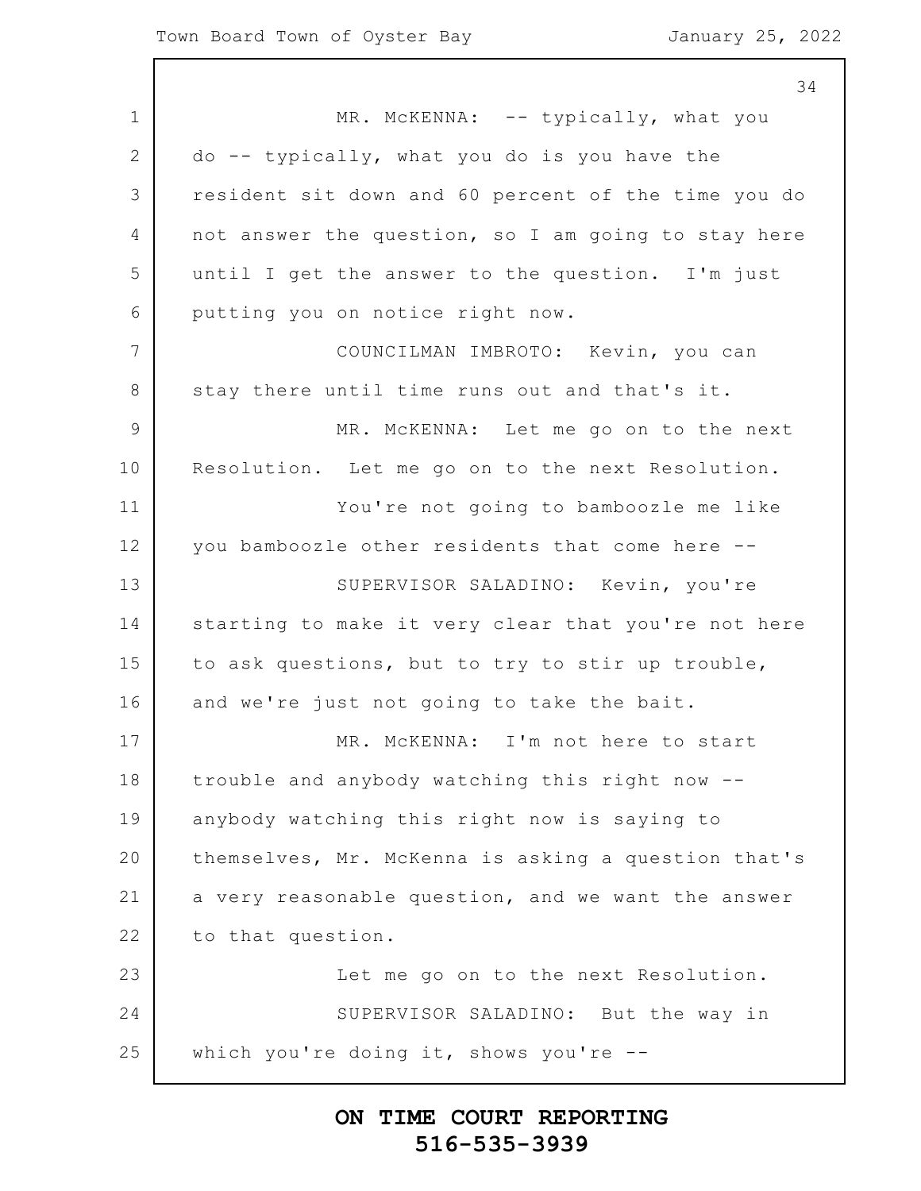1 2 3 4 5 6 7 8 9 10 11 12 13 14 15 16 17 18 19 20 21 22 23 24 25 34 MR. McKENNA: -- typically, what you do -- typically, what you do is you have the resident sit down and 60 percent of the time you do not answer the question, so I am going to stay here until I get the answer to the question. I'm just putting you on notice right now. COUNCILMAN IMBROTO: Kevin, you can stay there until time runs out and that's it. MR. McKENNA: Let me go on to the next Resolution. Let me go on to the next Resolution. You're not going to bamboozle me like you bamboozle other residents that come here -- SUPERVISOR SALADINO: Kevin, you're starting to make it very clear that you're not here to ask questions, but to try to stir up trouble, and we're just not going to take the bait. MR. McKENNA: I'm not here to start trouble and anybody watching this right now - anybody watching this right now is saying to themselves, Mr. McKenna is asking a question that's a very reasonable question, and we want the answer to that question. Let me go on to the next Resolution. SUPERVISOR SALADINO: But the way in which you're doing it, shows you're --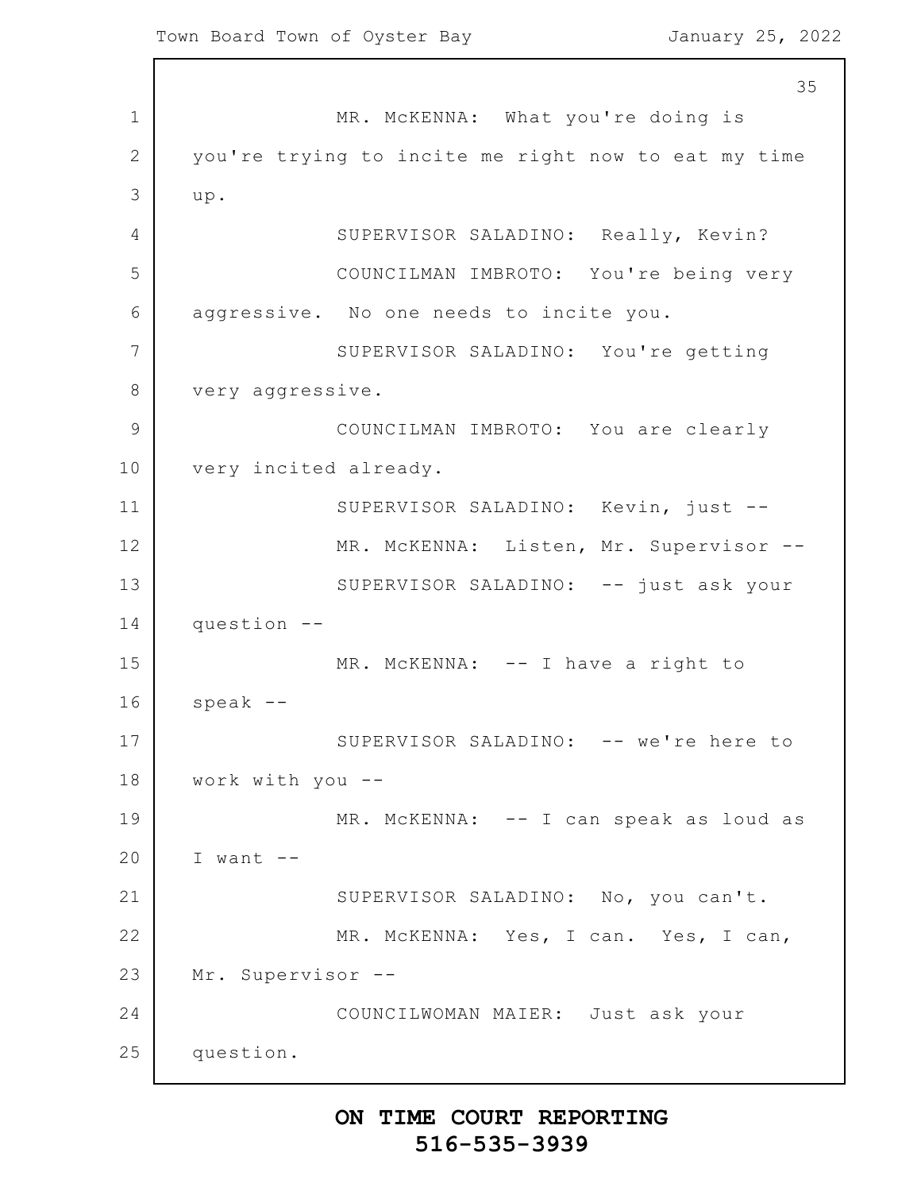1 2 3 4 5 6 7 8 9 10 11 12 13 14 15 16 17 18 19 20 21 22 23 24 25 35 MR. McKENNA: What you're doing is you're trying to incite me right now to eat my time up. SUPERVISOR SALADINO: Really, Kevin? COUNCILMAN IMBROTO: You're being very aggressive. No one needs to incite you. SUPERVISOR SALADINO: You're getting very aggressive. COUNCILMAN IMBROTO: You are clearly very incited already. SUPERVISOR SALADINO: Kevin, just -- MR. McKENNA: Listen, Mr. Supervisor -- SUPERVISOR SALADINO: -- just ask your question -- MR. McKENNA: -- I have a right to speak -- SUPERVISOR SALADINO: -- we're here to work with you -- MR. McKENNA: -- I can speak as loud as I want -- SUPERVISOR SALADINO: No, you can't. MR. McKENNA: Yes, I can. Yes, I can, Mr. Supervisor -- COUNCILWOMAN MAIER: Just ask your question.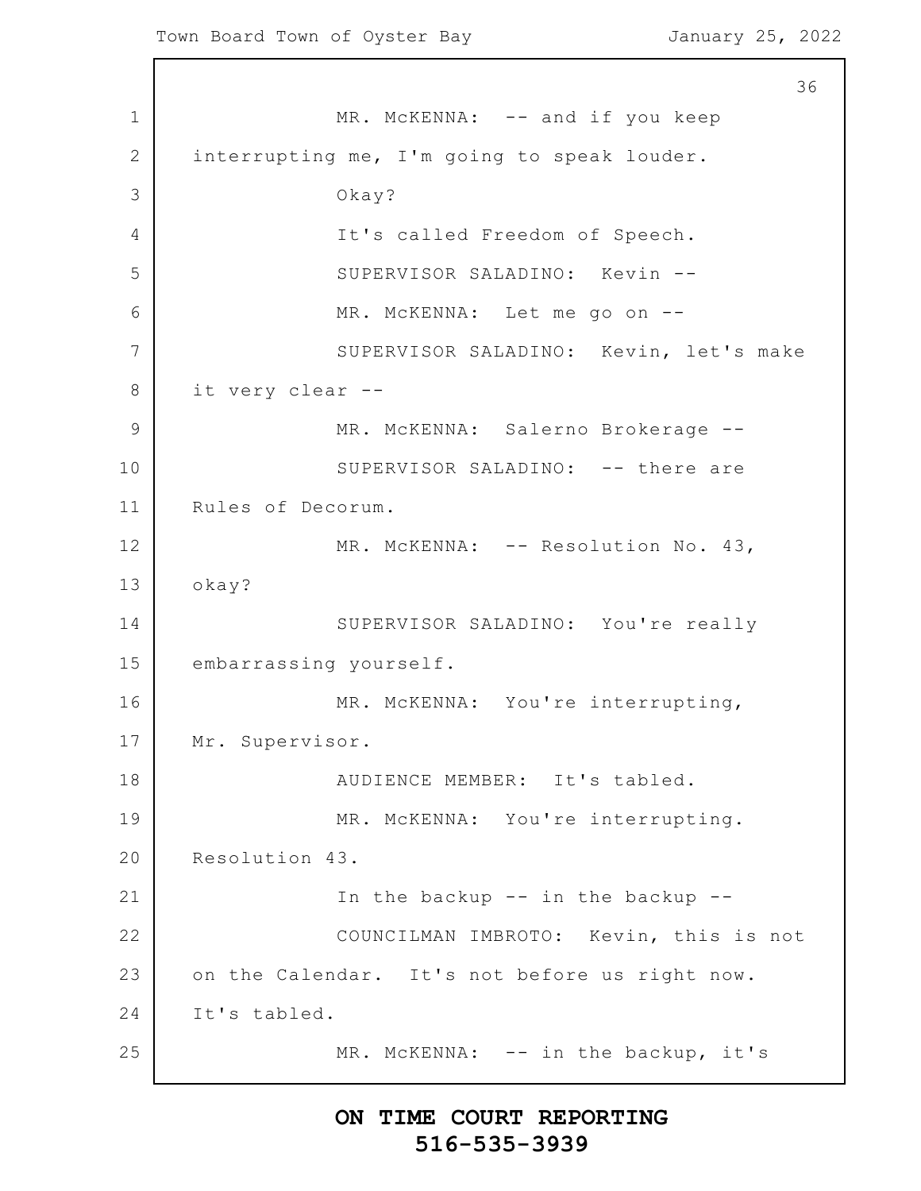1 2 3 4 5 6 7 8 9 10 11 12 13 14 15 16 17 18 19 20 21 22 23 24 25 36 MR. McKENNA: -- and if you keep interrupting me, I'm going to speak louder. Okay? It's called Freedom of Speech. SUPERVISOR SALADINO: Kevin -- MR. McKENNA: Let me go on -- SUPERVISOR SALADINO: Kevin, let's make it very clear -- MR. McKENNA: Salerno Brokerage --SUPERVISOR SALADINO: -- there are Rules of Decorum. MR. McKENNA: -- Resolution No. 43, okay? SUPERVISOR SALADINO: You're really embarrassing yourself. MR. McKENNA: You're interrupting, Mr. Supervisor. AUDIENCE MEMBER: It's tabled. MR. McKENNA: You're interrupting. Resolution 43. In the backup -- in the backup -- COUNCILMAN IMBROTO: Kevin, this is not on the Calendar. It's not before us right now. It's tabled. MR. McKENNA: -- in the backup, it's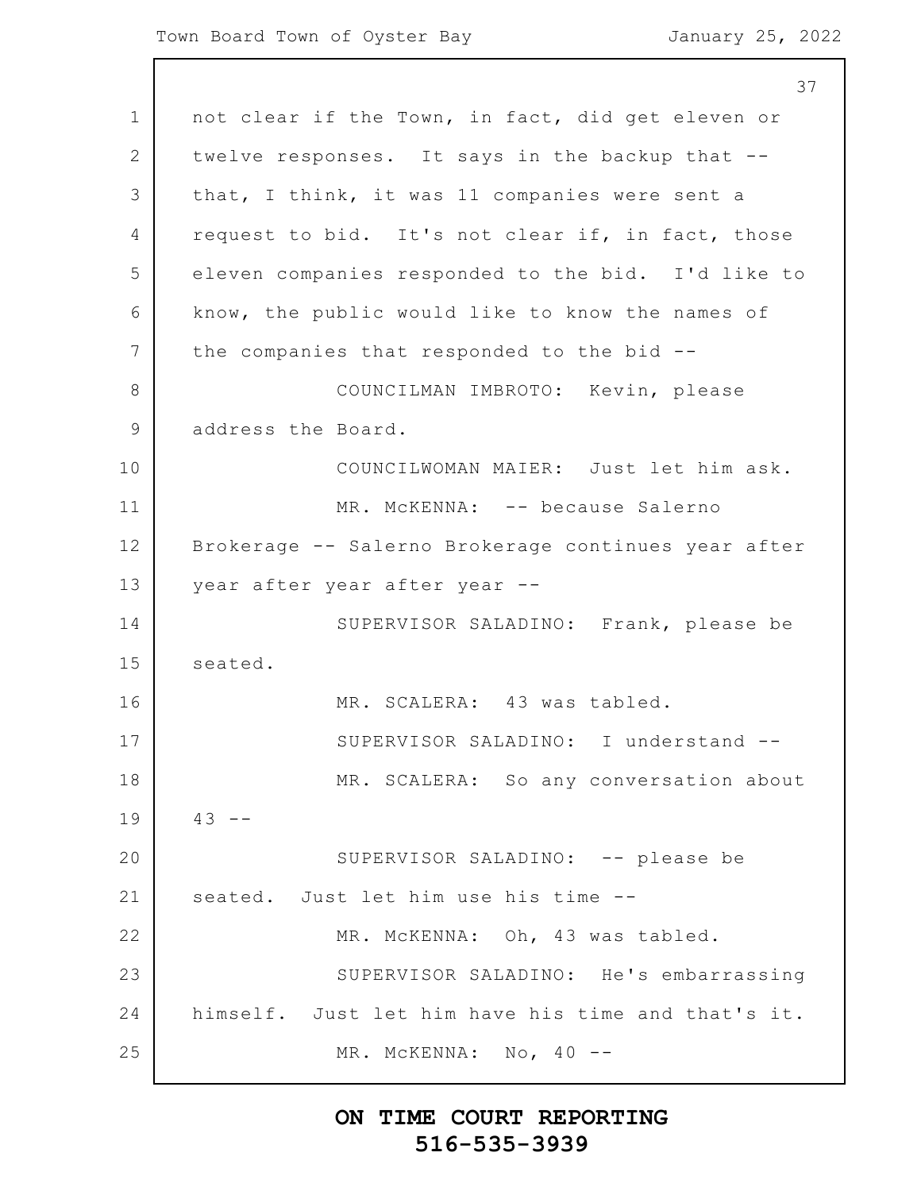37

1 2 3 4 5 6 7 8 9 10 11 12 13 14 15 16 17 18 19 20 21 22 23 24 25 not clear if the Town, in fact, did get eleven or twelve responses. It says in the backup that - that, I think, it was 11 companies were sent a request to bid. It's not clear if, in fact, those eleven companies responded to the bid. I'd like to know, the public would like to know the names of the companies that responded to the bid -- COUNCILMAN IMBROTO: Kevin, please address the Board. COUNCILWOMAN MAIER: Just let him ask. MR. McKENNA: -- because Salerno Brokerage -- Salerno Brokerage continues year after year after year after year -- SUPERVISOR SALADINO: Frank, please be seated. MR. SCALERA: 43 was tabled. SUPERVISOR SALADINO: I understand -- MR. SCALERA: So any conversation about  $43 - -$ SUPERVISOR SALADINO: -- please be seated. Just let him use his time -- MR. McKENNA: Oh, 43 was tabled. SUPERVISOR SALADINO: He's embarrassing himself. Just let him have his time and that's it. MR. MCKENNA: No, 40 --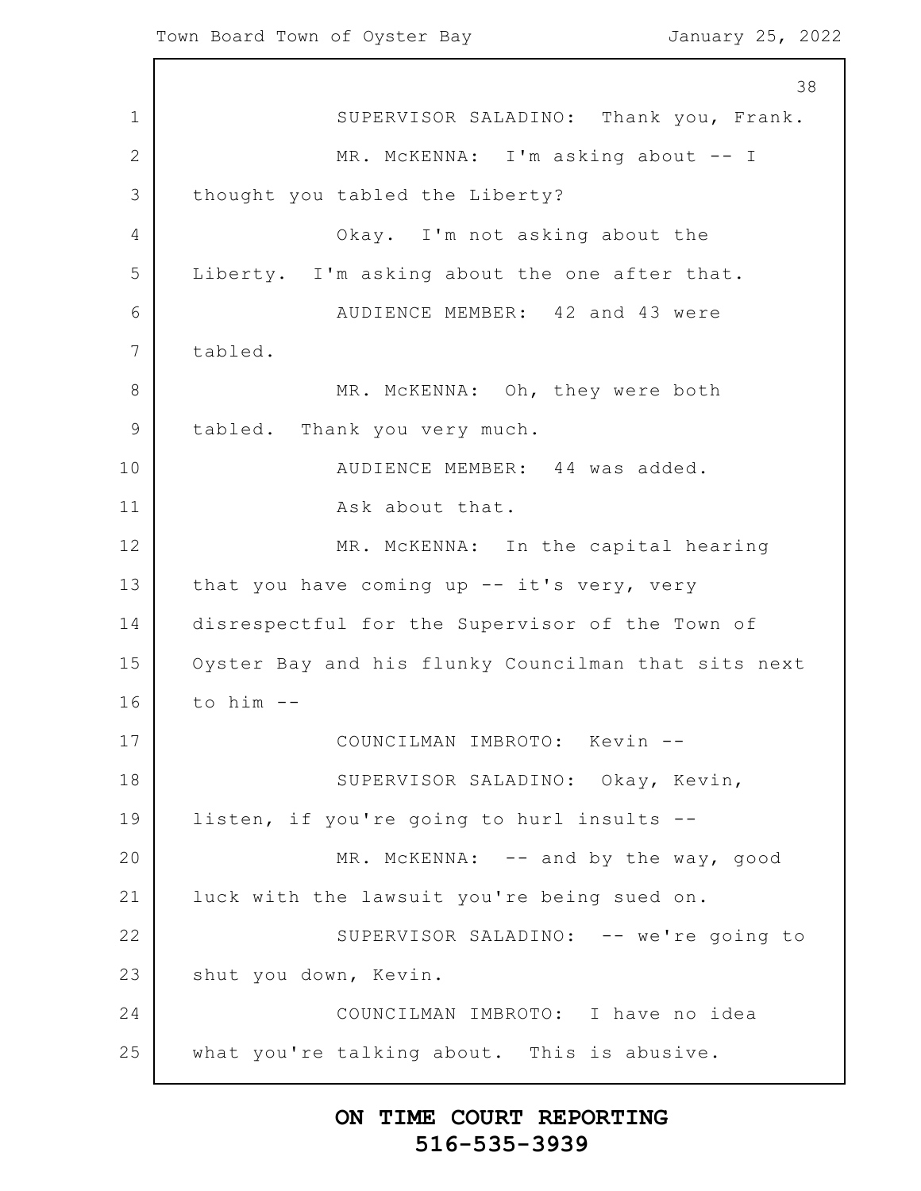1 2 3 4 5 6 7 8 9 10 11 12 13 14 15 16 17 18 19 20 21 22 23 24 25 38 SUPERVISOR SALADINO: Thank you, Frank. MR. McKENNA: I'm asking about -- I thought you tabled the Liberty? Okay. I'm not asking about the Liberty. I'm asking about the one after that. AUDIENCE MEMBER: 42 and 43 were tabled. MR. McKENNA: Oh, they were both tabled. Thank you very much. AUDIENCE MEMBER: 44 was added. Ask about that. MR. McKENNA: In the capital hearing that you have coming up -- it's very, very disrespectful for the Supervisor of the Town of Oyster Bay and his flunky Councilman that sits next to him -- COUNCILMAN IMBROTO: Kevin -- SUPERVISOR SALADINO: Okay, Kevin, listen, if you're going to hurl insults -- MR. MCKENNA: -- and by the way, good luck with the lawsuit you're being sued on. SUPERVISOR SALADINO: -- we're going to shut you down, Kevin. COUNCILMAN IMBROTO: I have no idea what you're talking about. This is abusive.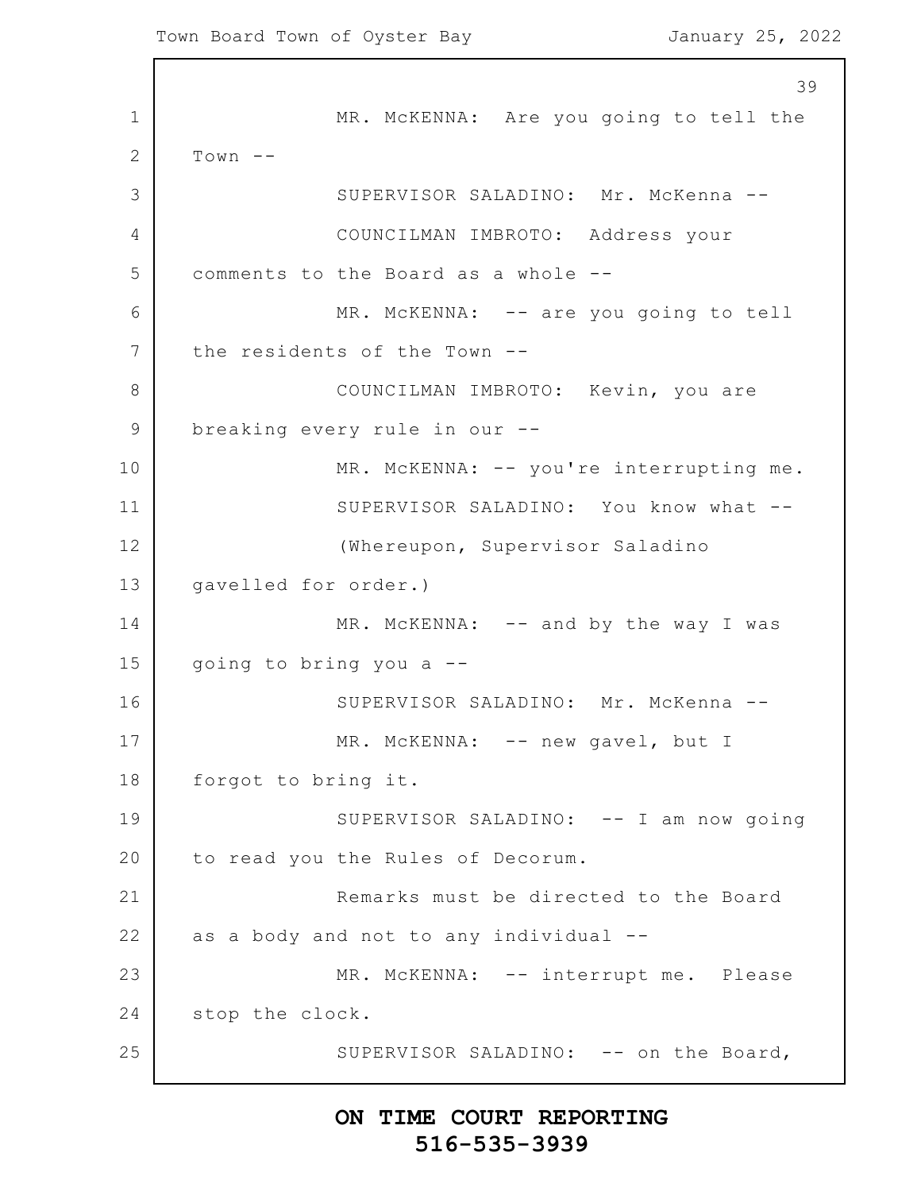1 2 3 4 5 6 7 8 9 10 11 12 13 14 15 16 17 18 19 20 21 22 23 24 25 39 MR. McKENNA: Are you going to tell the  $Town$  --SUPERVISOR SALADINO: Mr. McKenna -- COUNCILMAN IMBROTO: Address your comments to the Board as a whole -- MR. McKENNA: -- are you going to tell the residents of the Town -- COUNCILMAN IMBROTO: Kevin, you are breaking every rule in our -- MR. McKENNA: -- you're interrupting me. SUPERVISOR SALADINO: You know what -- (Whereupon, Supervisor Saladino gavelled for order.) MR. McKENNA: -- and by the way I was going to bring you a -- SUPERVISOR SALADINO: Mr. McKenna -- MR. MCKENNA: -- new gavel, but I forgot to bring it. SUPERVISOR SALADINO: -- I am now going to read you the Rules of Decorum. Remarks must be directed to the Board as a body and not to any individual -- MR. McKENNA: -- interrupt me. Please stop the clock. SUPERVISOR SALADINO: -- on the Board,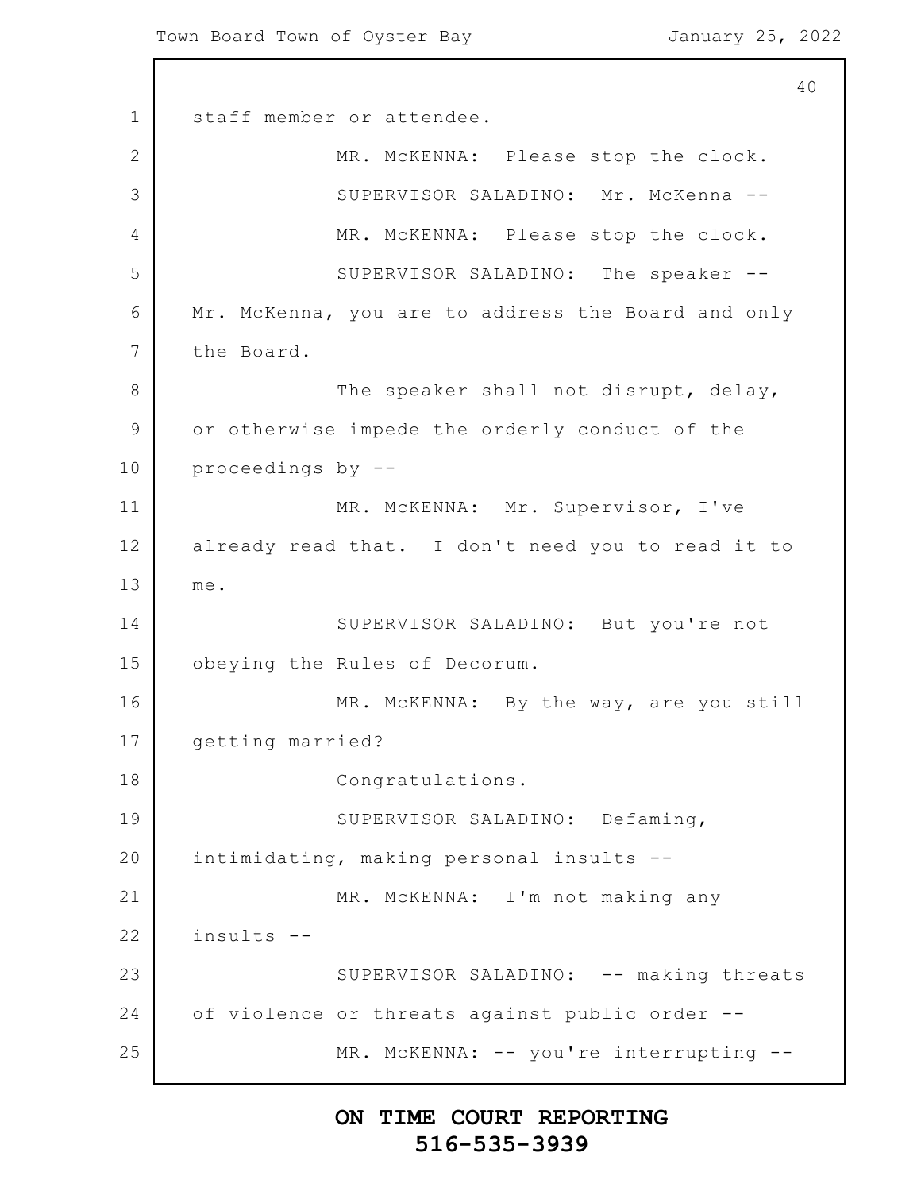1 2 3 4 5 6 7 8 9 10 11 12 13 14 15 16 17 18 19 20 21 22 23 24 25 40 staff member or attendee. MR. McKENNA: Please stop the clock. SUPERVISOR SALADINO: Mr. McKenna -- MR. McKENNA: Please stop the clock. SUPERVISOR SALADINO: The speaker -- Mr. McKenna, you are to address the Board and only the Board. The speaker shall not disrupt, delay, or otherwise impede the orderly conduct of the proceedings by -- MR. McKENNA: Mr. Supervisor, I've already read that. I don't need you to read it to me. SUPERVISOR SALADINO: But you're not obeying the Rules of Decorum. MR. McKENNA: By the way, are you still getting married? Congratulations. SUPERVISOR SALADINO: Defaming, intimidating, making personal insults -- MR. McKENNA: I'm not making any insults -- SUPERVISOR SALADINO: -- making threats of violence or threats against public order -- MR. McKENNA: -- you're interrupting --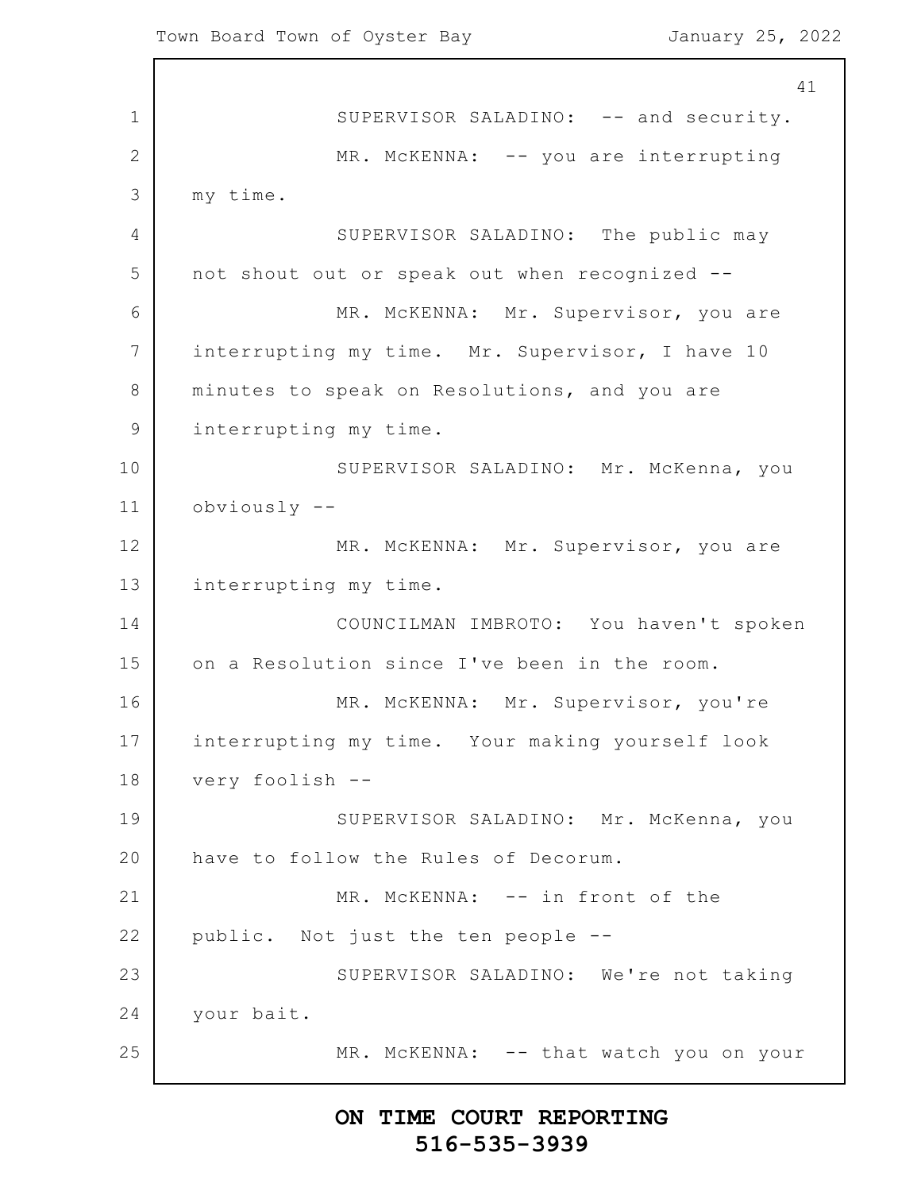1 2 3 4 5 6 7 8 9 10 11 12 13 14 15 16 17 18 19 20 21 22 23 24 25 41 SUPERVISOR SALADINO: -- and security. MR. McKENNA: -- you are interrupting my time. SUPERVISOR SALADINO: The public may not shout out or speak out when recognized -- MR. McKENNA: Mr. Supervisor, you are interrupting my time. Mr. Supervisor, I have 10 minutes to speak on Resolutions, and you are interrupting my time. SUPERVISOR SALADINO: Mr. McKenna, you obviously -- MR. McKENNA: Mr. Supervisor, you are interrupting my time. COUNCILMAN IMBROTO: You haven't spoken on a Resolution since I've been in the room. MR. McKENNA: Mr. Supervisor, you're interrupting my time. Your making yourself look very foolish -- SUPERVISOR SALADINO: Mr. McKenna, you have to follow the Rules of Decorum. MR. McKENNA: -- in front of the public. Not just the ten people -- SUPERVISOR SALADINO: We're not taking your bait. MR. McKENNA: -- that watch you on your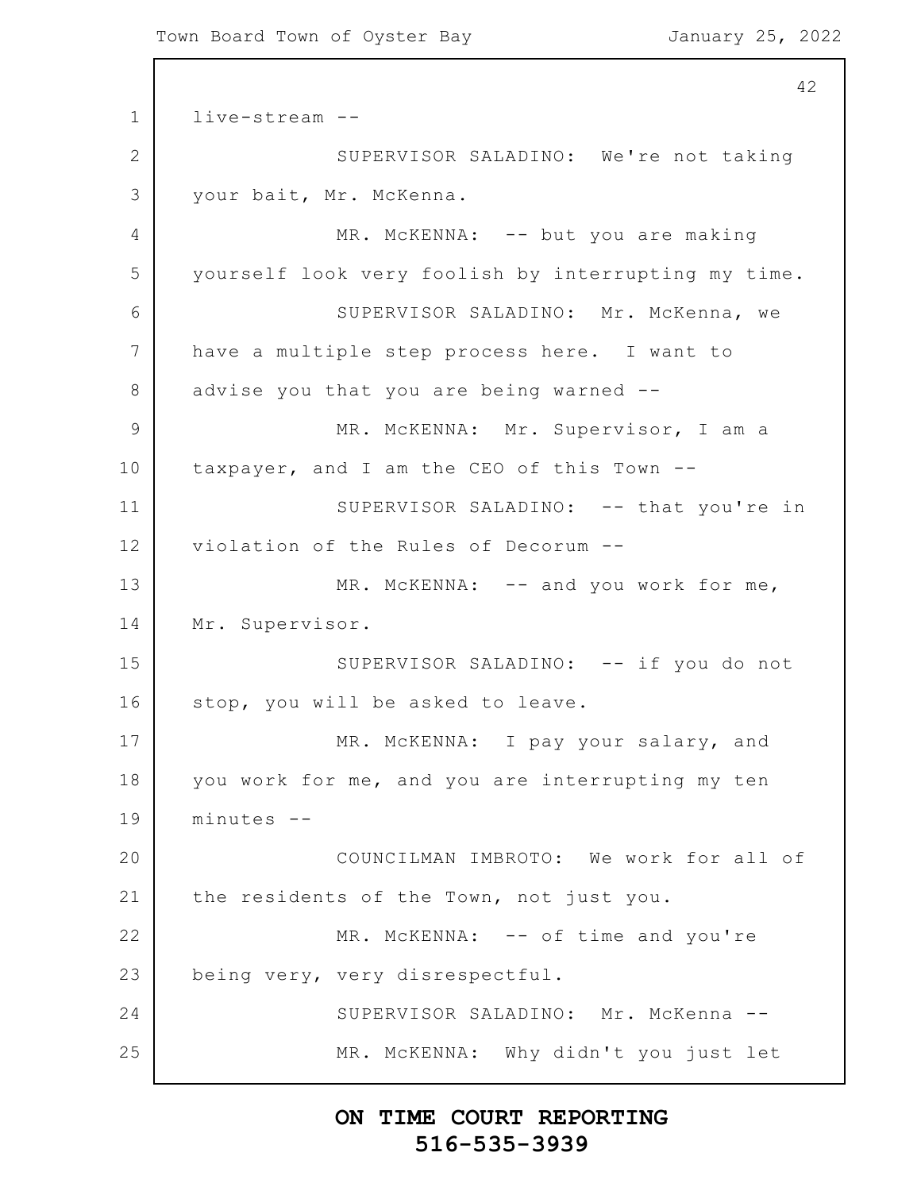```
1
2
3
4
5
6
7
8
9
10
11
12
13
14
15
16
17
18
19
20
21
22
23
24
25
                                                          42
      live-stream --
                  SUPERVISOR SALADINO: We're not taking
      your bait, Mr. McKenna.
                  MR. McKENNA: -- but you are making
      yourself look very foolish by interrupting my time.
                  SUPERVISOR SALADINO: Mr. McKenna, we
      have a multiple step process here. I want to
      advise you that you are being warned --
                  MR. McKENNA: Mr. Supervisor, I am a
      taxpayer, and I am the CEO of this Town --
                  SUPERVISOR SALADINO: -- that you're in
      violation of the Rules of Decorum --
                  MR. MCKENNA: -- and you work for me,
      Mr. Supervisor.
                  SUPERVISOR SALADINO: -- if you do not
      stop, you will be asked to leave.
                  MR. McKENNA: I pay your salary, and
      you work for me, and you are interrupting my ten
      minutes --
                  COUNCILMAN IMBROTO: We work for all of
      the residents of the Town, not just you.
                  MR. McKENNA: -- of time and you're
      being very, very disrespectful.
                  SUPERVISOR SALADINO: Mr. McKenna --
                  MR. McKENNA: Why didn't you just let
```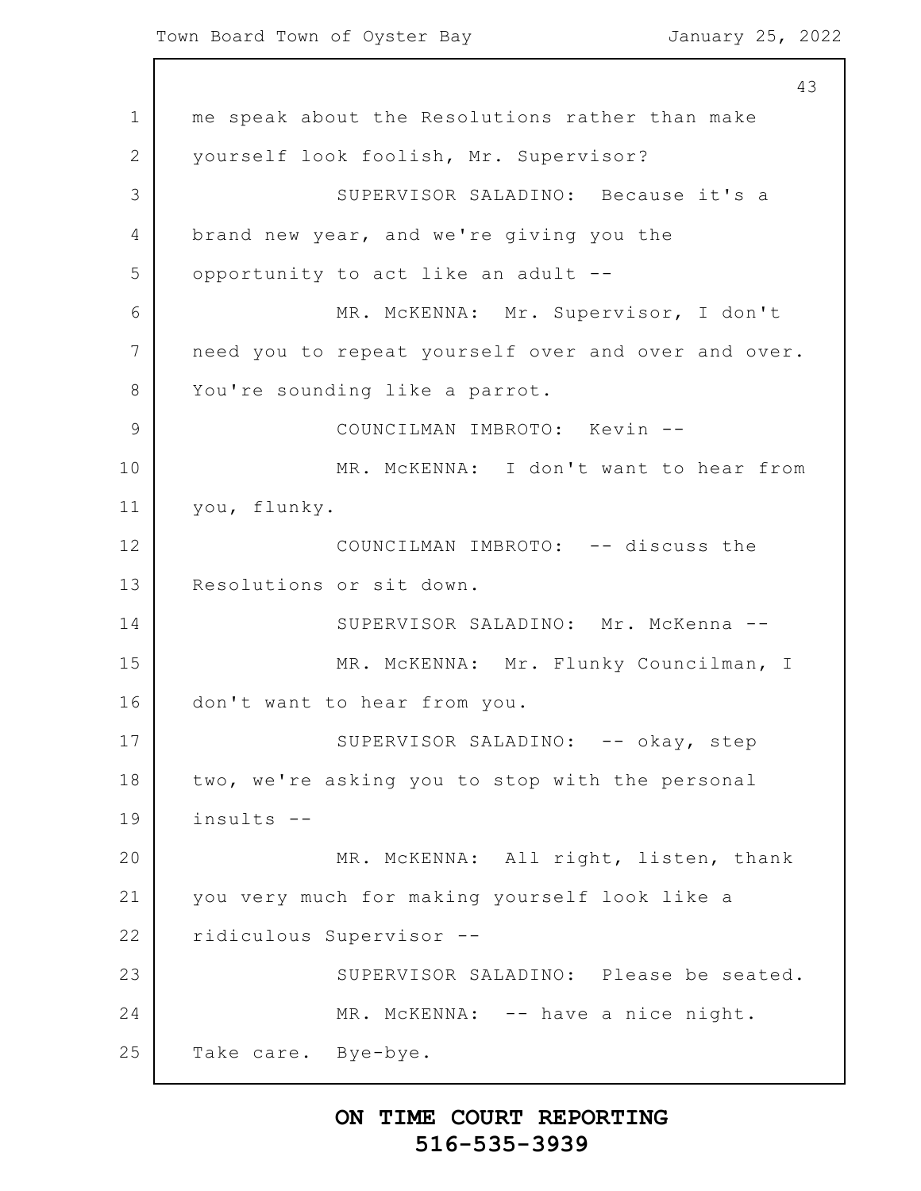1 2 3 4 5 6 7 8 9 10 11 12 13 14 15 16 17 18 19 20 21 22 23 24 25 43 me speak about the Resolutions rather than make yourself look foolish, Mr. Supervisor? SUPERVISOR SALADINO: Because it's a brand new year, and we're giving you the opportunity to act like an adult -- MR. McKENNA: Mr. Supervisor, I don't need you to repeat yourself over and over and over. You're sounding like a parrot. COUNCILMAN IMBROTO: Kevin -- MR. McKENNA: I don't want to hear from you, flunky. COUNCILMAN IMBROTO: -- discuss the Resolutions or sit down. SUPERVISOR SALADINO: Mr. McKenna -- MR. McKENNA: Mr. Flunky Councilman, I don't want to hear from you. SUPERVISOR SALADINO: -- okay, step two, we're asking you to stop with the personal insults -- MR. McKENNA: All right, listen, thank you very much for making yourself look like a ridiculous Supervisor -- SUPERVISOR SALADINO: Please be seated. MR. McKENNA: -- have a nice night. Take care. Bye-bye.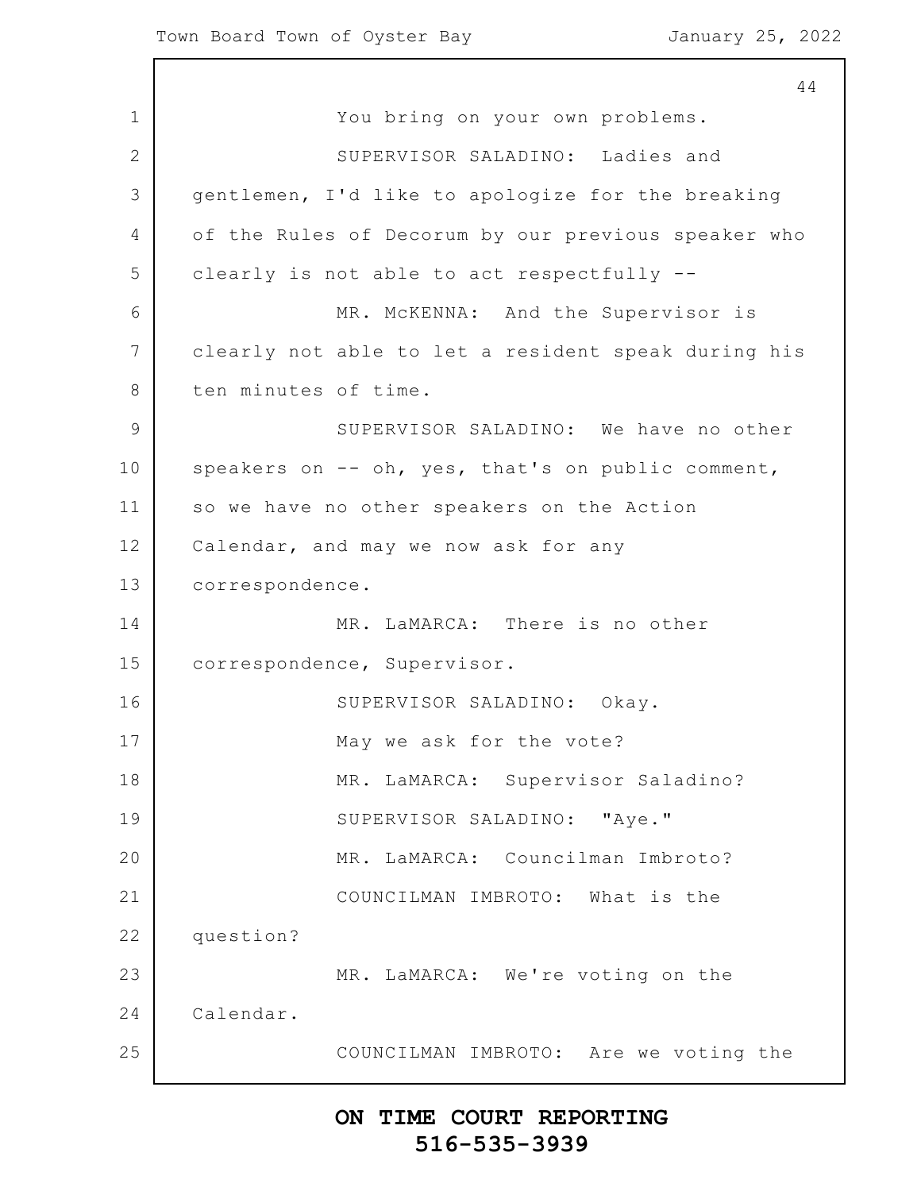1 2 3 4 5 6 7 8 9 10 11 12 13 14 15 16 17 18 19 20 21 22 23 24 25 44 You bring on your own problems. SUPERVISOR SALADINO: Ladies and gentlemen, I'd like to apologize for the breaking of the Rules of Decorum by our previous speaker who clearly is not able to act respectfully -- MR. McKENNA: And the Supervisor is clearly not able to let a resident speak during his ten minutes of time. SUPERVISOR SALADINO: We have no other speakers on -- oh, yes, that's on public comment, so we have no other speakers on the Action Calendar, and may we now ask for any correspondence. MR. LaMARCA: There is no other correspondence, Supervisor. SUPERVISOR SALADINO: Okay. May we ask for the vote? MR. LaMARCA: Supervisor Saladino? SUPERVISOR SALADINO: "Aye." MR. LaMARCA: Councilman Imbroto? COUNCILMAN IMBROTO: What is the question? MR. LaMARCA: We're voting on the Calendar. COUNCILMAN IMBROTO: Are we voting the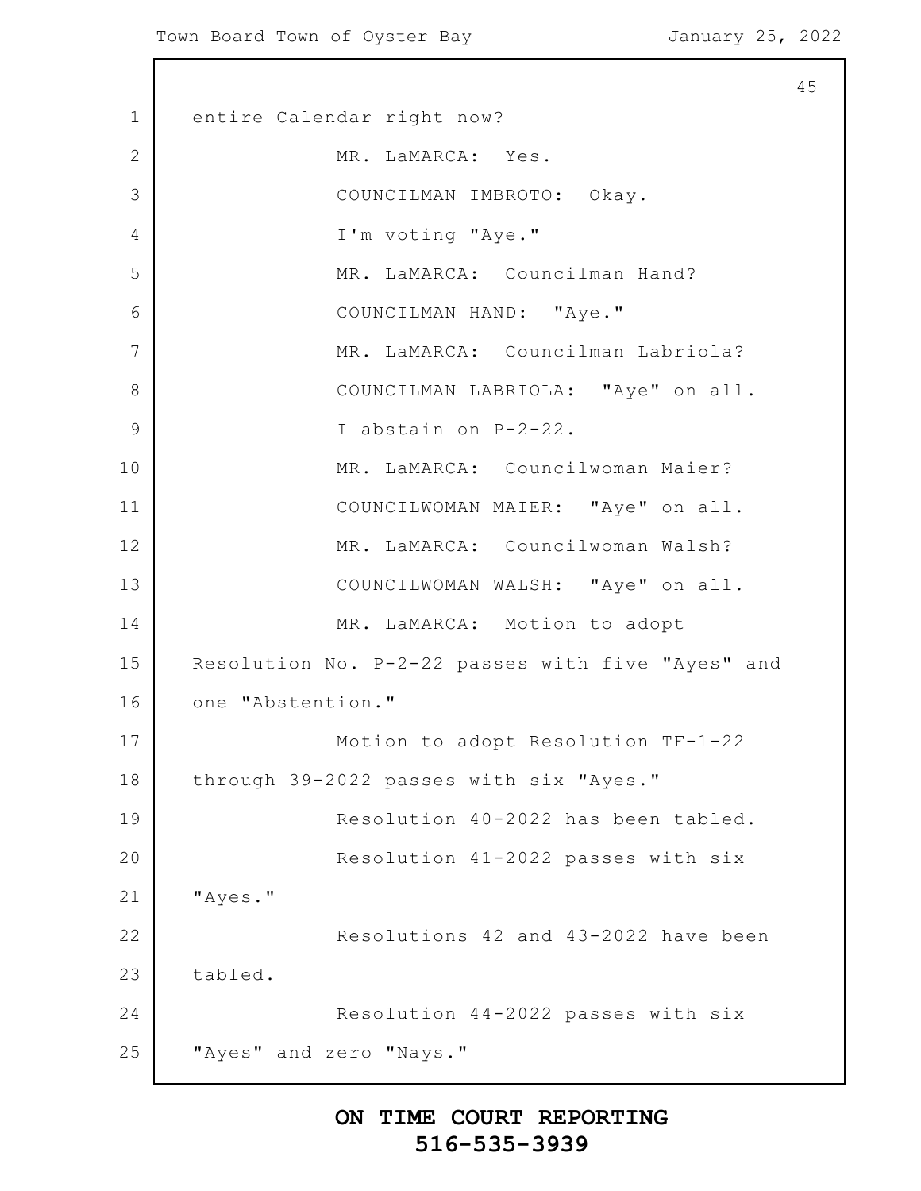1 2 3 4 5 6 7 8 9 10 11 12 13 14 15 16 17 18 19 20 21 22 23 24 25 45 entire Calendar right now? MR. LaMARCA: Yes. COUNCILMAN IMBROTO: Okay. I'm voting "Aye." MR. LaMARCA: Councilman Hand? COUNCILMAN HAND: "Aye." MR. LaMARCA: Councilman Labriola? COUNCILMAN LABRIOLA: "Aye" on all. I abstain on P-2-22. MR. LaMARCA: Councilwoman Maier? COUNCILWOMAN MAIER: "Aye" on all. MR. LaMARCA: Councilwoman Walsh? COUNCILWOMAN WALSH: "Aye" on all. MR. LaMARCA: Motion to adopt Resolution No. P-2-22 passes with five "Ayes" and one "Abstention." Motion to adopt Resolution TF-1-22 through 39-2022 passes with six "Ayes." Resolution 40-2022 has been tabled. Resolution 41-2022 passes with six "Ayes." Resolutions 42 and 43-2022 have been tabled. Resolution 44-2022 passes with six "Ayes" and zero "Nays."